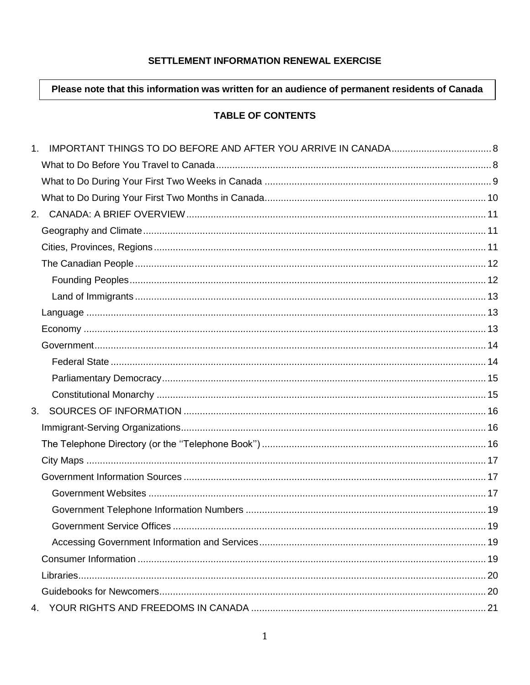## SETTLEMENT INFORMATION RENEWAL EXERCISE

## Please note that this information was written for an audience of permanent residents of Canada

## **TABLE OF CONTENTS**

| 3. |  |
|----|--|
|    |  |
|    |  |
|    |  |
|    |  |
|    |  |
|    |  |
|    |  |
|    |  |
|    |  |
|    |  |
|    |  |
| 4. |  |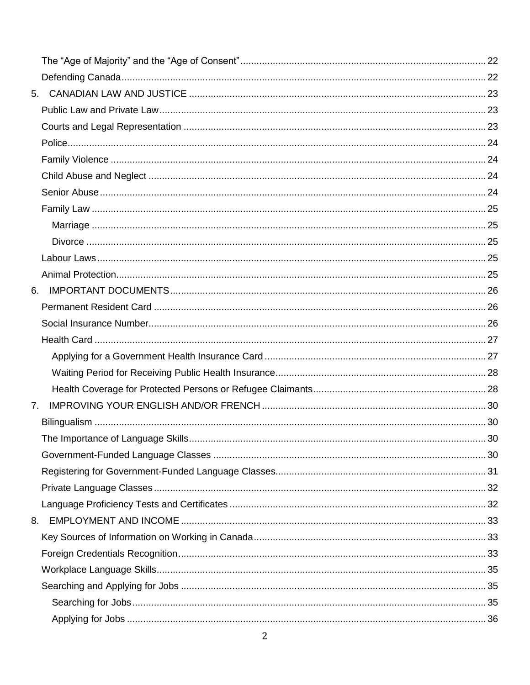| 6. |     |
|----|-----|
|    |     |
|    |     |
|    |     |
|    |     |
|    |     |
|    |     |
| 7. |     |
|    |     |
|    | .30 |
|    |     |
|    |     |
|    |     |
|    |     |
| 8. |     |
|    |     |
|    |     |
|    |     |
|    |     |
|    |     |
|    |     |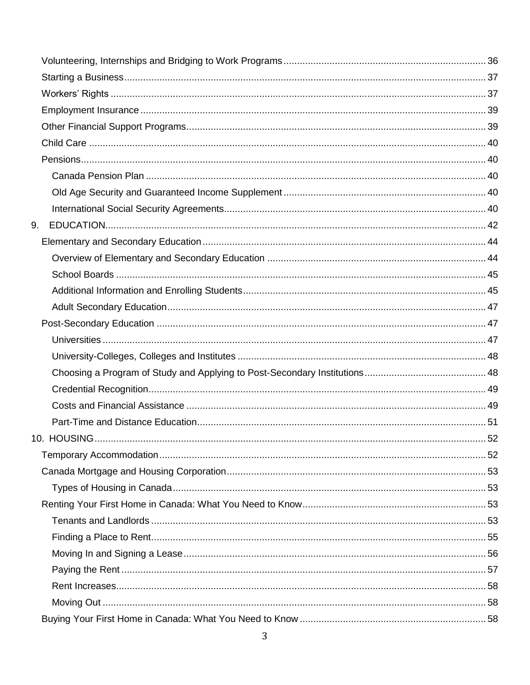| 9. |  |
|----|--|
|    |  |
|    |  |
|    |  |
|    |  |
|    |  |
|    |  |
|    |  |
|    |  |
|    |  |
|    |  |
|    |  |
|    |  |
|    |  |
|    |  |
|    |  |
|    |  |
|    |  |
|    |  |
|    |  |
|    |  |
|    |  |
|    |  |
|    |  |
|    |  |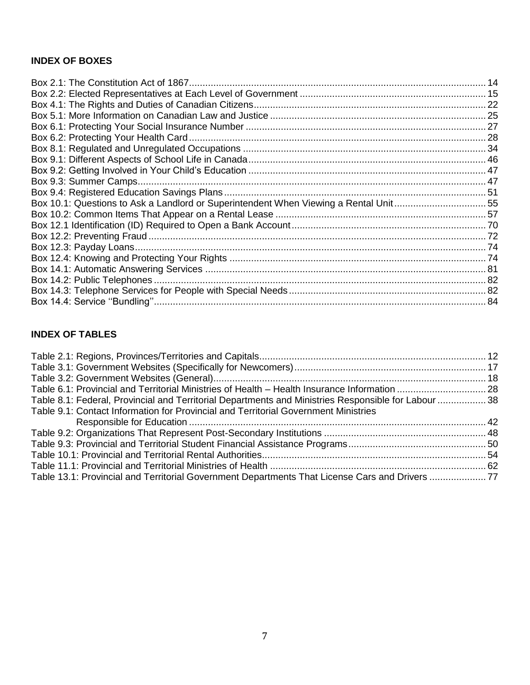## **INDEX OF BOXES**

| Box 10.1: Questions to Ask a Landlord or Superintendent When Viewing a Rental Unit55 |  |
|--------------------------------------------------------------------------------------|--|
|                                                                                      |  |
|                                                                                      |  |
|                                                                                      |  |
|                                                                                      |  |
|                                                                                      |  |
|                                                                                      |  |
|                                                                                      |  |
|                                                                                      |  |
|                                                                                      |  |
|                                                                                      |  |

## **INDEX OF TABLES**

| Table 8.1: Federal, Provincial and Territorial Departments and Ministries Responsible for Labour  38 |                                                                                     |  |
|------------------------------------------------------------------------------------------------------|-------------------------------------------------------------------------------------|--|
|                                                                                                      |                                                                                     |  |
|                                                                                                      |                                                                                     |  |
|                                                                                                      |                                                                                     |  |
|                                                                                                      |                                                                                     |  |
|                                                                                                      | Table 9.1: Contact Information for Provincial and Territorial Government Ministries |  |
|                                                                                                      |                                                                                     |  |
|                                                                                                      |                                                                                     |  |
|                                                                                                      |                                                                                     |  |
|                                                                                                      |                                                                                     |  |
|                                                                                                      |                                                                                     |  |
| Table 13.1: Provincial and Territorial Government Departments That License Cars and Drivers 77       |                                                                                     |  |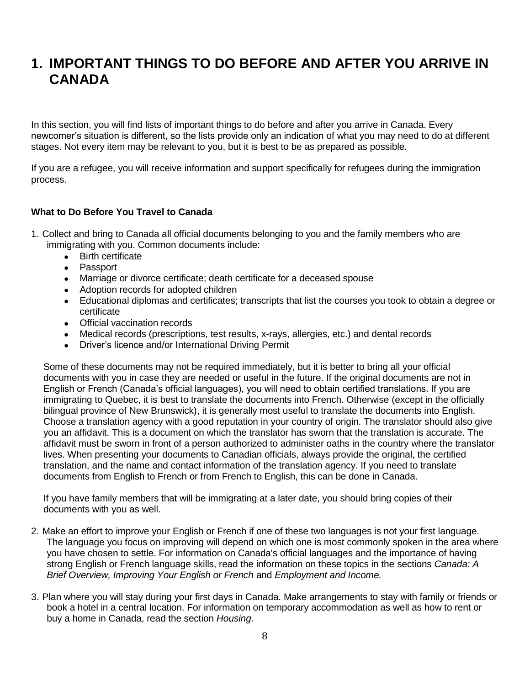## <span id="page-7-0"></span>**1. IMPORTANT THINGS TO DO BEFORE AND AFTER YOU ARRIVE IN CANADA**

In this section, you will find lists of important things to do before and after you arrive in Canada. Every newcomer's situation is different, so the lists provide only an indication of what you may need to do at different stages. Not every item may be relevant to you, but it is best to be as prepared as possible.

If you are a refugee, you will receive information and support specifically for refugees during the immigration process.

## <span id="page-7-1"></span>**What to Do Before You Travel to Canada**

- 1. Collect and bring to Canada all official documents belonging to you and the family members who are immigrating with you. Common documents include:
	- Birth certificate
	- Passport
	- Marriage or divorce certificate; death certificate for a deceased spouse
	- Adoption records for adopted children
	- Educational diplomas and certificates; transcripts that list the courses you took to obtain a degree or certificate
	- Official vaccination records
	- Medical records (prescriptions, test results, x-rays, allergies, etc.) and dental records
	- Driver's licence and/or International Driving Permit

Some of these documents may not be required immediately, but it is better to bring all your official documents with you in case they are needed or useful in the future. If the original documents are not in English or French (Canada's official languages), you will need to obtain certified translations. If you are immigrating to Quebec, it is best to translate the documents into French. Otherwise (except in the officially bilingual province of New Brunswick), it is generally most useful to translate the documents into English. Choose a translation agency with a good reputation in your country of origin. The translator should also give you an affidavit. This is a document on which the translator has sworn that the translation is accurate. The affidavit must be sworn in front of a person authorized to administer oaths in the country where the translator lives. When presenting your documents to Canadian officials, always provide the original, the certified translation, and the name and contact information of the translation agency. If you need to translate documents from English to French or from French to English, this can be done in Canada.

If you have family members that will be immigrating at a later date, you should bring copies of their documents with you as well.

- 2. Make an effort to improve your English or French if one of these two languages is not your first language. The language you focus on improving will depend on which one is most commonly spoken in the area where you have chosen to settle. For information on Canada's official languages and the importance of having strong English or French language skills, read the information on these topics in the sections *Canada: A Brief Overview, Improving Your English or French* and *Employment and Income.*
- 3. Plan where you will stay during your first days in Canada. Make arrangements to stay with family or friends or book a hotel in a central location. For information on temporary accommodation as well as how to rent or buy a home in Canada, read the section *Housing*.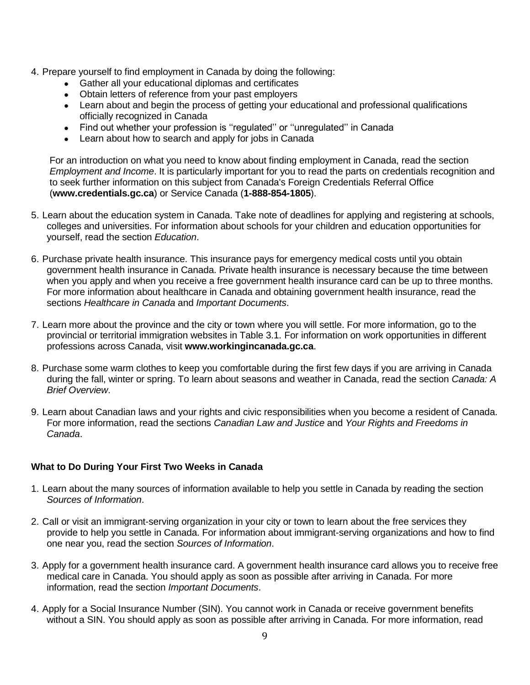- 4. Prepare yourself to find employment in Canada by doing the following:
	- Gather all your educational diplomas and certificates
	- Obtain letters of reference from your past employers
	- Learn about and begin the process of getting your educational and professional qualifications officially recognized in Canada
	- Find out whether your profession is "regulated" or "unregulated" in Canada
	- Learn about how to search and apply for jobs in Canada

For an introduction on what you need to know about finding employment in Canada, read the section *Employment and Income*. It is particularly important for you to read the parts on credentials recognition and to seek further information on this subject from Canada's Foreign Credentials Referral Office (**www.credentials.gc.ca**) or Service Canada (**1-888-854-1805**).

- 5. Learn about the education system in Canada. Take note of deadlines for applying and registering at schools, colleges and universities. For information about schools for your children and education opportunities for yourself, read the section *Education*.
- 6. Purchase private health insurance. This insurance pays for emergency medical costs until you obtain government health insurance in Canada. Private health insurance is necessary because the time between when you apply and when you receive a free government health insurance card can be up to three months. For more information about healthcare in Canada and obtaining government health insurance, read the sections *Healthcare in Canada* and *Important Documents*.
- 7. Learn more about the province and the city or town where you will settle. For more information, go to the provincial or territorial immigration websites in Table 3.1. For information on work opportunities in different professions across Canada, visit **www.workingincanada.gc.ca**.
- 8. Purchase some warm clothes to keep you comfortable during the first few days if you are arriving in Canada during the fall, winter or spring. To learn about seasons and weather in Canada, read the section *Canada: A Brief Overview*.
- 9. Learn about Canadian laws and your rights and civic responsibilities when you become a resident of Canada. For more information, read the sections *Canadian Law and Justice* and *Your Rights and Freedoms in Canada*.

## <span id="page-8-0"></span>**What to Do During Your First Two Weeks in Canada**

- 1. Learn about the many sources of information available to help you settle in Canada by reading the section *Sources of Information*.
- 2. Call or visit an immigrant-serving organization in your city or town to learn about the free services they provide to help you settle in Canada. For information about immigrant-serving organizations and how to find one near you, read the section *Sources of Information*.
- 3. Apply for a government health insurance card. A government health insurance card allows you to receive free medical care in Canada. You should apply as soon as possible after arriving in Canada. For more information, read the section *Important Documents*.
- 4. Apply for a Social Insurance Number (SIN). You cannot work in Canada or receive government benefits without a SIN. You should apply as soon as possible after arriving in Canada. For more information, read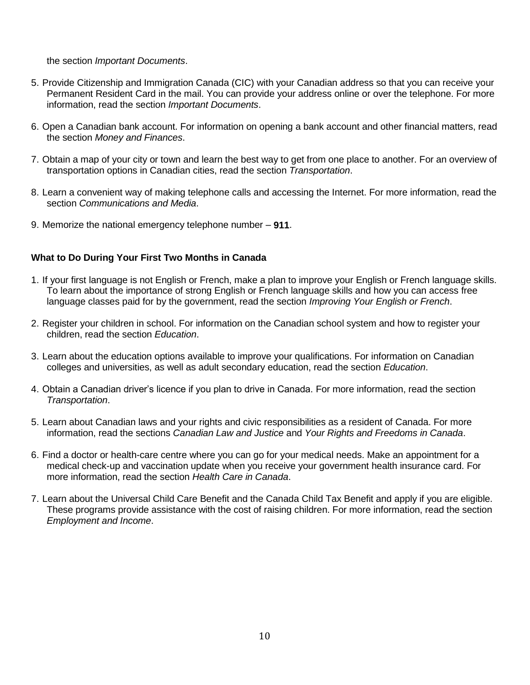the section *Important Documents*.

- 5. Provide Citizenship and Immigration Canada (CIC) with your Canadian address so that you can receive your Permanent Resident Card in the mail. You can provide your address online or over the telephone. For more information, read the section *Important Documents*.
- 6. Open a Canadian bank account. For information on opening a bank account and other financial matters, read the section *Money and Finances*.
- 7. Obtain a map of your city or town and learn the best way to get from one place to another. For an overview of transportation options in Canadian cities, read the section *Transportation*.
- 8. Learn a convenient way of making telephone calls and accessing the Internet. For more information, read the section *Communications and Media*.
- 9. Memorize the national emergency telephone number **911**.

## <span id="page-9-0"></span>**What to Do During Your First Two Months in Canada**

- 1. If your first language is not English or French, make a plan to improve your English or French language skills. To learn about the importance of strong English or French language skills and how you can access free language classes paid for by the government, read the section *Improving Your English or French*.
- 2. Register your children in school. For information on the Canadian school system and how to register your children, read the section *Education*.
- 3. Learn about the education options available to improve your qualifications. For information on Canadian colleges and universities, as well as adult secondary education, read the section *Education*.
- 4. Obtain a Canadian driver's licence if you plan to drive in Canada. For more information, read the section *Transportation*.
- 5. Learn about Canadian laws and your rights and civic responsibilities as a resident of Canada. For more information, read the sections *Canadian Law and Justice* and *Your Rights and Freedoms in Canada*.
- 6. Find a doctor or health-care centre where you can go for your medical needs. Make an appointment for a medical check-up and vaccination update when you receive your government health insurance card. For more information, read the section *Health Care in Canada*.
- 7. Learn about the Universal Child Care Benefit and the Canada Child Tax Benefit and apply if you are eligible. These programs provide assistance with the cost of raising children. For more information, read the section *Employment and Income*.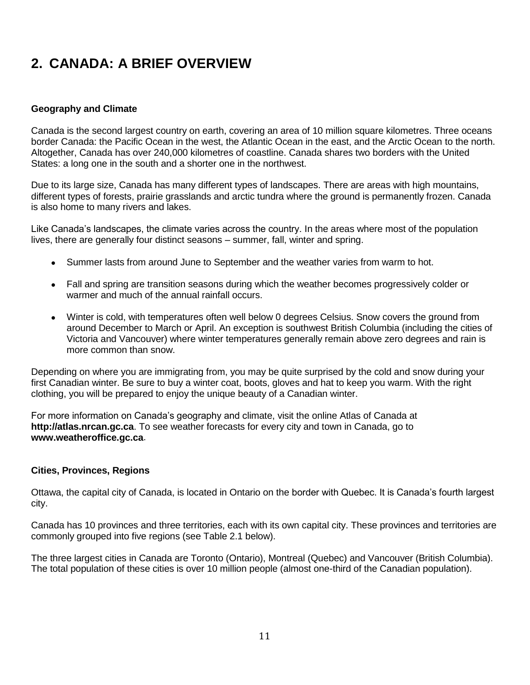# <span id="page-10-0"></span>**2. CANADA: A BRIEF OVERVIEW**

## <span id="page-10-1"></span>**Geography and Climate**

Canada is the second largest country on earth, covering an area of 10 million square kilometres. Three oceans border Canada: the Pacific Ocean in the west, the Atlantic Ocean in the east, and the Arctic Ocean to the north. Altogether, Canada has over 240,000 kilometres of coastline. Canada shares two borders with the United States: a long one in the south and a shorter one in the northwest.

Due to its large size, Canada has many different types of landscapes. There are areas with high mountains, different types of forests, prairie grasslands and arctic tundra where the ground is permanently frozen. Canada is also home to many rivers and lakes.

Like Canada's landscapes, the climate varies across the country. In the areas where most of the population lives, there are generally four distinct seasons – summer, fall, winter and spring.

- Summer lasts from around June to September and the weather varies from warm to hot.
- Fall and spring are transition seasons during which the weather becomes progressively colder or warmer and much of the annual rainfall occurs.
- Winter is cold, with temperatures often well below 0 degrees Celsius. Snow covers the ground from around December to March or April. An exception is southwest British Columbia (including the cities of Victoria and Vancouver) where winter temperatures generally remain above zero degrees and rain is more common than snow.

Depending on where you are immigrating from, you may be quite surprised by the cold and snow during your first Canadian winter. Be sure to buy a winter coat, boots, gloves and hat to keep you warm. With the right clothing, you will be prepared to enjoy the unique beauty of a Canadian winter.

For more information on Canada's geography and climate, visit the online Atlas of Canada at **http://atlas.nrcan.gc.ca**. To see weather forecasts for every city and town in Canada, go to **www.weatheroffice.gc.ca**.

## <span id="page-10-2"></span>**Cities, Provinces, Regions**

Ottawa, the capital city of Canada, is located in Ontario on the border with Quebec. It is Canada's fourth largest city.

Canada has 10 provinces and three territories, each with its own capital city. These provinces and territories are commonly grouped into five regions (see Table 2.1 below).

The three largest cities in Canada are Toronto (Ontario), Montreal (Quebec) and Vancouver (British Columbia). The total population of these cities is over 10 million people (almost one-third of the Canadian population).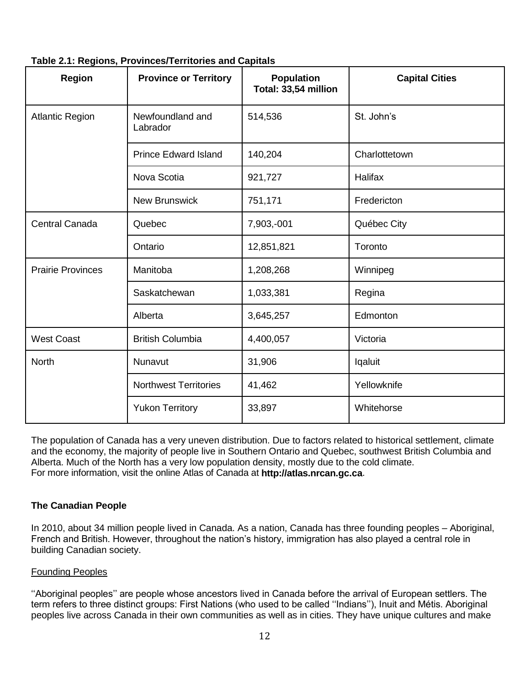| <b>Region</b>            | <b>Province or Territory</b> | <b>Population</b><br>Total: 33,54 million | <b>Capital Cities</b> |
|--------------------------|------------------------------|-------------------------------------------|-----------------------|
| <b>Atlantic Region</b>   | Newfoundland and<br>Labrador | 514,536                                   | St. John's            |
|                          | <b>Prince Edward Island</b>  | 140,204                                   | Charlottetown         |
|                          | Nova Scotia                  | 921,727                                   | <b>Halifax</b>        |
|                          | <b>New Brunswick</b>         | 751,171                                   | Fredericton           |
| <b>Central Canada</b>    | Quebec                       | 7,903,-001                                | Québec City           |
|                          | Ontario                      | 12,851,821                                | Toronto               |
| <b>Prairie Provinces</b> | Manitoba                     | 1,208,268                                 | Winnipeg              |
|                          | Saskatchewan                 | 1,033,381                                 | Regina                |
|                          | Alberta                      | 3,645,257                                 | Edmonton              |
| <b>West Coast</b>        | <b>British Columbia</b>      | 4,400,057                                 | Victoria              |
| <b>North</b>             | Nunavut                      | 31,906                                    | lqaluit               |
|                          | <b>Northwest Territories</b> | 41,462                                    | Yellowknife           |
|                          | <b>Yukon Territory</b>       | 33,897                                    | Whitehorse            |

## <span id="page-11-2"></span>**Table 2.1: Regions, Provinces/Territories and Capitals**

The population of Canada has a very uneven distribution. Due to factors related to historical settlement, climate and the economy, the majority of people live in Southern Ontario and Quebec, southwest British Columbia and Alberta. Much of the North has a very low population density, mostly due to the cold climate. For more information, visit the online Atlas of Canada at **http://atlas.nrcan.gc.ca**.

## <span id="page-11-0"></span>**The Canadian People**

In 2010, about 34 million people lived in Canada. As a nation, Canada has three founding peoples – Aboriginal, French and British. However, throughout the nation's history, immigration has also played a central role in building Canadian society.

#### <span id="page-11-1"></span>Founding Peoples

''Aboriginal peoples'' are people whose ancestors lived in Canada before the arrival of European settlers. The term refers to three distinct groups: First Nations (who used to be called ''Indians''), Inuit and Métis. Aboriginal peoples live across Canada in their own communities as well as in cities. They have unique cultures and make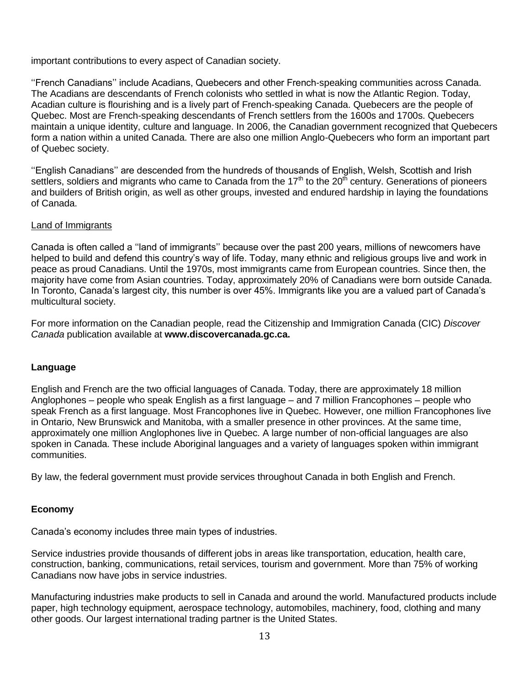important contributions to every aspect of Canadian society.

''French Canadians'' include Acadians, Quebecers and other French-speaking communities across Canada. The Acadians are descendants of French colonists who settled in what is now the Atlantic Region. Today, Acadian culture is flourishing and is a lively part of French-speaking Canada. Quebecers are the people of Quebec. Most are French-speaking descendants of French settlers from the 1600s and 1700s. Quebecers maintain a unique identity, culture and language. In 2006, the Canadian government recognized that Quebecers form a nation within a united Canada. There are also one million Anglo-Quebecers who form an important part of Quebec society.

''English Canadians'' are descended from the hundreds of thousands of English, Welsh, Scottish and Irish settlers, soldiers and migrants who came to Canada from the  $17<sup>th</sup>$  to the  $20<sup>th</sup>$  century. Generations of pioneers and builders of British origin, as well as other groups, invested and endured hardship in laying the foundations of Canada.

#### <span id="page-12-0"></span>Land of Immigrants

Canada is often called a ''land of immigrants'' because over the past 200 years, millions of newcomers have helped to build and defend this country's way of life. Today, many ethnic and religious groups live and work in peace as proud Canadians. Until the 1970s, most immigrants came from European countries. Since then, the majority have come from Asian countries. Today, approximately 20% of Canadians were born outside Canada. In Toronto, Canada's largest city, this number is over 45%. Immigrants like you are a valued part of Canada's multicultural society.

For more information on the Canadian people, read the Citizenship and Immigration Canada (CIC) *Discover Canada* publication available at **www.discovercanada.gc.ca.**

## <span id="page-12-1"></span>**Language**

English and French are the two official languages of Canada. Today, there are approximately 18 million Anglophones – people who speak English as a first language – and 7 million Francophones – people who speak French as a first language. Most Francophones live in Quebec. However, one million Francophones live in Ontario, New Brunswick and Manitoba, with a smaller presence in other provinces. At the same time, approximately one million Anglophones live in Quebec. A large number of non-official languages are also spoken in Canada. These include Aboriginal languages and a variety of languages spoken within immigrant communities.

By law, the federal government must provide services throughout Canada in both English and French.

## <span id="page-12-2"></span>**Economy**

Canada's economy includes three main types of industries.

Service industries provide thousands of different jobs in areas like transportation, education, health care, construction, banking, communications, retail services, tourism and government. More than 75% of working Canadians now have jobs in service industries.

Manufacturing industries make products to sell in Canada and around the world. Manufactured products include paper, high technology equipment, aerospace technology, automobiles, machinery, food, clothing and many other goods. Our largest international trading partner is the United States.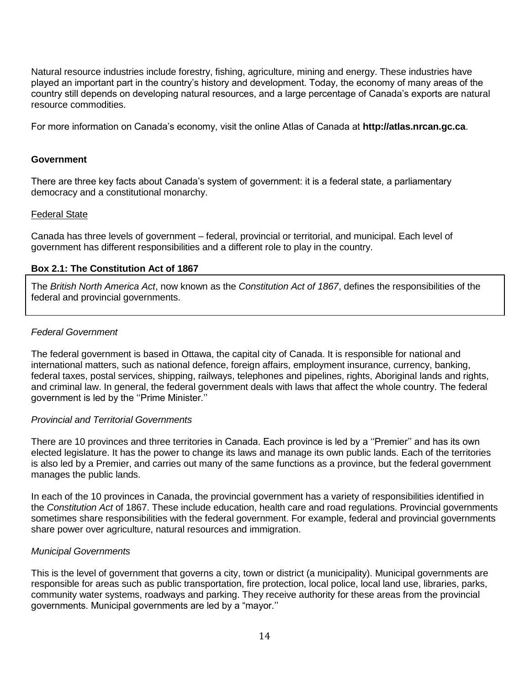Natural resource industries include forestry, fishing, agriculture, mining and energy. These industries have played an important part in the country's history and development. Today, the economy of many areas of the country still depends on developing natural resources, and a large percentage of Canada's exports are natural resource commodities.

For more information on Canada's economy, visit the online Atlas of Canada at **http://atlas.nrcan.gc.ca**.

#### <span id="page-13-0"></span>**Government**

There are three key facts about Canada's system of government: it is a federal state, a parliamentary democracy and a constitutional monarchy.

#### <span id="page-13-1"></span>Federal State

Canada has three levels of government – federal, provincial or territorial, and municipal. Each level of government has different responsibilities and a different role to play in the country.

#### <span id="page-13-2"></span>**Box 2.1: The Constitution Act of 1867**

The *British North America Act*, now known as the *Constitution Act of 1867*, defines the responsibilities of the federal and provincial governments.

#### *Federal Government*

The federal government is based in Ottawa, the capital city of Canada. It is responsible for national and international matters, such as national defence, foreign affairs, employment insurance, currency, banking, federal taxes, postal services, shipping, railways, telephones and pipelines, rights, Aboriginal lands and rights, and criminal law. In general, the federal government deals with laws that affect the whole country. The federal government is led by the ''Prime Minister.''

#### *Provincial and Territorial Governments*

There are 10 provinces and three territories in Canada. Each province is led by a ''Premier'' and has its own elected legislature. It has the power to change its laws and manage its own public lands. Each of the territories is also led by a Premier, and carries out many of the same functions as a province, but the federal government manages the public lands.

In each of the 10 provinces in Canada, the provincial government has a variety of responsibilities identified in the *Constitution Act* of 1867. These include education, health care and road regulations. Provincial governments sometimes share responsibilities with the federal government. For example, federal and provincial governments share power over agriculture, natural resources and immigration.

#### *Municipal Governments*

This is the level of government that governs a city, town or district (a municipality). Municipal governments are responsible for areas such as public transportation, fire protection, local police, local land use, libraries, parks, community water systems, roadways and parking. They receive authority for these areas from the provincial governments. Municipal governments are led by a "mayor.''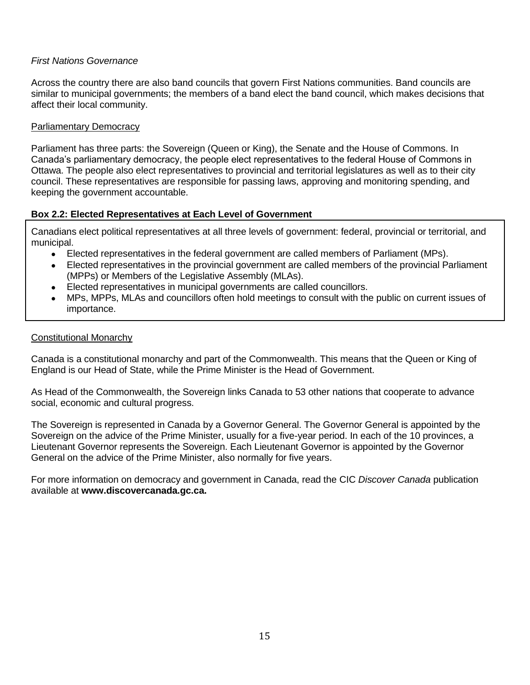### *First Nations Governance*

Across the country there are also band councils that govern First Nations communities. Band councils are similar to municipal governments; the members of a band elect the band council, which makes decisions that affect their local community.

#### <span id="page-14-0"></span>Parliamentary Democracy

Parliament has three parts: the Sovereign (Queen or King), the Senate and the House of Commons. In Canada's parliamentary democracy, the people elect representatives to the federal House of Commons in Ottawa. The people also elect representatives to provincial and territorial legislatures as well as to their city council. These representatives are responsible for passing laws, approving and monitoring spending, and keeping the government accountable.

## <span id="page-14-2"></span>**Box 2.2: Elected Representatives at Each Level of Government**

Canadians elect political representatives at all three levels of government: federal, provincial or territorial, and municipal.

- Elected representatives in the federal government are called members of Parliament (MPs).
- Elected representatives in the provincial government are called members of the provincial Parliament (MPPs) or Members of the Legislative Assembly (MLAs).
- Elected representatives in municipal governments are called councillors.
- MPs, MPPs, MLAs and councillors often hold meetings to consult with the public on current issues of importance.

#### <span id="page-14-1"></span>Constitutional Monarchy

Canada is a constitutional monarchy and part of the Commonwealth. This means that the Queen or King of England is our Head of State, while the Prime Minister is the Head of Government.

As Head of the Commonwealth, the Sovereign links Canada to 53 other nations that cooperate to advance social, economic and cultural progress.

The Sovereign is represented in Canada by a Governor General. The Governor General is appointed by the Sovereign on the advice of the Prime Minister, usually for a five-year period. In each of the 10 provinces, a Lieutenant Governor represents the Sovereign. Each Lieutenant Governor is appointed by the Governor General on the advice of the Prime Minister, also normally for five years.

For more information on democracy and government in Canada, read the CIC *Discover Canada* publication available at **www.discovercanada.gc.ca.**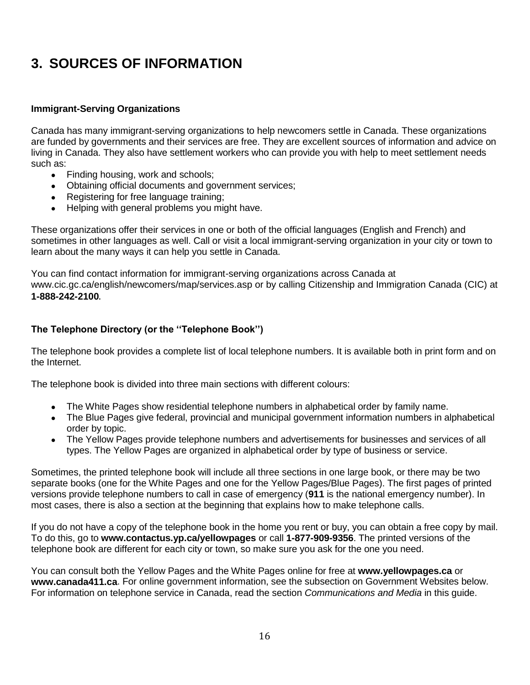# <span id="page-15-0"></span>**3. SOURCES OF INFORMATION**

## <span id="page-15-1"></span>**Immigrant-Serving Organizations**

Canada has many immigrant-serving organizations to help newcomers settle in Canada. These organizations are funded by governments and their services are free. They are excellent sources of information and advice on living in Canada. They also have settlement workers who can provide you with help to meet settlement needs such as:

- Finding housing, work and schools;
- Obtaining official documents and government services;
- Registering for free language training;
- Helping with general problems you might have.

These organizations offer their services in one or both of the official languages (English and French) and sometimes in other languages as well. Call or visit a local immigrant-serving organization in your city or town to learn about the many ways it can help you settle in Canada.

You can find contact information for immigrant-serving organizations across Canada at www.cic.gc.ca/english/newcomers/map/services.asp or by calling Citizenship and Immigration Canada (CIC) at **1-888-242-2100**.

## <span id="page-15-2"></span>**The Telephone Directory (or the ''Telephone Book'')**

The telephone book provides a complete list of local telephone numbers. It is available both in print form and on the Internet.

The telephone book is divided into three main sections with different colours:

- The White Pages show residential telephone numbers in alphabetical order by family name.
- The Blue Pages give federal, provincial and municipal government information numbers in alphabetical order by topic.
- The Yellow Pages provide telephone numbers and advertisements for businesses and services of all types. The Yellow Pages are organized in alphabetical order by type of business or service.

Sometimes, the printed telephone book will include all three sections in one large book, or there may be two separate books (one for the White Pages and one for the Yellow Pages/Blue Pages). The first pages of printed versions provide telephone numbers to call in case of emergency (**911** is the national emergency number). In most cases, there is also a section at the beginning that explains how to make telephone calls.

If you do not have a copy of the telephone book in the home you rent or buy, you can obtain a free copy by mail. To do this, go to **www.contactus.yp.ca/yellowpages** or call **1-877-909-9356**. The printed versions of the telephone book are different for each city or town, so make sure you ask for the one you need.

<span id="page-15-3"></span>You can consult both the Yellow Pages and the White Pages online for free at **www.yellowpages.ca** or **www.canada411.ca**. For online government information, see the subsection on Government Websites below. For information on telephone service in Canada, read the section *Communications and Media* in this guide.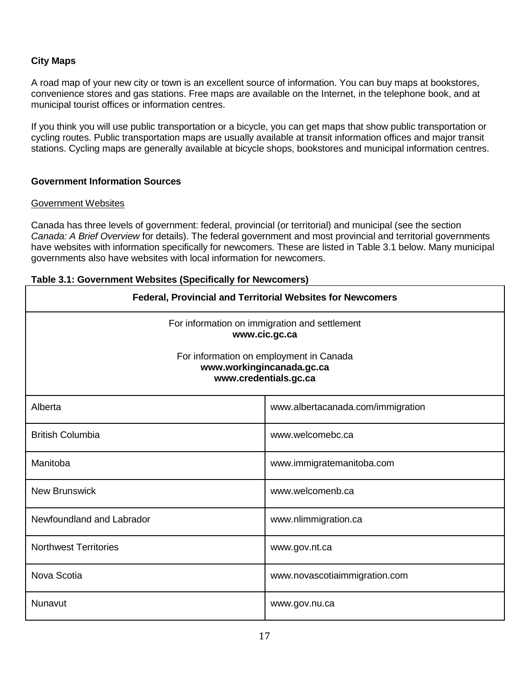## **City Maps**

A road map of your new city or town is an excellent source of information. You can buy maps at bookstores, convenience stores and gas stations. Free maps are available on the Internet, in the telephone book, and at municipal tourist offices or information centres.

If you think you will use public transportation or a bicycle, you can get maps that show public transportation or cycling routes. Public transportation maps are usually available at transit information offices and major transit stations. Cycling maps are generally available at bicycle shops, bookstores and municipal information centres.

## <span id="page-16-0"></span>**Government Information Sources**

#### <span id="page-16-1"></span>Government Websites

Canada has three levels of government: federal, provincial (or territorial) and municipal (see the section *Canada: A Brief Overview* for details). The federal government and most provincial and territorial governments have websites with information specifically for newcomers. These are listed in Table 3.1 below. Many municipal governments also have websites with local information for newcomers.

#### <span id="page-16-2"></span>**Table 3.1: Government Websites (Specifically for Newcomers)**

| Federal, Provincial and Territorial Websites for Newcomers                                    |                                   |  |
|-----------------------------------------------------------------------------------------------|-----------------------------------|--|
| For information on immigration and settlement<br>www.cic.gc.ca                                |                                   |  |
| For information on employment in Canada<br>www.workingincanada.gc.ca<br>www.credentials.gc.ca |                                   |  |
| Alberta                                                                                       | www.albertacanada.com/immigration |  |
| <b>British Columbia</b>                                                                       | www.welcomebc.ca                  |  |
| Manitoba                                                                                      | www.immigratemanitoba.com         |  |
| <b>New Brunswick</b>                                                                          | www.welcomenb.ca                  |  |
| Newfoundland and Labrador                                                                     | www.nlimmigration.ca              |  |
| <b>Northwest Territories</b>                                                                  | www.gov.nt.ca                     |  |
| Nova Scotia                                                                                   | www.novascotiaimmigration.com     |  |
| Nunavut                                                                                       | www.gov.nu.ca                     |  |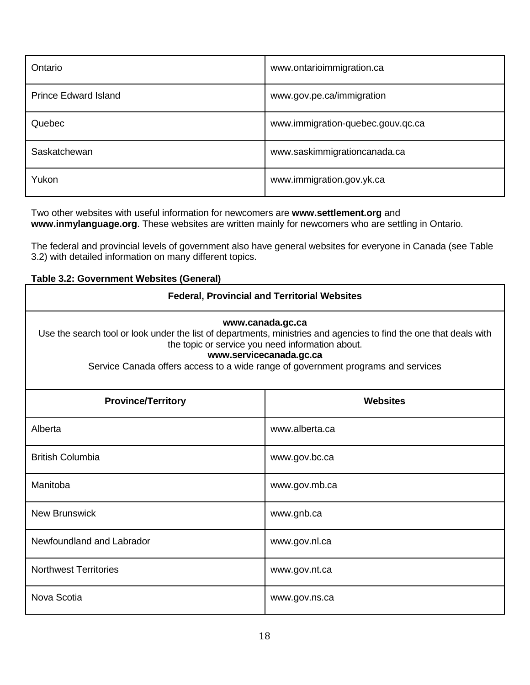| Ontario                     | www.ontarioimmigration.ca         |
|-----------------------------|-----------------------------------|
| <b>Prince Edward Island</b> | www.gov.pe.ca/immigration         |
| Quebec                      | www.immigration-quebec.gouv.qc.ca |
| Saskatchewan                | www.saskimmigrationcanada.ca      |
| Yukon                       | www.immigration.gov.yk.ca         |

Two other websites with useful information for newcomers are **www.settlement.org** and **www.inmylanguage.org**. These websites are written mainly for newcomers who are settling in Ontario.

The federal and provincial levels of government also have general websites for everyone in Canada (see Table 3.2) with detailed information on many different topics.

## <span id="page-17-0"></span>**Table 3.2: Government Websites (General)**

| <b>Federal, Provincial and Territorial Websites</b>                                                                                                                                                                                                                                                       |                |  |
|-----------------------------------------------------------------------------------------------------------------------------------------------------------------------------------------------------------------------------------------------------------------------------------------------------------|----------------|--|
| www.canada.gc.ca<br>Use the search tool or look under the list of departments, ministries and agencies to find the one that deals with<br>the topic or service you need information about.<br>www.servicecanada.gc.ca<br>Service Canada offers access to a wide range of government programs and services |                |  |
| <b>Province/Territory</b><br><b>Websites</b>                                                                                                                                                                                                                                                              |                |  |
| Alberta                                                                                                                                                                                                                                                                                                   | www.alberta.ca |  |
| <b>British Columbia</b>                                                                                                                                                                                                                                                                                   | www.gov.bc.ca  |  |
| Manitoba                                                                                                                                                                                                                                                                                                  | www.gov.mb.ca  |  |
| <b>New Brunswick</b>                                                                                                                                                                                                                                                                                      | www.gnb.ca     |  |
| Newfoundland and Labrador                                                                                                                                                                                                                                                                                 | www.gov.nl.ca  |  |
| <b>Northwest Territories</b>                                                                                                                                                                                                                                                                              | www.gov.nt.ca  |  |
| Nova Scotia                                                                                                                                                                                                                                                                                               | www.gov.ns.ca  |  |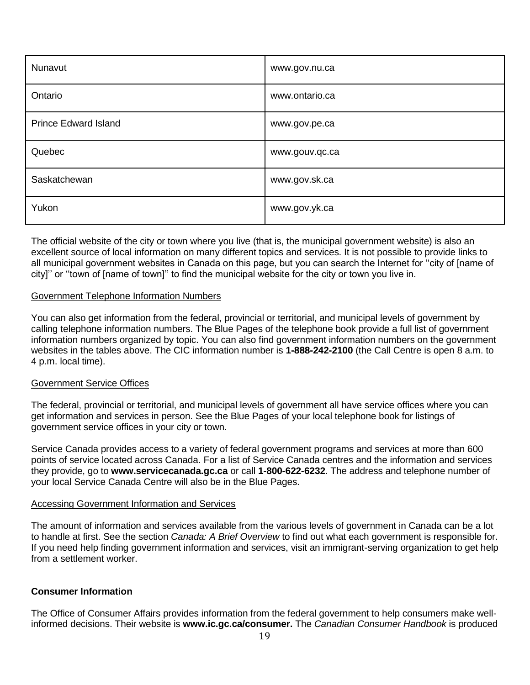| Nunavut                     | www.gov.nu.ca  |
|-----------------------------|----------------|
| Ontario                     | www.ontario.ca |
| <b>Prince Edward Island</b> | www.gov.pe.ca  |
| Quebec                      | www.gouv.qc.ca |
| Saskatchewan                | www.gov.sk.ca  |
| Yukon                       | www.gov.yk.ca  |

The official website of the city or town where you live (that is, the municipal government website) is also an excellent source of local information on many different topics and services. It is not possible to provide links to all municipal government websites in Canada on this page, but you can search the Internet for ''city of [name of city]'' or ''town of [name of town]'' to find the municipal website for the city or town you live in.

#### <span id="page-18-0"></span>Government Telephone Information Numbers

You can also get information from the federal, provincial or territorial, and municipal levels of government by calling telephone information numbers. The Blue Pages of the telephone book provide a full list of government information numbers organized by topic. You can also find government information numbers on the government websites in the tables above. The CIC information number is **1-888-242-2100** (the Call Centre is open 8 a.m. to 4 p.m. local time).

#### <span id="page-18-1"></span>Government Service Offices

The federal, provincial or territorial, and municipal levels of government all have service offices where you can get information and services in person. See the Blue Pages of your local telephone book for listings of government service offices in your city or town.

Service Canada provides access to a variety of federal government programs and services at more than 600 points of service located across Canada. For a list of Service Canada centres and the information and services they provide, go to **www.servicecanada.gc.ca** or call **1-800-622-6232**. The address and telephone number of your local Service Canada Centre will also be in the Blue Pages.

#### <span id="page-18-2"></span>Accessing Government Information and Services

The amount of information and services available from the various levels of government in Canada can be a lot to handle at first. See the section *Canada: A Brief Overview* to find out what each government is responsible for. If you need help finding government information and services, visit an immigrant-serving organization to get help from a settlement worker.

## <span id="page-18-3"></span>**Consumer Information**

The Office of Consumer Affairs provides information from the federal government to help consumers make wellinformed decisions. Their website is **[www.ic.gc.ca/consumer.](http://www.ic.gc.ca/consumer)** The *Canadian Consumer Handbook* is produced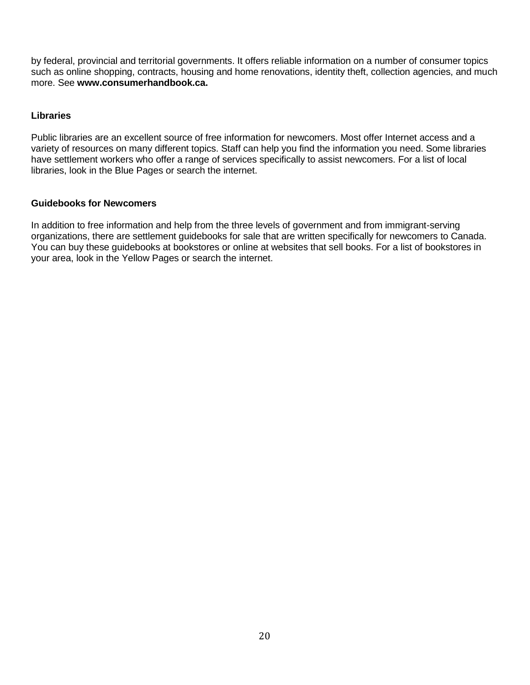by federal, provincial and territorial governments. It offers reliable information on a number of consumer topics such as online shopping, contracts, housing and home renovations, identity theft, collection agencies, and much more. See **[www.consumerhandbook.ca.](http://www.consumerhandbook.ca/)**

## <span id="page-19-0"></span>**Libraries**

Public libraries are an excellent source of free information for newcomers. Most offer Internet access and a variety of resources on many different topics. Staff can help you find the information you need. Some libraries have settlement workers who offer a range of services specifically to assist newcomers. For a list of local libraries, look in the Blue Pages or search the internet.

## <span id="page-19-1"></span>**Guidebooks for Newcomers**

In addition to free information and help from the three levels of government and from immigrant-serving organizations, there are settlement guidebooks for sale that are written specifically for newcomers to Canada. You can buy these guidebooks at bookstores or online at websites that sell books. For a list of bookstores in your area, look in the Yellow Pages or search the internet.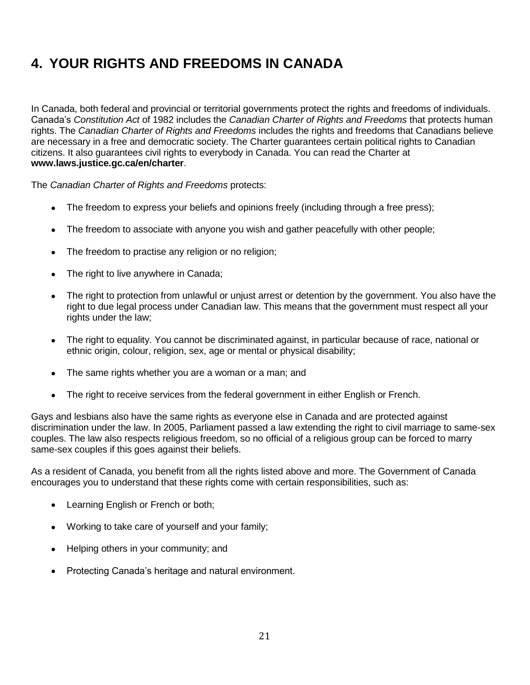# <span id="page-20-0"></span>**4. YOUR RIGHTS AND FREEDOMS IN CANADA**

In Canada, both federal and provincial or territorial governments protect the rights and freedoms of individuals. Canada's *Constitution Act* of 1982 includes the *Canadian Charter of Rights and Freedoms* that protects human rights. The *Canadian Charter of Rights and Freedoms* includes the rights and freedoms that Canadians believe are necessary in a free and democratic society. The Charter guarantees certain political rights to Canadian citizens. It also guarantees civil rights to everybody in Canada. You can read the Charter at **www.laws.justice.gc.ca/en/charter**.

The *Canadian Charter of Rights and Freedoms* protects:

- The freedom to express your beliefs and opinions freely (including through a free press);
- The freedom to associate with anyone you wish and gather peacefully with other people;
- The freedom to practise any religion or no religion;
- The right to live anywhere in Canada;
- The right to protection from unlawful or unjust arrest or detention by the government. You also have the right to due legal process under Canadian law. This means that the government must respect all your rights under the law;
- The right to equality. You cannot be discriminated against, in particular because of race, national or ethnic origin, colour, religion, sex, age or mental or physical disability;
- The same rights whether you are a woman or a man; and
- The right to receive services from the federal government in either English or French.

Gays and lesbians also have the same rights as everyone else in Canada and are protected against discrimination under the law. In 2005, Parliament passed a law extending the right to civil marriage to same-sex couples. The law also respects religious freedom, so no official of a religious group can be forced to marry same-sex couples if this goes against their beliefs.

As a resident of Canada, you benefit from all the rights listed above and more. The Government of Canada encourages you to understand that these rights come with certain responsibilities, such as:

- Learning English or French or both;
- Working to take care of yourself and your family;
- Helping others in your community; and
- Protecting Canada's heritage and natural environment.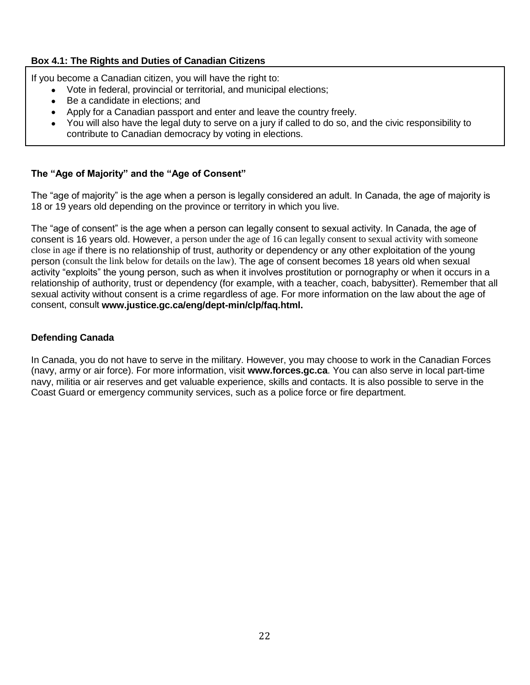## <span id="page-21-2"></span>**Box 4.1: The Rights and Duties of Canadian Citizens**

If you become a Canadian citizen, you will have the right to:

- Vote in federal, provincial or territorial, and municipal elections;
- Be a candidate in elections; and
- Apply for a Canadian passport and enter and leave the country freely.
- You will also have the legal duty to serve on a jury if called to do so, and the civic responsibility to contribute to Canadian democracy by voting in elections.

## <span id="page-21-0"></span>**The "Age of Majority" and the "Age of Consent"**

The "age of majority" is the age when a person is legally considered an adult. In Canada, the age of majority is 18 or 19 years old depending on the province or territory in which you live.

The "age of consent" is the age when a person can legally consent to sexual activity. In Canada, the age of consent is 16 years old. However, a person under the age of 16 can legally consent to sexual activity with someone close in age if there is no relationship of trust, authority or dependency or any other exploitation of the young person (consult the link below for details on the law). The age of consent becomes 18 years old when sexual activity "exploits" the young person, such as when it involves prostitution or pornography or when it occurs in a relationship of authority, trust or dependency (for example, with a teacher, coach, babysitter). Remember that all sexual activity without consent is a crime regardless of age. For more information on the law about the age of consent, consult **[www.justice.gc.ca/eng/dept-min/clp/faq.html.](http://www.justice.gc.ca/eng/dept-min/clp/faq.html)**

## <span id="page-21-1"></span>**Defending Canada**

In Canada, you do not have to serve in the military. However, you may choose to work in the Canadian Forces (navy, army or air force). For more information, visit **www.forces.gc.ca**. You can also serve in local part-time navy, militia or air reserves and get valuable experience, skills and contacts. It is also possible to serve in the Coast Guard or emergency community services, such as a police force or fire department.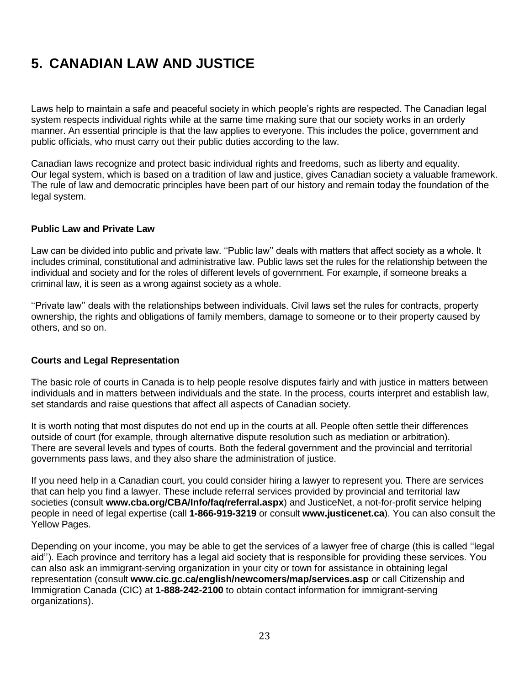# <span id="page-22-0"></span>**5. CANADIAN LAW AND JUSTICE**

Laws help to maintain a safe and peaceful society in which people's rights are respected. The Canadian legal system respects individual rights while at the same time making sure that our society works in an orderly manner. An essential principle is that the law applies to everyone. This includes the police, government and public officials, who must carry out their public duties according to the law.

Canadian laws recognize and protect basic individual rights and freedoms, such as liberty and equality. Our legal system, which is based on a tradition of law and justice, gives Canadian society a valuable framework. The rule of law and democratic principles have been part of our history and remain today the foundation of the legal system.

#### <span id="page-22-1"></span>**Public Law and Private Law**

Law can be divided into public and private law. ''Public law'' deals with matters that affect society as a whole. It includes criminal, constitutional and administrative law. Public laws set the rules for the relationship between the individual and society and for the roles of different levels of government. For example, if someone breaks a criminal law, it is seen as a wrong against society as a whole.

''Private law'' deals with the relationships between individuals. Civil laws set the rules for contracts, property ownership, the rights and obligations of family members, damage to someone or to their property caused by others, and so on.

#### <span id="page-22-2"></span>**Courts and Legal Representation**

The basic role of courts in Canada is to help people resolve disputes fairly and with justice in matters between individuals and in matters between individuals and the state. In the process, courts interpret and establish law, set standards and raise questions that affect all aspects of Canadian society.

It is worth noting that most disputes do not end up in the courts at all. People often settle their differences outside of court (for example, through alternative dispute resolution such as mediation or arbitration). There are several levels and types of courts. Both the federal government and the provincial and territorial governments pass laws, and they also share the administration of justice.

If you need help in a Canadian court, you could consider hiring a lawyer to represent you. There are services that can help you find a lawyer. These include referral services provided by provincial and territorial law societies (consult **[www.cba.org/CBA/Info/faq/referral.aspx](http://www.cba.org/CBA/Info/faq/referral.aspx)**) and JusticeNet, a not-for-profit service helping people in need of legal expertise (call **1-866-919-3219** or consult **[www.justicenet.ca](http://www.justicenet.ca/)**). You can also consult the Yellow Pages.

Depending on your income, you may be able to get the services of a lawyer free of charge (this is called ''legal aid''). Each province and territory has a legal aid society that is responsible for providing these services. You can also ask an immigrant-serving organization in your city or town for assistance in obtaining legal representation (consult **www.cic.gc.ca/english/newcomers/map/services.asp** or call Citizenship and Immigration Canada (CIC) at **1-888-242-2100** to obtain contact information for immigrant-serving organizations).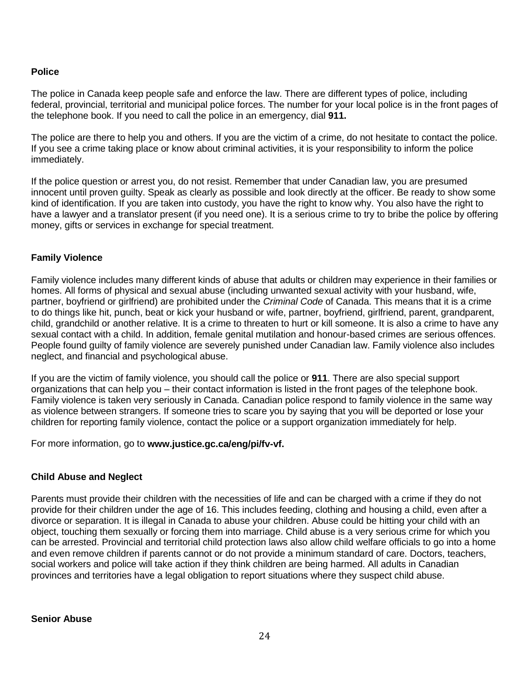## <span id="page-23-0"></span>**Police**

The police in Canada keep people safe and enforce the law. There are different types of police, including federal, provincial, territorial and municipal police forces. The number for your local police is in the front pages of the telephone book. If you need to call the police in an emergency, dial **911.** 

The police are there to help you and others. If you are the victim of a crime, do not hesitate to contact the police. If you see a crime taking place or know about criminal activities, it is your responsibility to inform the police immediately.

If the police question or arrest you, do not resist. Remember that under Canadian law, you are presumed innocent until proven guilty. Speak as clearly as possible and look directly at the officer. Be ready to show some kind of identification. If you are taken into custody, you have the right to know why. You also have the right to have a lawyer and a translator present (if you need one). It is a serious crime to try to bribe the police by offering money, gifts or services in exchange for special treatment.

## <span id="page-23-1"></span>**Family Violence**

Family violence includes many different kinds of abuse that adults or children may experience in their families or homes. All forms of physical and sexual abuse (including unwanted sexual activity with your husband, wife, partner, boyfriend or girlfriend) are prohibited under the *Criminal Code* of Canada. This means that it is a crime to do things like hit, punch, beat or kick your husband or wife, partner, boyfriend, girlfriend, parent, grandparent, child, grandchild or another relative. It is a crime to threaten to hurt or kill someone. It is also a crime to have any sexual contact with a child. In addition, female genital mutilation and honour-based crimes are serious offences. People found guilty of family violence are severely punished under Canadian law. Family violence also includes neglect, and financial and psychological abuse.

If you are the victim of family violence, you should call the police or **911**. There are also special support organizations that can help you – their contact information is listed in the front pages of the telephone book. Family violence is taken very seriously in Canada. Canadian police respond to family violence in the same way as violence between strangers. If someone tries to scare you by saying that you will be deported or lose your children for reporting family violence, contact the police or a support organization immediately for help.

For more information, go to **[www.justice.gc.ca/eng/pi/fv-vf.](http://www.justice.gc.ca/eng/pi/fv-vf/about-aprop/index.html)**

## <span id="page-23-2"></span>**Child Abuse and Neglect**

<span id="page-23-3"></span>Parents must provide their children with the necessities of life and can be charged with a crime if they do not provide for their children under the age of 16. This includes feeding, clothing and housing a child, even after a divorce or separation. It is illegal in Canada to abuse your children. Abuse could be hitting your child with an object, touching them sexually or forcing them into marriage. Child abuse is a very serious crime for which you can be arrested. Provincial and territorial child protection laws also allow child welfare officials to go into a home and even remove children if parents cannot or do not provide a minimum standard of care. Doctors, teachers, social workers and police will take action if they think children are being harmed. All adults in Canadian provinces and territories have a legal obligation to report situations where they suspect child abuse.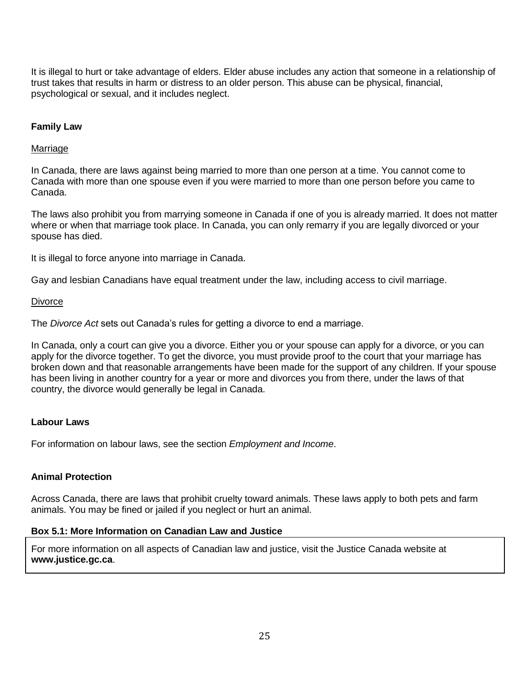It is illegal to hurt or take advantage of elders. Elder abuse includes any action that someone in a relationship of trust takes that results in harm or distress to an older person. This abuse can be physical, financial, psychological or sexual, and it includes neglect.

## <span id="page-24-0"></span>**Family Law**

#### <span id="page-24-1"></span>**Marriage**

In Canada, there are laws against being married to more than one person at a time. You cannot come to Canada with more than one spouse even if you were married to more than one person before you came to Canada.

The laws also prohibit you from marrying someone in Canada if one of you is already married. It does not matter where or when that marriage took place. In Canada, you can only remarry if you are legally divorced or your spouse has died.

It is illegal to force anyone into marriage in Canada.

Gay and lesbian Canadians have equal treatment under the law, including access to civil marriage.

#### <span id="page-24-2"></span>**Divorce**

The *Divorce Act* sets out Canada's rules for getting a divorce to end a marriage.

In Canada, only a court can give you a divorce. Either you or your spouse can apply for a divorce, or you can apply for the divorce together. To get the divorce, you must provide proof to the court that your marriage has broken down and that reasonable arrangements have been made for the support of any children. If your spouse has been living in another country for a year or more and divorces you from there, under the laws of that country, the divorce would generally be legal in Canada.

#### <span id="page-24-3"></span>**Labour Laws**

For information on labour laws, see the section *Employment and Income*.

#### <span id="page-24-4"></span>**Animal Protection**

Across Canada, there are laws that prohibit cruelty toward animals. These laws apply to both pets and farm animals. You may be fined or jailed if you neglect or hurt an animal.

#### <span id="page-24-5"></span>**Box 5.1: More Information on Canadian Law and Justice**

For more information on all aspects of Canadian law and justice, visit the Justice Canada website at **www.justice.gc.ca**.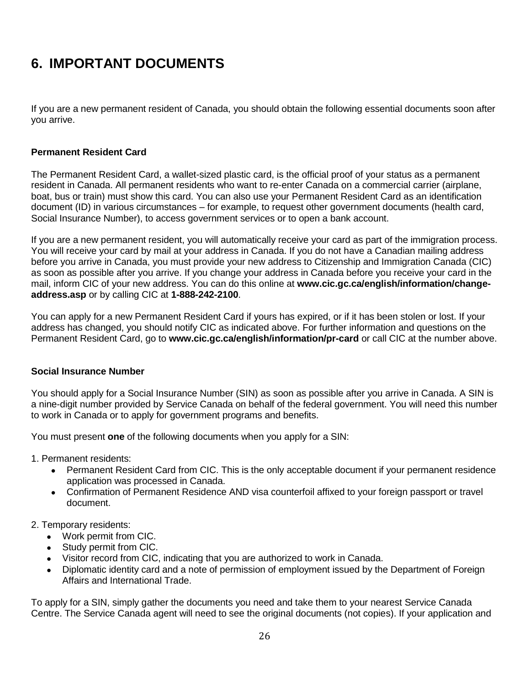## <span id="page-25-0"></span>**6. IMPORTANT DOCUMENTS**

If you are a new permanent resident of Canada, you should obtain the following essential documents soon after you arrive.

## <span id="page-25-1"></span>**Permanent Resident Card**

The Permanent Resident Card, a wallet-sized plastic card, is the official proof of your status as a permanent resident in Canada. All permanent residents who want to re-enter Canada on a commercial carrier (airplane, boat, bus or train) must show this card. You can also use your Permanent Resident Card as an identification document (ID) in various circumstances – for example, to request other government documents (health card, Social Insurance Number), to access government services or to open a bank account.

If you are a new permanent resident, you will automatically receive your card as part of the immigration process. You will receive your card by mail at your address in Canada. If you do not have a Canadian mailing address before you arrive in Canada, you must provide your new address to Citizenship and Immigration Canada (CIC) as soon as possible after you arrive. If you change your address in Canada before you receive your card in the mail, inform CIC of your new address. You can do this online at **www.cic.gc.ca/english/information/changeaddress.asp** or by calling CIC at **1-888-242-2100**.

You can apply for a new Permanent Resident Card if yours has expired, or if it has been stolen or lost. If your address has changed, you should notify CIC as indicated above. For further information and questions on the Permanent Resident Card, go to **www.cic.gc.ca/english/information/pr-card** or call CIC at the number above.

## <span id="page-25-2"></span>**Social Insurance Number**

You should apply for a Social Insurance Number (SIN) as soon as possible after you arrive in Canada. A SIN is a nine-digit number provided by Service Canada on behalf of the federal government. You will need this number to work in Canada or to apply for government programs and benefits.

You must present **one** of the following documents when you apply for a SIN:

1. Permanent residents:

- Permanent Resident Card from CIC. This is the only acceptable document if your permanent residence application was processed in Canada.
- Confirmation of Permanent Residence AND visa counterfoil affixed to your foreign passport or travel document.
- 2. Temporary residents:
	- Work permit from CIC.
	- Study permit from CIC.
	- Visitor record from CIC, indicating that you are authorized to work in Canada.
	- Diplomatic identity card and a note of permission of employment issued by the Department of Foreign Affairs and International Trade.

To apply for a SIN, simply gather the [documents](http://www.servicecanada.gc.ca/eng/sin/apply/proof.shtml) you need and take them to your nearest [Service Canada](http://www.servicecanada.gc.ca/cgi-bin/hr-search.cgi?app=hme&ln=eng)  [Centre.](http://www.servicecanada.gc.ca/cgi-bin/hr-search.cgi?app=hme&ln=eng) The Service Canada agent will need to see the original documents (not copies). If your application and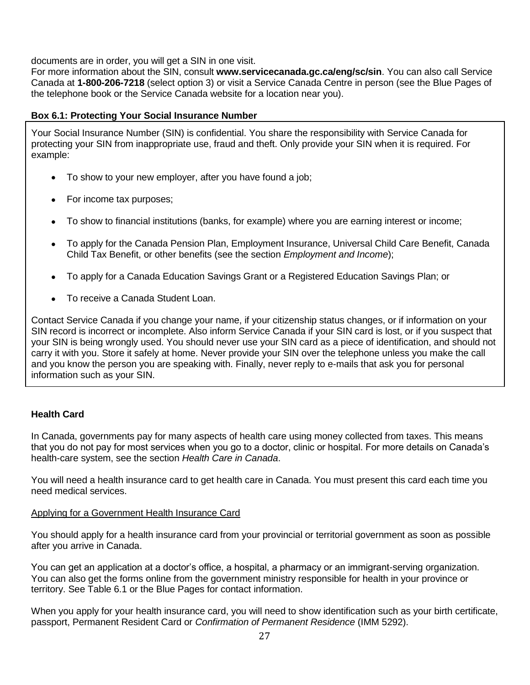documents are in order, you will get a SIN in one visit.

For more information about the SIN, consult **www.servicecanada.gc.ca/eng/sc/sin**. You can also call Service Canada at **1-800-206-7218** (select option 3) or visit a Service Canada Centre in person (see the Blue Pages of the telephone book or the Service Canada website for a location near you).

### <span id="page-26-2"></span>**Box 6.1: Protecting Your Social Insurance Number**

Your Social Insurance Number (SIN) is confidential. You share the responsibility with Service Canada for protecting your SIN from inappropriate use, fraud and theft. Only provide your SIN when it is required. For example:

- To show to your new employer, after you have found a job;
- For income tax purposes;
- To show to financial institutions (banks, for example) where you are earning interest or income;
- To apply for the Canada Pension Plan, Employment Insurance, Universal Child Care Benefit, Canada Child Tax Benefit, or other benefits (see the section *Employment and Income*);
- To apply for a Canada Education Savings Grant or a Registered Education Savings Plan; or
- To receive a Canada Student Loan.

Contact Service Canada if you change your name, if your citizenship status changes, or if information on your SIN record is incorrect or incomplete. Also inform Service Canada if your SIN card is lost, or if you suspect that your SIN is being wrongly used. You should never use your SIN card as a piece of identification, and should not carry it with you. Store it safely at home. Never provide your SIN over the telephone unless you make the call and you know the person you are speaking with. Finally, never reply to e-mails that ask you for personal information such as your SIN.

## <span id="page-26-0"></span>**Health Card**

In Canada, governments pay for many aspects of health care using money collected from taxes. This means that you do not pay for most services when you go to a doctor, clinic or hospital. For more details on Canada's health-care system, see the section *Health Care in Canada*.

You will need a health insurance card to get health care in Canada. You must present this card each time you need medical services.

## <span id="page-26-1"></span>Applying for a Government Health Insurance Card

You should apply for a health insurance card from your provincial or territorial government as soon as possible after you arrive in Canada.

You can get an application at a doctor's office, a hospital, a pharmacy or an immigrant-serving organization. You can also get the forms online from the government ministry responsible for health in your province or territory. See Table 6.1 or the Blue Pages for contact information.

When you apply for your health insurance card, you will need to show identification such as your birth certificate, passport, Permanent Resident Card or *Confirmation of Permanent Residence* (IMM 5292).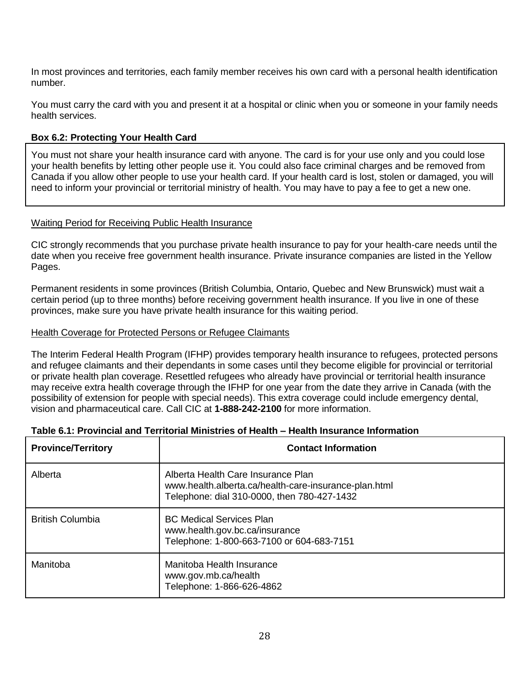In most provinces and territories, each family member receives his own card with a personal health identification number.

You must carry the card with you and present it at a hospital or clinic when you or someone in your family needs health services.

## <span id="page-27-2"></span>**Box 6.2: Protecting Your Health Card**

You must not share your health insurance card with anyone. The card is for your use only and you could lose your health benefits by letting other people use it. You could also face criminal charges and be removed from Canada if you allow other people to use your health card. If your health card is lost, stolen or damaged, you will need to inform your provincial or territorial ministry of health. You may have to pay a fee to get a new one.

## <span id="page-27-0"></span>Waiting Period for Receiving Public Health Insurance

CIC strongly recommends that you purchase private health insurance to pay for your health-care needs until the date when you receive free government health insurance. Private insurance companies are listed in the Yellow Pages.

Permanent residents in some provinces (British Columbia, Ontario, Quebec and New Brunswick) must wait a certain period (up to three months) before receiving government health insurance. If you live in one of these provinces, make sure you have private health insurance for this waiting period.

#### <span id="page-27-1"></span>Health Coverage for Protected Persons or Refugee Claimants

The Interim Federal Health Program (IFHP) provides temporary health insurance to refugees, protected persons and refugee claimants and their dependants in some cases until they become eligible for provincial or territorial or private health plan coverage. Resettled refugees who already have provincial or territorial health insurance may receive extra health coverage through the IFHP for one year from the date they arrive in Canada (with the possibility of extension for people with special needs). This extra coverage could include emergency dental, vision and pharmaceutical care. Call CIC at **1-888-242-2100** for more information.

| <b>Province/Territory</b> | <b>Contact Information</b>                                                                                                                 |
|---------------------------|--------------------------------------------------------------------------------------------------------------------------------------------|
| Alberta                   | Alberta Health Care Insurance Plan<br>www.health.alberta.ca/health-care-insurance-plan.html<br>Telephone: dial 310-0000, then 780-427-1432 |
| <b>British Columbia</b>   | <b>BC Medical Services Plan</b><br>www.health.gov.bc.ca/insurance<br>Telephone: 1-800-663-7100 or 604-683-7151                             |
| Manitoba                  | Manitoba Health Insurance<br>www.gov.mb.ca/health<br>Telephone: 1-866-626-4862                                                             |

## <span id="page-27-3"></span>**Table 6.1: Provincial and Territorial Ministries of Health – Health Insurance Information**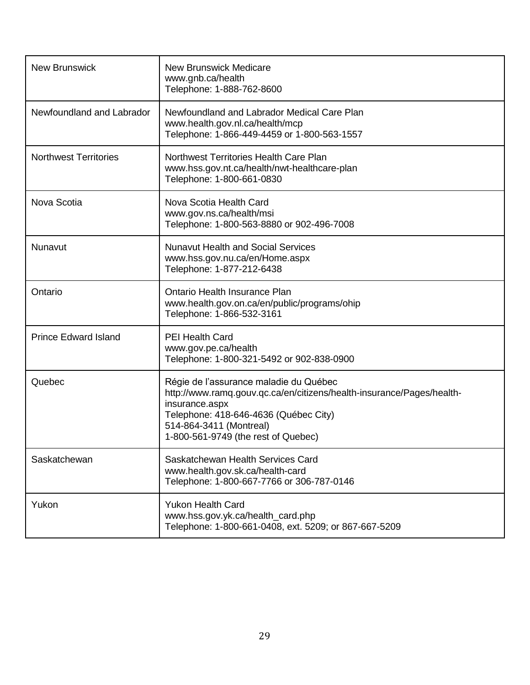| <b>New Brunswick</b>         | <b>New Brunswick Medicare</b><br>www.gnb.ca/health<br>Telephone: 1-888-762-8600                                                                                                                                                              |
|------------------------------|----------------------------------------------------------------------------------------------------------------------------------------------------------------------------------------------------------------------------------------------|
| Newfoundland and Labrador    | Newfoundland and Labrador Medical Care Plan<br>www.health.gov.nl.ca/health/mcp<br>Telephone: 1-866-449-4459 or 1-800-563-1557                                                                                                                |
| <b>Northwest Territories</b> | Northwest Territories Health Care Plan<br>www.hss.gov.nt.ca/health/nwt-healthcare-plan<br>Telephone: 1-800-661-0830                                                                                                                          |
| Nova Scotia                  | Nova Scotia Health Card<br>www.gov.ns.ca/health/msi<br>Telephone: 1-800-563-8880 or 902-496-7008                                                                                                                                             |
| Nunavut                      | <b>Nunavut Health and Social Services</b><br>www.hss.gov.nu.ca/en/Home.aspx<br>Telephone: 1-877-212-6438                                                                                                                                     |
| Ontario                      | <b>Ontario Health Insurance Plan</b><br>www.health.gov.on.ca/en/public/programs/ohip<br>Telephone: 1-866-532-3161                                                                                                                            |
| <b>Prince Edward Island</b>  | <b>PEI Health Card</b><br>www.gov.pe.ca/health<br>Telephone: 1-800-321-5492 or 902-838-0900                                                                                                                                                  |
| Quebec                       | Régie de l'assurance maladie du Québec<br>http://www.ramq.gouv.gc.ca/en/citizens/health-insurance/Pages/health-<br>insurance.aspx<br>Telephone: 418-646-4636 (Québec City)<br>514-864-3411 (Montreal)<br>1-800-561-9749 (the rest of Quebec) |
| Saskatchewan                 | Saskatchewan Health Services Card<br>www.health.gov.sk.ca/health-card<br>Telephone: 1-800-667-7766 or 306-787-0146                                                                                                                           |
| Yukon                        | <b>Yukon Health Card</b><br>www.hss.gov.yk.ca/health_card.php<br>Telephone: 1-800-661-0408, ext. 5209; or 867-667-5209                                                                                                                       |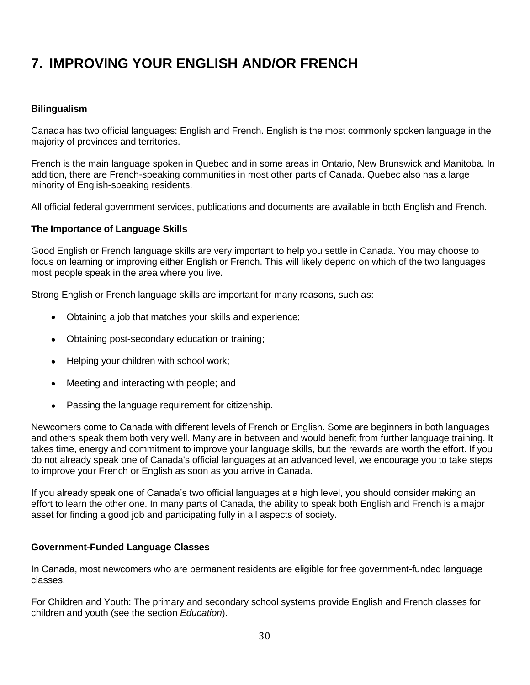# <span id="page-29-0"></span>**7. IMPROVING YOUR ENGLISH AND/OR FRENCH**

## <span id="page-29-1"></span>**Bilingualism**

Canada has two official languages: English and French. English is the most commonly spoken language in the majority of provinces and territories.

French is the main language spoken in Quebec and in some areas in Ontario, New Brunswick and Manitoba. In addition, there are French-speaking communities in most other parts of Canada. Quebec also has a large minority of English-speaking residents.

All official federal government services, publications and documents are available in both English and French.

#### <span id="page-29-2"></span>**The Importance of Language Skills**

Good English or French language skills are very important to help you settle in Canada. You may choose to focus on learning or improving either English or French. This will likely depend on which of the two languages most people speak in the area where you live.

Strong English or French language skills are important for many reasons, such as:

- Obtaining a job that matches your skills and experience;
- Obtaining post-secondary education or training;
- Helping your children with school work;
- Meeting and interacting with people; and
- Passing the language requirement for citizenship.

Newcomers come to Canada with different levels of French or English. Some are beginners in both languages and others speak them both very well. Many are in between and would benefit from further language training. It takes time, energy and commitment to improve your language skills, but the rewards are worth the effort. If you do not already speak one of Canada's official languages at an advanced level, we encourage you to take steps to improve your French or English as soon as you arrive in Canada.

If you already speak one of Canada's two official languages at a high level, you should consider making an effort to learn the other one. In many parts of Canada, the ability to speak both English and French is a major asset for finding a good job and participating fully in all aspects of society.

#### <span id="page-29-3"></span>**Government-Funded Language Classes**

In Canada, most newcomers who are permanent residents are eligible for free government-funded language classes.

For Children and Youth: The primary and secondary school systems provide English and French classes for children and youth (see the section *Education*).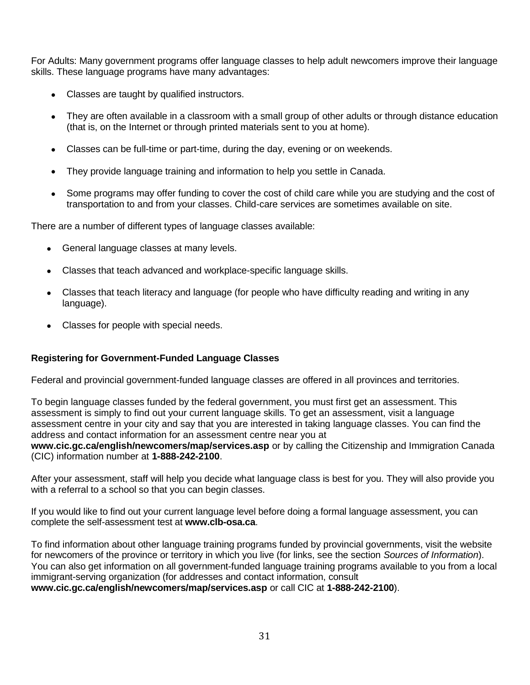For Adults: Many government programs offer language classes to help adult newcomers improve their language skills. These language programs have many advantages:

- Classes are taught by qualified instructors.
- They are often available in a classroom with a small group of other adults or through distance education (that is, on the Internet or through printed materials sent to you at home).
- Classes can be full-time or part-time, during the day, evening or on weekends.
- They provide language training and information to help you settle in Canada.
- Some programs may offer funding to cover the cost of child care while you are studying and the cost of transportation to and from your classes. Child-care services are sometimes available on site.

There are a number of different types of language classes available:

- General language classes at many levels.
- Classes that teach advanced and workplace-specific language skills.
- Classes that teach literacy and language (for people who have difficulty reading and writing in any language).
- Classes for people with special needs.

## <span id="page-30-0"></span>**Registering for Government-Funded Language Classes**

Federal and provincial government-funded language classes are offered in all provinces and territories.

To begin language classes funded by the federal government, you must first get an assessment. This assessment is simply to find out your current language skills. To get an assessment, visit a language assessment centre in your city and say that you are interested in taking language classes. You can find the address and contact information for an assessment centre near you at

**www.cic.gc.ca/english/newcomers/map/services.asp** or by calling the Citizenship and Immigration Canada (CIC) information number at **1-888-242-2100**.

After your assessment, staff will help you decide what language class is best for you. They will also provide you with a referral to a school so that you can begin classes.

If you would like to find out your current language level before doing a formal language assessment, you can complete the self-assessment test at **[www.clb-osa.ca](http://www.clb-osa.ca/)**.

To find information about other language training programs funded by provincial governments, visit the website for newcomers of the province or territory in which you live (for links, see the section *Sources of Information*). You can also get information on all government-funded language training programs available to you from a local immigrant-serving organization (for addresses and contact information, consult **www.cic.gc.ca/english/newcomers/map/services.asp** or call CIC at **1-888-242-2100**).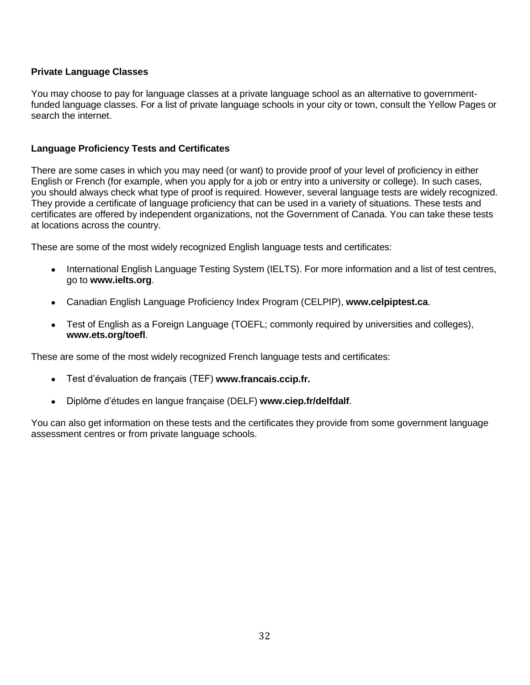## <span id="page-31-0"></span>**Private Language Classes**

You may choose to pay for language classes at a private language school as an alternative to governmentfunded language classes. For a list of private language schools in your city or town, consult the Yellow Pages or search the internet.

## <span id="page-31-1"></span>**Language Proficiency Tests and Certificates**

There are some cases in which you may need (or want) to provide proof of your level of proficiency in either English or French (for example, when you apply for a job or entry into a university or college). In such cases, you should always check what type of proof is required. However, several language tests are widely recognized. They provide a certificate of language proficiency that can be used in a variety of situations. These tests and certificates are offered by independent organizations, not the Government of Canada. You can take these tests at locations across the country.

These are some of the most widely recognized English language tests and certificates:

- International English Language Testing System (IELTS). For more information and a list of test centres, go to **[www.ielts.org](http://www.ielts.org/)**.
- Canadian English Language Proficiency Index Program (CELPIP), **[www.celpiptest.ca](http://www.celpiptest.ca/)**.
- Test of English as a Foreign Language (TOEFL; commonly required by universities and colleges), **www.ets.org/toefl**.

These are some of the most widely recognized French language tests and certificates:

- Test d'évaluation de français (TEF) **www.francais.ccip.fr.**
- Diplôme d'études en langue française (DELF) **[www.ciep.fr/delfdalf](http://www.ciep.fr/delfdalf)**.

You can also get information on these tests and the certificates they provide from some government language assessment centres or from private language schools.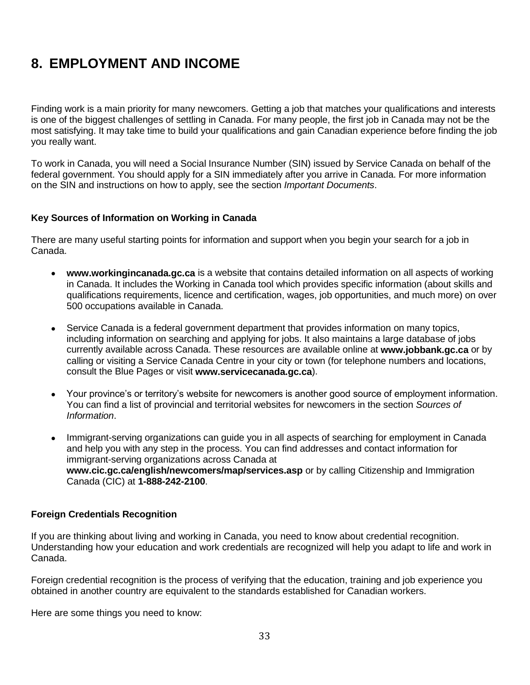## <span id="page-32-0"></span>**8. EMPLOYMENT AND INCOME**

Finding work is a main priority for many newcomers. Getting a job that matches your qualifications and interests is one of the biggest challenges of settling in Canada. For many people, the first job in Canada may not be the most satisfying. It may take time to build your qualifications and gain Canadian experience before finding the job you really want.

To work in Canada, you will need a Social Insurance Number (SIN) issued by Service Canada on behalf of the federal government. You should apply for a SIN immediately after you arrive in Canada. For more information on the SIN and instructions on how to apply, see the section *Important Documents*.

## <span id="page-32-1"></span>**Key Sources of Information on Working in Canada**

There are many useful starting points for information and support when you begin your search for a job in Canada.

- **www.workingincanada.gc.ca** is a website that contains detailed information on all aspects of working in Canada. It includes the Working in Canada tool which provides specific information (about skills and qualifications requirements, licence and certification, wages, job opportunities, and much more) on over 500 occupations available in Canada.
- Service Canada is a federal government department that provides information on many topics, including information on searching and applying for jobs. It also maintains a large database of jobs currently available across Canada. These resources are available online at **www.jobbank.gc.ca** or by calling or visiting a Service Canada Centre in your city or town (for telephone numbers and locations, consult the Blue Pages or visit **[www.servicecanada.gc.ca](http://www.servicecanada.gc.ca/)**).
- Your province's or territory's website for newcomers is another good source of employment information. You can find a list of provincial and territorial websites for newcomers in the section *Sources of Information*.
- Immigrant-serving organizations can guide you in all aspects of searching for employment in Canada and help you with any step in the process. You can find addresses and contact information for immigrant-serving organizations across Canada at **www.cic.gc.ca/english/newcomers/map/services.asp** or by calling Citizenship and Immigration Canada (CIC) at **1-888-242-2100**.

#### <span id="page-32-2"></span>**Foreign Credentials Recognition**

If you are thinking about living and working in Canada, you need to know about credential recognition. Understanding how your education and work credentials are recognized will help you adapt to life and work in Canada.

Foreign credential recognition is the process of verifying that the education, training and job experience you obtained in another country are equivalent to the standards established for Canadian workers.

Here are some things you need to know: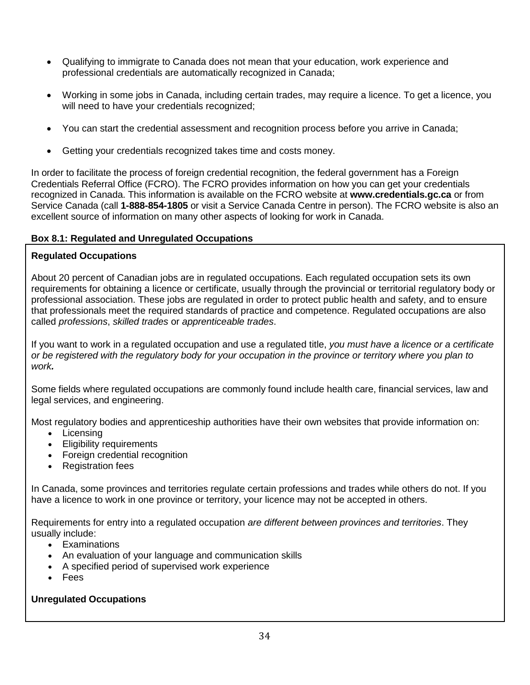- Qualifying to immigrate to Canada does not mean that your education, work experience and professional credentials are automatically recognized in Canada;
- Working in some jobs in Canada, including certain trades, may require a licence. To get a licence, you will need to have your credentials recognized;
- You can start the credential assessment and recognition process before you arrive in Canada;
- Getting your credentials recognized takes time and costs money.

In order to facilitate the process of foreign credential recognition, the federal government has a Foreign Credentials Referral Office (FCRO). The FCRO provides information on how you can get your credentials recognized in Canada. This information is available on the FCRO website at **www.credentials.gc.ca** or from Service Canada (call **1-888-854-1805** or visit a Service Canada Centre in person). The FCRO website is also an excellent source of information on many other aspects of looking for work in Canada.

## <span id="page-33-0"></span>**Box 8.1: Regulated and Unregulated Occupations**

## **Regulated Occupations**

About 20 percent of Canadian jobs are in regulated occupations. Each regulated occupation sets its own requirements for obtaining a licence or certificate, usually through the provincial or territorial regulatory body or professional association. These jobs are regulated in order to protect public health and safety, and to ensure that professionals meet the required standards of practice and competence. Regulated occupations are also called *professions*, *skilled trades* or *apprenticeable trades*.

If you want to work in a regulated occupation and use a regulated title, *you must have a licence or a certificate or be registered with the regulatory body for your occupation in the province or territory where you plan to work.* 

Some fields where regulated occupations are commonly found include health care, financial services, law and legal services, and engineering.

Most regulatory bodies and apprenticeship authorities have their own websites that provide information on:

- Licensing
- Eligibility requirements
- Foreign credential recognition
- Registration fees

In Canada, some provinces and territories regulate certain professions and trades while others do not. If you have a licence to work in one province or territory, your licence may not be accepted in others.

Requirements for entry into a regulated occupation *are different between provinces and territories*. They usually include:

- Examinations
- An evaluation of your language and communication skills
- A specified period of supervised work experience
- Fees

## **Unregulated Occupations**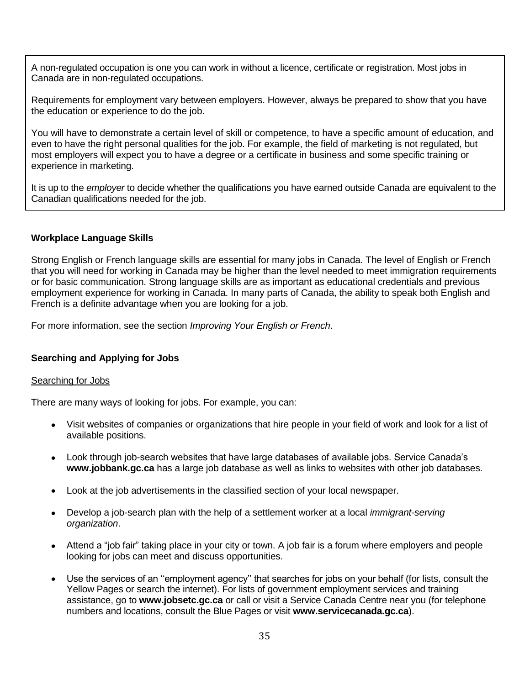A non-regulated occupation is one you can work in without a licence, certificate or registration. Most jobs in Canada are in non-regulated occupations.

Requirements for employment vary between employers. However, always be prepared to show that you have the education or experience to do the job.

You will have to demonstrate a certain level of skill or competence, to have a specific amount of education, and even to have the right personal qualities for the job. For example, the field of marketing is not regulated, but most employers will expect you to have a degree or a certificate in business and some specific training or experience in marketing.

It is up to the *employer* to decide whether the qualifications you have earned outside Canada are equivalent to the Canadian qualifications needed for the job.

## <span id="page-34-0"></span>**Workplace Language Skills**

Strong English or French language skills are essential for many jobs in Canada. The level of English or French that you will need for working in Canada may be higher than the level needed to meet immigration requirements or for basic communication. Strong language skills are as important as educational credentials and previous employment experience for working in Canada. In many parts of Canada, the ability to speak both English and French is a definite advantage when you are looking for a job.

For more information, see the section *Improving Your English or French*.

## <span id="page-34-1"></span>**Searching and Applying for Jobs**

## <span id="page-34-2"></span>Searching for Jobs

There are many ways of looking for jobs. For example, you can:

- Visit websites of companies or organizations that hire people in your field of work and look for a list of available positions.
- Look through job-search websites that have large databases of available jobs. Service Canada's **www.jobbank.gc.ca** has a large job database as well as links to websites with other job databases.
- Look at the job advertisements in the classified section of your local newspaper.
- Develop a job-search plan with the help of a settlement worker at a local *immigrant-serving organization*.
- Attend a "job fair" taking place in your city or town. A job fair is a forum where employers and people looking for jobs can meet and discuss opportunities.
- Use the services of an ''employment agency'' that searches for jobs on your behalf (for lists, consult the Yellow Pages or search the internet). For lists of government employment services and training assistance, go to **www.jobsetc.gc.ca** or call or visit a Service Canada Centre near you (for telephone numbers and locations, consult the Blue Pages or visit **www.servicecanada.gc.ca**).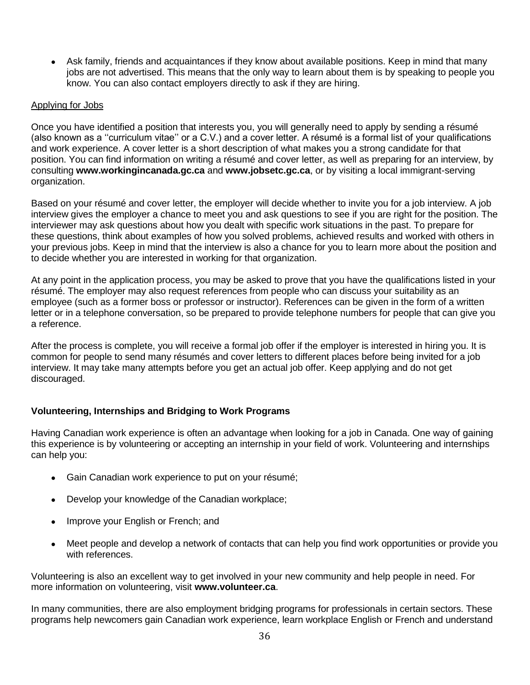Ask family, friends and acquaintances if they know about available positions. Keep in mind that many jobs are not advertised. This means that the only way to learn about them is by speaking to people you know. You can also contact employers directly to ask if they are hiring.

### <span id="page-35-0"></span>Applying for Jobs

Once you have identified a position that interests you, you will generally need to apply by sending a résumé (also known as a ''curriculum vitae'' or a C.V.) and a cover letter. A résumé is a formal list of your qualifications and work experience. A cover letter is a short description of what makes you a strong candidate for that position. You can find information on writing a résumé and cover letter, as well as preparing for an interview, by consulting **www.workingincanada.gc.ca** and **www.jobsetc.gc.ca**, or by visiting a local immigrant-serving organization.

Based on your résumé and cover letter, the employer will decide whether to invite you for a job interview. A job interview gives the employer a chance to meet you and ask questions to see if you are right for the position. The interviewer may ask questions about how you dealt with specific work situations in the past. To prepare for these questions, think about examples of how you solved problems, achieved results and worked with others in your previous jobs. Keep in mind that the interview is also a chance for you to learn more about the position and to decide whether you are interested in working for that organization.

At any point in the application process, you may be asked to prove that you have the qualifications listed in your résumé. The employer may also request references from people who can discuss your suitability as an employee (such as a former boss or professor or instructor). References can be given in the form of a written letter or in a telephone conversation, so be prepared to provide telephone numbers for people that can give you a reference.

After the process is complete, you will receive a formal job offer if the employer is interested in hiring you. It is common for people to send many résumés and cover letters to different places before being invited for a job interview. It may take many attempts before you get an actual job offer. Keep applying and do not get discouraged.

## <span id="page-35-1"></span>**Volunteering, Internships and Bridging to Work Programs**

Having Canadian work experience is often an advantage when looking for a job in Canada. One way of gaining this experience is by volunteering or accepting an internship in your field of work. Volunteering and internships can help you:

- Gain Canadian work experience to put on your résumé;
- Develop your knowledge of the Canadian workplace;
- Improve your English or French; and
- Meet people and develop a network of contacts that can help you find work opportunities or provide you with references.

Volunteering is also an excellent way to get involved in your new community and help people in need. For more information on volunteering, visit **[www.volunteer.ca](http://www.volunteer.ca/)**.

In many communities, there are also employment bridging programs for professionals in certain sectors. These programs help newcomers gain Canadian work experience, learn workplace English or French and understand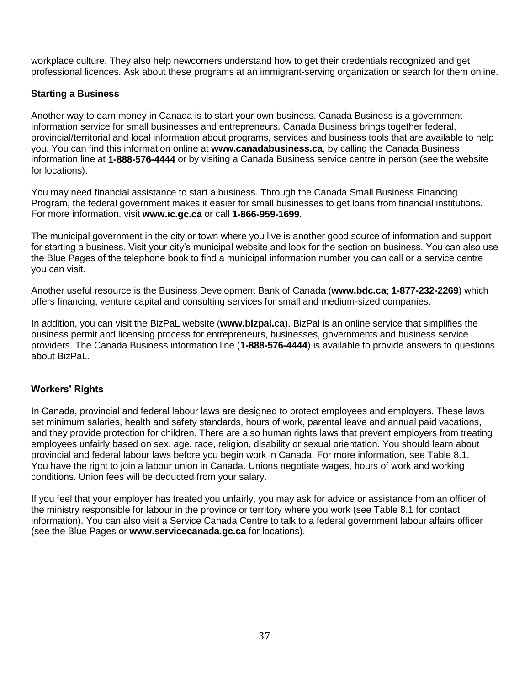workplace culture. They also help newcomers understand how to get their credentials recognized and get professional licences. Ask about these programs at an immigrant-serving organization or search for them online.

## **Starting a Business**

Another way to earn money in Canada is to start your own business. Canada Business is a government information service for small businesses and entrepreneurs. Canada Business brings together federal, provincial/territorial and local information about programs, services and business tools that are available to help you. You can find this information online at **www.canadabusiness.ca**, by calling the Canada Business information line at **1-888-576-4444** or by visiting a Canada Business service centre in person (see the website for locations).

You may need financial assistance to start a business. Through the Canada Small Business Financing Program, the federal government makes it easier for small businesses to get loans from financial institutions. For more information, visit **www.ic.gc.ca** or call **1-866-959-1699**.

The municipal government in the city or town where you live is another good source of information and support for starting a business. Visit your city's municipal website and look for the section on business. You can also use the Blue Pages of the telephone book to find a municipal information number you can call or a service centre you can visit.

Another useful resource is the Business Development Bank of Canada (**www.bdc.ca**; **1-877-232-2269**) which offers financing, venture capital and consulting services for small and medium-sized companies.

In addition, you can visit the BizPaL website (**[www.bizpal.ca](http://www.bizpal.ca/)**). BizPal is an online service that simplifies the business permit and licensing process for entrepreneurs, businesses, governments and business service providers. The Canada Business information line (**1-888-576-4444**) is available to provide answers to questions about BizPaL.

#### **Workers' Rights**

In Canada, provincial and federal labour laws are designed to protect employees and employers. These laws set minimum salaries, health and safety standards, hours of work, parental leave and annual paid vacations, and they provide protection for children. There are also human rights laws that prevent employers from treating employees unfairly based on sex, age, race, religion, disability or sexual orientation. You should learn about provincial and federal labour laws before you begin work in Canada. For more information, see Table 8.1. You have the right to join a labour union in Canada. Unions negotiate wages, hours of work and working conditions. Union fees will be deducted from your salary.

If you feel that your employer has treated you unfairly, you may ask for advice or assistance from an officer of the ministry responsible for labour in the province or territory where you work (see Table 8.1 for contact information). You can also visit a Service Canada Centre to talk to a federal government labour affairs officer (see the Blue Pages or **www.servicecanada.gc.ca** for locations).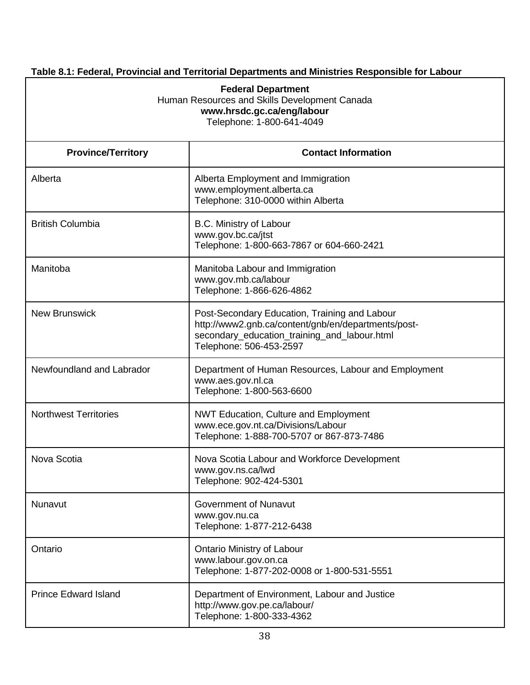## **Table 8.1: Federal, Provincial and Territorial Departments and Ministries Responsible for Labour**

| <b>Federal Department</b><br>Human Resources and Skills Development Canada<br>www.hrsdc.gc.ca/eng/labour<br>Telephone: 1-800-641-4049 |                                                                                                                                                                                 |  |
|---------------------------------------------------------------------------------------------------------------------------------------|---------------------------------------------------------------------------------------------------------------------------------------------------------------------------------|--|
| <b>Province/Territory</b>                                                                                                             | <b>Contact Information</b>                                                                                                                                                      |  |
| Alberta                                                                                                                               | Alberta Employment and Immigration<br>www.employment.alberta.ca<br>Telephone: 310-0000 within Alberta                                                                           |  |
| <b>British Columbia</b>                                                                                                               | B.C. Ministry of Labour<br>www.gov.bc.ca/jtst<br>Telephone: 1-800-663-7867 or 604-660-2421                                                                                      |  |
| Manitoba                                                                                                                              | Manitoba Labour and Immigration<br>www.gov.mb.ca/labour<br>Telephone: 1-866-626-4862                                                                                            |  |
| <b>New Brunswick</b>                                                                                                                  | Post-Secondary Education, Training and Labour<br>http://www2.gnb.ca/content/gnb/en/departments/post-<br>secondary_education_training_and_labour.html<br>Telephone: 506-453-2597 |  |
| Newfoundland and Labrador                                                                                                             | Department of Human Resources, Labour and Employment<br>www.aes.gov.nl.ca<br>Telephone: 1-800-563-6600                                                                          |  |
| <b>Northwest Territories</b>                                                                                                          | <b>NWT Education, Culture and Employment</b><br>www.ece.gov.nt.ca/Divisions/Labour<br>Telephone: 1-888-700-5707 or 867-873-7486                                                 |  |
| Nova Scotia                                                                                                                           | Nova Scotia Labour and Workforce Development<br>www.gov.ns.ca/lwd<br>Telephone: 902-424-5301                                                                                    |  |
| Nunavut                                                                                                                               | Government of Nunavut<br>www.gov.nu.ca<br>Telephone: 1-877-212-6438                                                                                                             |  |
| Ontario                                                                                                                               | <b>Ontario Ministry of Labour</b><br>www.labour.gov.on.ca<br>Telephone: 1-877-202-0008 or 1-800-531-5551                                                                        |  |
| <b>Prince Edward Island</b>                                                                                                           | Department of Environment, Labour and Justice<br>http://www.gov.pe.ca/labour/<br>Telephone: 1-800-333-4362                                                                      |  |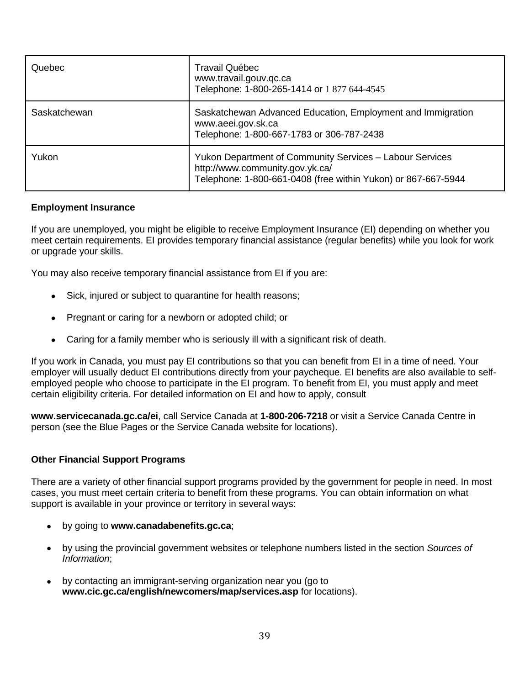| Quebec       | Travail Québec<br>www.travail.gouv.qc.ca<br>Telephone: 1-800-265-1414 or 1 877 644-4545                                                                      |
|--------------|--------------------------------------------------------------------------------------------------------------------------------------------------------------|
| Saskatchewan | Saskatchewan Advanced Education, Employment and Immigration<br>www.aeei.gov.sk.ca<br>Telephone: 1-800-667-1783 or 306-787-2438                               |
| Yukon        | Yukon Department of Community Services - Labour Services<br>http://www.community.gov.yk.ca/<br>Telephone: 1-800-661-0408 (free within Yukon) or 867-667-5944 |

#### **Employment Insurance**

If you are unemployed, you might be eligible to receive Employment Insurance (EI) depending on whether you meet certain requirements. EI provides temporary financial assistance (regular benefits) while you look for work or upgrade your skills.

You may also receive temporary financial assistance from EI if you are:

- Sick, injured or subject to quarantine for health reasons;
- Pregnant or caring for a newborn or adopted child; or
- Caring for a family member who is seriously ill with a significant risk of death.

If you work in Canada, you must pay EI contributions so that you can benefit from EI in a time of need. Your employer will usually deduct EI contributions directly from your paycheque. EI benefits are also available to selfemployed people who choose to participate in the EI program. To benefit from EI, you must apply and meet certain eligibility criteria. For detailed information on EI and how to apply, consult

**www.servicecanada.gc.ca/ei**, call Service Canada at **1-800-206-7218** or visit a Service Canada Centre in person (see the Blue Pages or the Service Canada website for locations).

#### **Other Financial Support Programs**

There are a variety of other financial support programs provided by the government for people in need. In most cases, you must meet certain criteria to benefit from these programs. You can obtain information on what support is available in your province or territory in several ways:

- by going to **[www.canadabenefits.gc.ca](http://www.canadabenefits.gc.ca/)**;
- by using the provincial government websites or telephone numbers listed in the section *Sources of Information*;
- by contacting an immigrant-serving organization near you (go to **www.cic.gc.ca/english/newcomers/map/services.asp** for locations).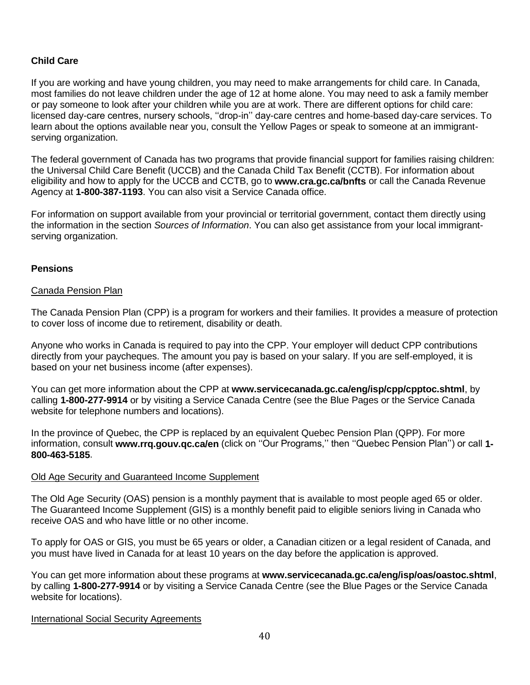## **Child Care**

If you are working and have young children, you may need to make arrangements for child care. In Canada, most families do not leave children under the age of 12 at home alone. You may need to ask a family member or pay someone to look after your children while you are at work. There are different options for child care: licensed day-care centres, nursery schools, ''drop-in'' day-care centres and home-based day-care services. To learn about the options available near you, consult the Yellow Pages or speak to someone at an immigrantserving organization.

The federal government of Canada has two programs that provide financial support for families raising children: the Universal Child Care Benefit (UCCB) and the Canada Child Tax Benefit (CCTB). For information about eligibility and how to apply for the UCCB and CCTB, go to **www.cra.gc.ca/bnfts** or call the Canada Revenue Agency at **1-800-387-1193**. You can also visit a Service Canada office.

For information on support available from your provincial or territorial government, contact them directly using the information in the section *Sources of Information*. You can also get assistance from your local immigrantserving organization.

#### **Pensions**

#### Canada Pension Plan

The Canada Pension Plan (CPP) is a program for workers and their families. It provides a measure of protection to cover loss of income due to retirement, disability or death.

Anyone who works in Canada is required to pay into the CPP. Your employer will deduct CPP contributions directly from your paycheques. The amount you pay is based on your salary. If you are self-employed, it is based on your net business income (after expenses).

You can get more information about the CPP at **www.servicecanada.gc.ca/eng/isp/cpp/cpptoc.shtml**, by calling **1-800-277-9914** or by visiting a Service Canada Centre (see the Blue Pages or the Service Canada website for telephone numbers and locations).

In the province of Quebec, the CPP is replaced by an equivalent Quebec Pension Plan (QPP). For more information, consult **www.rrq.gouv.qc.ca/en** (click on ''Our Programs,'' then ''Quebec Pension Plan'') or call **1- 800-463-5185**.

#### Old Age Security and Guaranteed Income Supplement

The Old Age Security (OAS) pension is a monthly payment that is available to most people aged 65 or older. The Guaranteed Income Supplement (GIS) is a monthly benefit paid to eligible seniors living in Canada who receive OAS and who have little or no other income.

To apply for OAS or GIS, you must be 65 years or older, a Canadian citizen or a legal resident of Canada, and you must have lived in Canada for at least 10 years on the day before the application is approved.

You can get more information about these programs at **www.servicecanada.gc.ca/eng/isp/oas/oastoc.shtml**, by calling **1-800-277-9914** or by visiting a Service Canada Centre (see the Blue Pages or the Service Canada website for locations).

#### International Social Security Agreements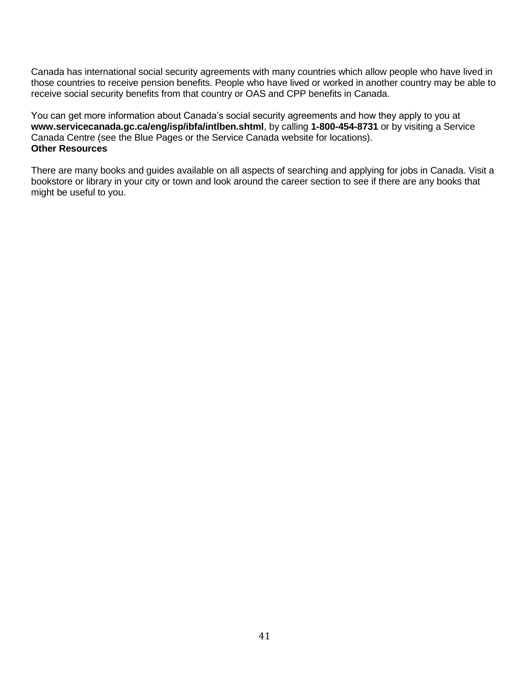Canada has international social security agreements with many countries which allow people who have lived in those countries to receive pension benefits. People who have lived or worked in another country may be able to receive social security benefits from that country or OAS and CPP benefits in Canada.

You can get more information about Canada's social security agreements and how they apply to you at **www.servicecanada.gc.ca/eng/isp/ibfa/intlben.shtml**, by calling **1-800-454-8731** or by visiting a Service Canada Centre (see the Blue Pages or the Service Canada website for locations). **Other Resources**

There are many books and guides available on all aspects of searching and applying for jobs in Canada. Visit a bookstore or library in your city or town and look around the career section to see if there are any books that might be useful to you.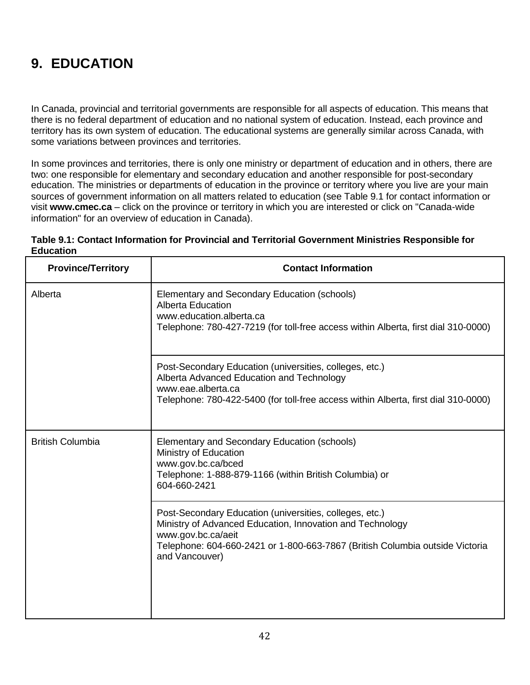# **9. EDUCATION**

In Canada, provincial and territorial governments are responsible for all aspects of education. This means that there is no federal department of education and no national system of education. Instead, each province and territory has its own system of education. The educational systems are generally similar across Canada, with some variations between provinces and territories.

In some provinces and territories, there is only one ministry or department of education and in others, there are two: one responsible for elementary and secondary education and another responsible for post-secondary education. The ministries or departments of education in the province or territory where you live are your main sources of government information on all matters related to education (see Table 9.1 for contact information or visit **www.cmec.ca** – click on the province or territory in which you are interested or click on "Canada-wide information" for an overview of education in Canada).

#### **Table 9.1: Contact Information for Provincial and Territorial Government Ministries Responsible for Education**

| <b>Province/Territory</b> | <b>Contact Information</b>                                                                                                                                                                                                                   |
|---------------------------|----------------------------------------------------------------------------------------------------------------------------------------------------------------------------------------------------------------------------------------------|
| Alberta                   | Elementary and Secondary Education (schools)<br><b>Alberta Education</b><br>www.education.alberta.ca<br>Telephone: 780-427-7219 (for toll-free access within Alberta, first dial 310-0000)                                                   |
|                           | Post-Secondary Education (universities, colleges, etc.)<br>Alberta Advanced Education and Technology<br>www.eae.alberta.ca<br>Telephone: 780-422-5400 (for toll-free access within Alberta, first dial 310-0000)                             |
| <b>British Columbia</b>   | Elementary and Secondary Education (schools)<br>Ministry of Education<br>www.gov.bc.ca/bced<br>Telephone: 1-888-879-1166 (within British Columbia) or<br>604-660-2421                                                                        |
|                           | Post-Secondary Education (universities, colleges, etc.)<br>Ministry of Advanced Education, Innovation and Technology<br>www.gov.bc.ca/aeit<br>Telephone: 604-660-2421 or 1-800-663-7867 (British Columbia outside Victoria<br>and Vancouver) |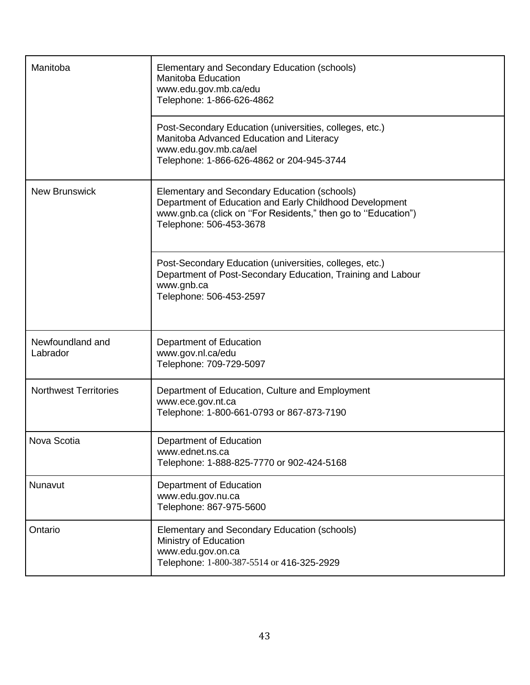| Manitoba                     | Elementary and Secondary Education (schools)<br><b>Manitoba Education</b><br>www.edu.gov.mb.ca/edu<br>Telephone: 1-866-626-4862                                                                     |
|------------------------------|-----------------------------------------------------------------------------------------------------------------------------------------------------------------------------------------------------|
|                              | Post-Secondary Education (universities, colleges, etc.)<br>Manitoba Advanced Education and Literacy<br>www.edu.gov.mb.ca/ael<br>Telephone: 1-866-626-4862 or 204-945-3744                           |
| <b>New Brunswick</b>         | Elementary and Secondary Education (schools)<br>Department of Education and Early Childhood Development<br>www.gnb.ca (click on "For Residents," then go to "Education")<br>Telephone: 506-453-3678 |
|                              | Post-Secondary Education (universities, colleges, etc.)<br>Department of Post-Secondary Education, Training and Labour<br>www.gnb.ca<br>Telephone: 506-453-2597                                     |
| Newfoundland and<br>Labrador | Department of Education<br>www.gov.nl.ca/edu<br>Telephone: 709-729-5097                                                                                                                             |
| <b>Northwest Territories</b> | Department of Education, Culture and Employment<br>www.ece.gov.nt.ca<br>Telephone: 1-800-661-0793 or 867-873-7190                                                                                   |
| Nova Scotia                  | Department of Education<br>www.ednet.ns.ca<br>Telephone: 1-888-825-7770 or 902-424-5168                                                                                                             |
| Nunavut                      | Department of Education<br>www.edu.gov.nu.ca<br>Telephone: 867-975-5600                                                                                                                             |
| Ontario                      | Elementary and Secondary Education (schools)<br>Ministry of Education<br>www.edu.gov.on.ca<br>Telephone: 1-800-387-5514 or 416-325-2929                                                             |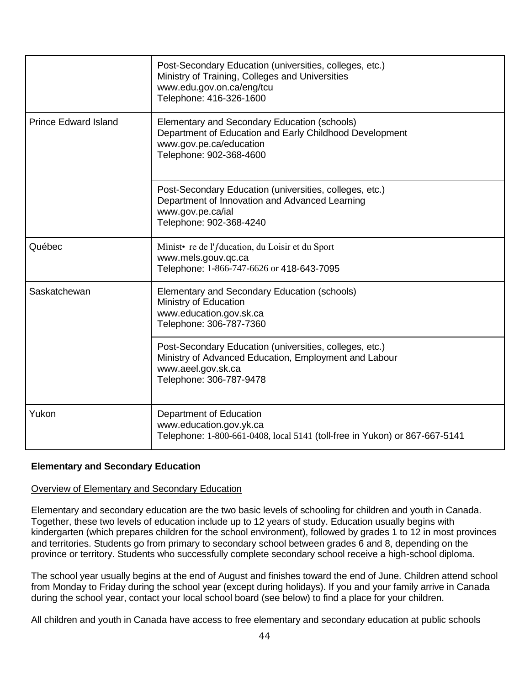|                             | Post-Secondary Education (universities, colleges, etc.)<br>Ministry of Training, Colleges and Universities<br>www.edu.gov.on.ca/eng/tcu<br>Telephone: 416-326-1600 |
|-----------------------------|--------------------------------------------------------------------------------------------------------------------------------------------------------------------|
| <b>Prince Edward Island</b> | Elementary and Secondary Education (schools)<br>Department of Education and Early Childhood Development<br>www.gov.pe.ca/education<br>Telephone: 902-368-4600      |
|                             | Post-Secondary Education (universities, colleges, etc.)<br>Department of Innovation and Advanced Learning<br>www.gov.pe.ca/ial<br>Telephone: 902-368-4240          |
| Québec                      | Minist • re de l' <i>f</i> ducation, du Loisir et du Sport<br>www.mels.gouv.qc.ca<br>Telephone: 1-866-747-6626 or 418-643-7095                                     |
| Saskatchewan                | Elementary and Secondary Education (schools)<br>Ministry of Education<br>www.education.gov.sk.ca<br>Telephone: 306-787-7360                                        |
|                             | Post-Secondary Education (universities, colleges, etc.)<br>Ministry of Advanced Education, Employment and Labour<br>www.aeel.gov.sk.ca<br>Telephone: 306-787-9478  |
| Yukon                       | Department of Education<br>www.education.gov.yk.ca<br>Telephone: 1-800-661-0408, local 5141 (toll-free in Yukon) or 867-667-5141                                   |

## **Elementary and Secondary Education**

#### Overview of Elementary and Secondary Education

Elementary and secondary education are the two basic levels of schooling for children and youth in Canada. Together, these two levels of education include up to 12 years of study. Education usually begins with kindergarten (which prepares children for the school environment), followed by grades 1 to 12 in most provinces and territories. Students go from primary to secondary school between grades 6 and 8, depending on the province or territory. Students who successfully complete secondary school receive a high-school diploma.

The school year usually begins at the end of August and finishes toward the end of June. Children attend school from Monday to Friday during the school year (except during holidays). If you and your family arrive in Canada during the school year, contact your local school board (see below) to find a place for your children.

All children and youth in Canada have access to free elementary and secondary education at public schools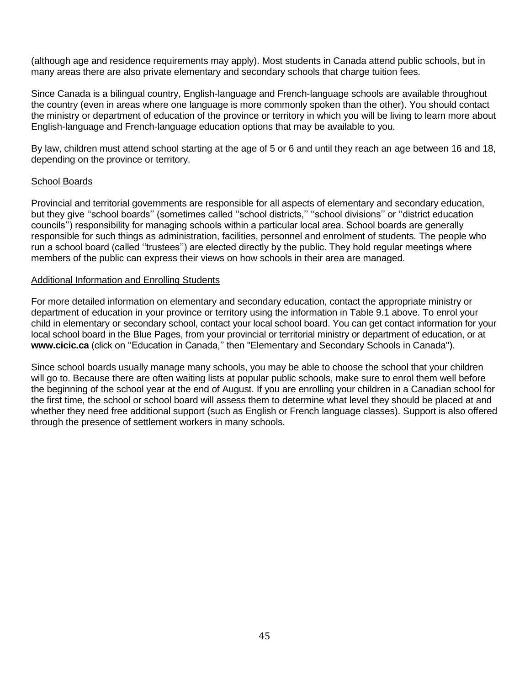(although age and residence requirements may apply). Most students in Canada attend public schools, but in many areas there are also private elementary and secondary schools that charge tuition fees.

Since Canada is a bilingual country, English-language and French-language schools are available throughout the country (even in areas where one language is more commonly spoken than the other). You should contact the ministry or department of education of the province or territory in which you will be living to learn more about English-language and French-language education options that may be available to you.

By law, children must attend school starting at the age of 5 or 6 and until they reach an age between 16 and 18, depending on the province or territory.

#### School Boards

Provincial and territorial governments are responsible for all aspects of elementary and secondary education, but they give ''school boards'' (sometimes called ''school districts,'' ''school divisions'' or ''district education councils'') responsibility for managing schools within a particular local area. School boards are generally responsible for such things as administration, facilities, personnel and enrolment of students. The people who run a school board (called ''trustees'') are elected directly by the public. They hold regular meetings where members of the public can express their views on how schools in their area are managed.

#### Additional Information and Enrolling Students

For more detailed information on elementary and secondary education, contact the appropriate ministry or department of education in your province or territory using the information in Table 9.1 above. To enrol your child in elementary or secondary school, contact your local school board. You can get contact information for your local school board in the Blue Pages, from your provincial or territorial ministry or department of education, or at **www.cicic.ca** (click on ''Education in Canada,'' then "Elementary and Secondary Schools in Canada").

Since school boards usually manage many schools, you may be able to choose the school that your children will go to. Because there are often waiting lists at popular public schools, make sure to enrol them well before the beginning of the school year at the end of August. If you are enrolling your children in a Canadian school for the first time, the school or school board will assess them to determine what level they should be placed at and whether they need free additional support (such as English or French language classes). Support is also offered through the presence of settlement workers in many schools.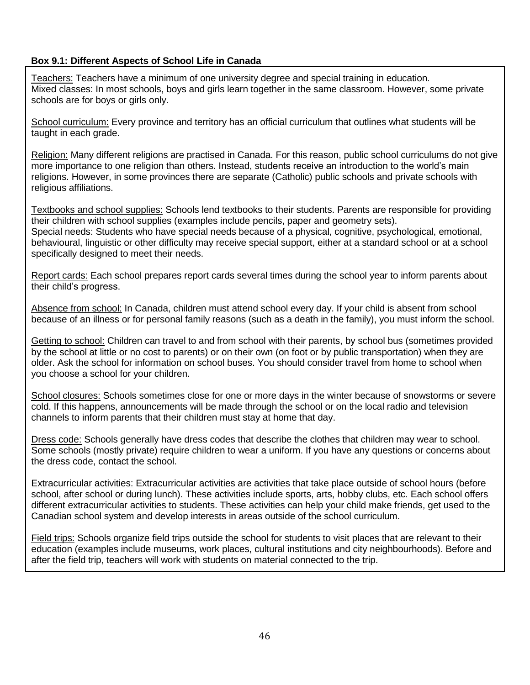## **Box 9.1: Different Aspects of School Life in Canada**

Teachers: Teachers have a minimum of one university degree and special training in education. Mixed classes: In most schools, boys and girls learn together in the same classroom. However, some private schools are for boys or girls only.

School curriculum: Every province and territory has an official curriculum that outlines what students will be taught in each grade.

Religion: Many different religions are practised in Canada. For this reason, public school curriculums do not give more importance to one religion than others. Instead, students receive an introduction to the world's main religions. However, in some provinces there are separate (Catholic) public schools and private schools with religious affiliations.

Textbooks and school supplies: Schools lend textbooks to their students. Parents are responsible for providing their children with school supplies (examples include pencils, paper and geometry sets). Special needs: Students who have special needs because of a physical, cognitive, psychological, emotional, behavioural, linguistic or other difficulty may receive special support, either at a standard school or at a school specifically designed to meet their needs.

Report cards: Each school prepares report cards several times during the school year to inform parents about their child's progress.

Absence from school: In Canada, children must attend school every day. If your child is absent from school because of an illness or for personal family reasons (such as a death in the family), you must inform the school.

Getting to school: Children can travel to and from school with their parents, by school bus (sometimes provided by the school at little or no cost to parents) or on their own (on foot or by public transportation) when they are older. Ask the school for information on school buses. You should consider travel from home to school when you choose a school for your children.

School closures: Schools sometimes close for one or more days in the winter because of snowstorms or severe cold. If this happens, announcements will be made through the school or on the local radio and television channels to inform parents that their children must stay at home that day.

Dress code: Schools generally have dress codes that describe the clothes that children may wear to school. Some schools (mostly private) require children to wear a uniform. If you have any questions or concerns about the dress code, contact the school.

Extracurricular activities: Extracurricular activities are activities that take place outside of school hours (before school, after school or during lunch). These activities include sports, arts, hobby clubs, etc. Each school offers different extracurricular activities to students. These activities can help your child make friends, get used to the Canadian school system and develop interests in areas outside of the school curriculum.

Field trips: Schools organize field trips outside the school for students to visit places that are relevant to their education (examples include museums, work places, cultural institutions and city neighbourhoods). Before and after the field trip, teachers will work with students on material connected to the trip.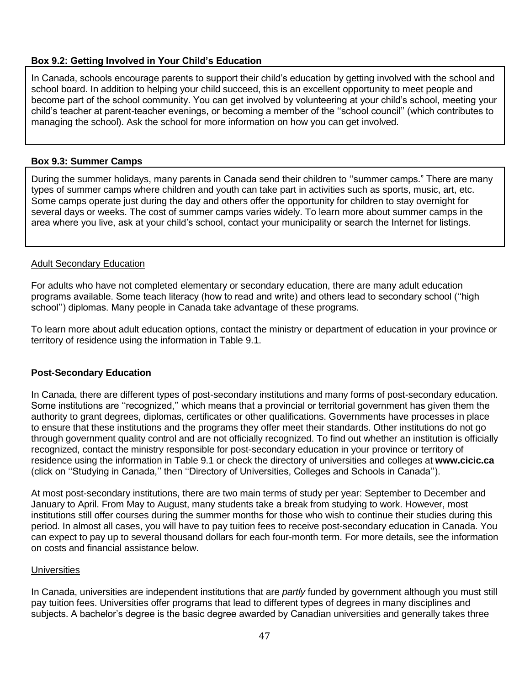## **Box 9.2: Getting Involved in Your Child's Education**

In Canada, schools encourage parents to support their child's education by getting involved with the school and school board. In addition to helping your child succeed, this is an excellent opportunity to meet people and become part of the school community. You can get involved by volunteering at your child's school, meeting your child's teacher at parent-teacher evenings, or becoming a member of the ''school council'' (which contributes to managing the school). Ask the school for more information on how you can get involved.

#### **Box 9.3: Summer Camps**

During the summer holidays, many parents in Canada send their children to ''summer camps." There are many types of summer camps where children and youth can take part in activities such as sports, music, art, etc. Some camps operate just during the day and others offer the opportunity for children to stay overnight for several days or weeks. The cost of summer camps varies widely. To learn more about summer camps in the area where you live, ask at your child's school, contact your municipality or search the Internet for listings.

## Adult Secondary Education

For adults who have not completed elementary or secondary education, there are many adult education programs available. Some teach literacy (how to read and write) and others lead to secondary school (''high school'') diplomas. Many people in Canada take advantage of these programs.

To learn more about adult education options, contact the ministry or department of education in your province or territory of residence using the information in Table 9.1.

## **Post-Secondary Education**

In Canada, there are different types of post-secondary institutions and many forms of post-secondary education. Some institutions are "recognized," which means that a provincial or territorial government has given them the authority to grant degrees, diplomas, certificates or other qualifications. Governments have processes in place to ensure that these institutions and the programs they offer meet their standards. Other institutions do not go through government quality control and are not officially recognized. To find out whether an institution is officially recognized, contact the ministry responsible for post-secondary education in your province or territory of residence using the information in Table 9.1 or check the directory of universities and colleges at **www.cicic.ca** (click on ''Studying in Canada,'' then ''Directory of Universities, Colleges and Schools in Canada'').

At most post-secondary institutions, there are two main terms of study per year: September to December and January to April. From May to August, many students take a break from studying to work. However, most institutions still offer courses during the summer months for those who wish to continue their studies during this period. In almost all cases, you will have to pay tuition fees to receive post-secondary education in Canada. You can expect to pay up to several thousand dollars for each four-month term. For more details, see the information on costs and financial assistance below.

#### **Universities**

In Canada, universities are independent institutions that are *partly* funded by government although you must still pay tuition fees. Universities offer programs that lead to different types of degrees in many disciplines and subjects. A bachelor's degree is the basic degree awarded by Canadian universities and generally takes three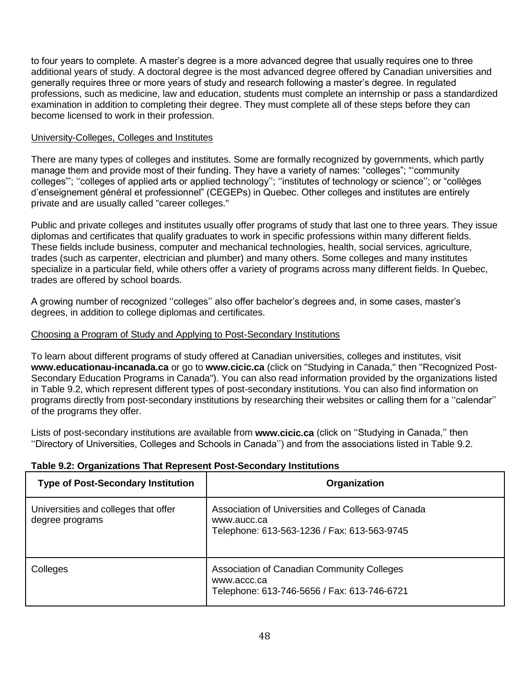to four years to complete. A master's degree is a more advanced degree that usually requires one to three additional years of study. A doctoral degree is the most advanced degree offered by Canadian universities and generally requires three or more years of study and research following a master's degree. In regulated professions, such as medicine, law and education, students must complete an internship or pass a standardized examination in addition to completing their degree. They must complete all of these steps before they can become licensed to work in their profession.

#### University-Colleges, Colleges and Institutes

There are many types of colleges and institutes. Some are formally recognized by governments, which partly manage them and provide most of their funding. They have a variety of names: "colleges"; "'community colleges"'; ''colleges of applied arts or applied technology''; ''institutes of technology or science''; or "collèges d'enseignement général et professionnel" (CEGEPs) in Quebec. Other colleges and institutes are entirely private and are usually called "career colleges."

Public and private colleges and institutes usually offer programs of study that last one to three years. They issue diplomas and certificates that qualify graduates to work in specific professions within many different fields. These fields include business, computer and mechanical technologies, health, social services, agriculture, trades (such as carpenter, electrician and plumber) and many others. Some colleges and many institutes specialize in a particular field, while others offer a variety of programs across many different fields. In Quebec, trades are offered by school boards.

A growing number of recognized ''colleges'' also offer bachelor's degrees and, in some cases, master's degrees, in addition to college diplomas and certificates.

#### Choosing a Program of Study and Applying to Post-Secondary Institutions

To learn about different programs of study offered at Canadian universities, colleges and institutes, visit **www.educationau-incanada.ca** or go to **www.cicic.ca** (click on ["Studying in Canada,](http://www.cicic.ca/386/studying-in-canada.canada)" then "Recognized Post-Secondary Education Programs in Canada"). You can also read information provided by the organizations listed in Table 9.2, which represent different types of post-secondary institutions. You can also find information on programs directly from post-secondary institutions by researching their websites or calling them for a ''calendar'' of the programs they offer.

Lists of post-secondary institutions are available from **www.cicic.ca** (click on ''Studying in Canada,'' then ''Directory of Universities, Colleges and Schools in Canada'') and from the associations listed in Table 9.2.

| <b>Type of Post-Secondary Institution</b>               | Organization                                                                                                     |
|---------------------------------------------------------|------------------------------------------------------------------------------------------------------------------|
| Universities and colleges that offer<br>degree programs | Association of Universities and Colleges of Canada<br>www.aucc.ca<br>Telephone: 613-563-1236 / Fax: 613-563-9745 |
| Colleges                                                | Association of Canadian Community Colleges<br>www.accc.ca<br>Telephone: 613-746-5656 / Fax: 613-746-6721         |

#### **Table 9.2: Organizations That Represent Post-Secondary Institutions**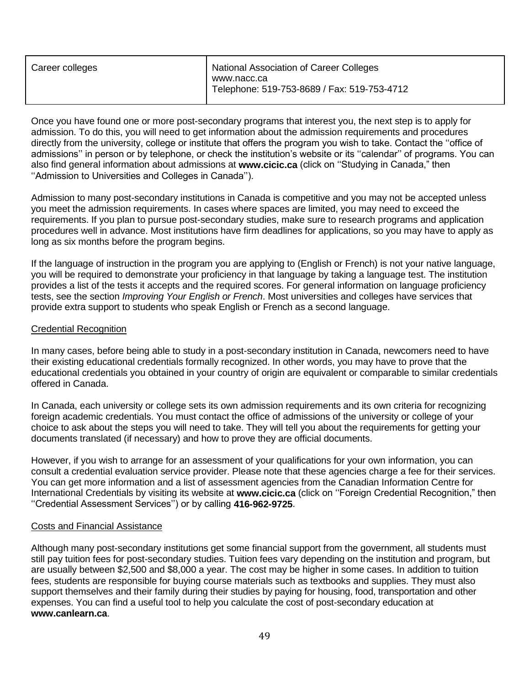| Career colleges | <b>National Association of Career Colleges</b>             |
|-----------------|------------------------------------------------------------|
|                 | www.nacc.ca<br>Telephone: 519-753-8689 / Fax: 519-753-4712 |

Once you have found one or more post-secondary programs that interest you, the next step is to apply for admission. To do this, you will need to get information about the admission requirements and procedures directly from the university, college or institute that offers the program you wish to take. Contact the ''office of admissions'' in person or by telephone, or check the institution's website or its ''calendar'' of programs. You can also find general information about admissions at **www.cicic.ca** (click on ''Studying in Canada," then ''Admission to Universities and Colleges in Canada'').

Admission to many post-secondary institutions in Canada is competitive and you may not be accepted unless you meet the admission requirements. In cases where spaces are limited, you may need to exceed the requirements. If you plan to pursue post-secondary studies, make sure to research programs and application procedures well in advance. Most institutions have firm deadlines for applications, so you may have to apply as long as six months before the program begins.

If the language of instruction in the program you are applying to (English or French) is not your native language, you will be required to demonstrate your proficiency in that language by taking a language test. The institution provides a list of the tests it accepts and the required scores. For general information on language proficiency tests, see the section *Improving Your English or French*. Most universities and colleges have services that provide extra support to students who speak English or French as a second language.

#### Credential Recognition

In many cases, before being able to study in a post-secondary institution in Canada, newcomers need to have their existing educational credentials formally recognized. In other words, you may have to prove that the educational credentials you obtained in your country of origin are equivalent or comparable to similar credentials offered in Canada.

In Canada, each university or college sets its own admission requirements and its own criteria for recognizing foreign academic credentials. You must contact the office of admissions of the university or college of your choice to ask about the steps you will need to take. They will tell you about the requirements for getting your documents translated (if necessary) and how to prove they are official documents.

However, if you wish to arrange for an assessment of your qualifications for your own information, you can consult a credential evaluation service provider. Please note that these agencies charge a fee for their services. You can get more information and a list of assessment agencies from the Canadian Information Centre for International Credentials by visiting its website at **www.cicic.ca** (click on ''Foreign Credential Recognition," then ''Credential Assessment Services'') or by calling **416-962-9725**.

#### Costs and Financial Assistance

Although many post-secondary institutions get some financial support from the government, all students must still pay tuition fees for post-secondary studies. Tuition fees vary depending on the institution and program, but are usually between \$2,500 and \$8,000 a year. The cost may be higher in some cases. In addition to tuition fees, students are responsible for buying course materials such as textbooks and supplies. They must also support themselves and their family during their studies by paying for housing, food, transportation and other expenses. You can find a useful tool to help you calculate the cost of post-secondary education at **[www.canlearn.ca](http://www.canlearn.ca/)**.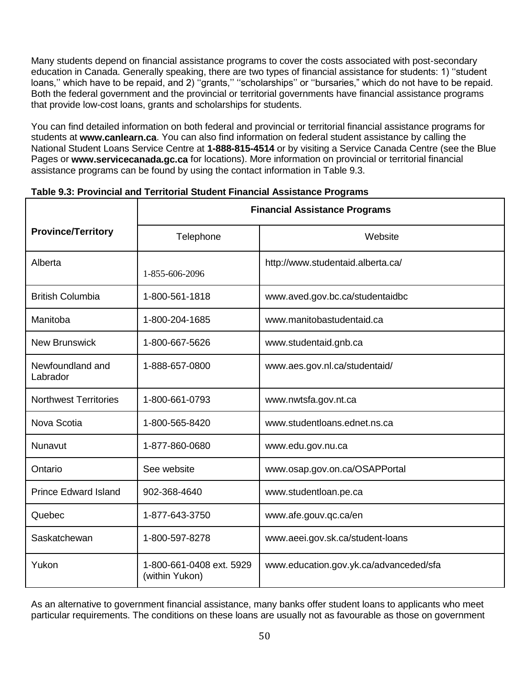Many students depend on financial assistance programs to cover the costs associated with post-secondary education in Canada. Generally speaking, there are two types of financial assistance for students: 1) ''student loans,'' which have to be repaid, and 2) ''grants,'' ''scholarships'' or ''bursaries," which do not have to be repaid. Both the federal government and the provincial or territorial governments have financial assistance programs that provide low-cost loans, grants and scholarships for students.

You can find detailed information on both federal and provincial or territorial financial assistance programs for students at **www.canlearn.ca**. You can also find information on federal student assistance by calling the National Student Loans Service Centre at **1-888-815-4514** or by visiting a Service Canada Centre (see the Blue Pages or **www.servicecanada.gc.ca** for locations). More information on provincial or territorial financial assistance programs can be found by using the contact information in Table 9.3.

|                              | <b>Financial Assistance Programs</b>       |                                        |  |
|------------------------------|--------------------------------------------|----------------------------------------|--|
| <b>Province/Territory</b>    | Telephone                                  | Website                                |  |
| Alberta                      | 1-855-606-2096                             | http://www.studentaid.alberta.ca/      |  |
| <b>British Columbia</b>      | 1-800-561-1818                             | www.aved.gov.bc.ca/studentaidbc        |  |
| Manitoba                     | 1-800-204-1685                             | www.manitobastudentaid.ca              |  |
| <b>New Brunswick</b>         | 1-800-667-5626                             | www.studentaid.gnb.ca                  |  |
| Newfoundland and<br>Labrador | 1-888-657-0800                             | www.aes.gov.nl.ca/studentaid/          |  |
| <b>Northwest Territories</b> | 1-800-661-0793                             | www.nwtsfa.gov.nt.ca                   |  |
| Nova Scotia                  | 1-800-565-8420                             | www.studentloans.ednet.ns.ca           |  |
| Nunavut                      | 1-877-860-0680                             | www.edu.gov.nu.ca                      |  |
| Ontario                      | See website                                | www.osap.gov.on.ca/OSAPPortal          |  |
| <b>Prince Edward Island</b>  | 902-368-4640                               | www.studentloan.pe.ca                  |  |
| Quebec                       | 1-877-643-3750                             | www.afe.gouv.qc.ca/en                  |  |
| Saskatchewan                 | 1-800-597-8278                             | www.aeei.gov.sk.ca/student-loans       |  |
| Yukon                        | 1-800-661-0408 ext. 5929<br>(within Yukon) | www.education.gov.yk.ca/advanceded/sfa |  |

## **Table 9.3: Provincial and Territorial Student Financial Assistance Programs**

As an alternative to government financial assistance, many banks offer student loans to applicants who meet particular requirements. The conditions on these loans are usually not as favourable as those on government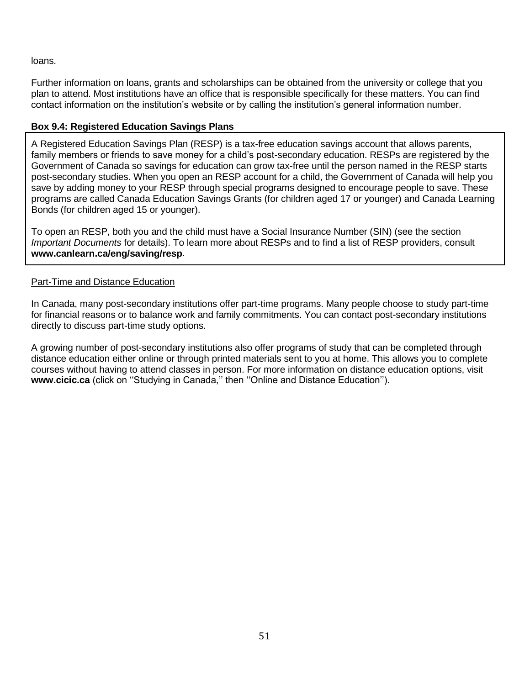loans.

Further information on loans, grants and scholarships can be obtained from the university or college that you plan to attend. Most institutions have an office that is responsible specifically for these matters. You can find contact information on the institution's website or by calling the institution's general information number.

## **Box 9.4: Registered Education Savings Plans**

A Registered Education Savings Plan (RESP) is a tax-free education savings account that allows parents, family members or friends to save money for a child's post-secondary education. RESPs are registered by the Government of Canada so savings for education can grow tax-free until the person named in the RESP starts post-secondary studies. When you open an RESP account for a child, the Government of Canada will help you save by adding money to your RESP through special programs designed to encourage people to save. These programs are called Canada Education Savings Grants (for children aged 17 or younger) and Canada Learning Bonds (for children aged 15 or younger).

To open an RESP, both you and the child must have a Social Insurance Number (SIN) (see the section *Important Documents* for details). To learn more about RESPs and to find a list of RESP providers, consult **www.canlearn.ca/eng/saving/resp**.

#### Part-Time and Distance Education

In Canada, many post-secondary institutions offer part-time programs. Many people choose to study part-time for financial reasons or to balance work and family commitments. You can contact post-secondary institutions directly to discuss part-time study options.

A growing number of post-secondary institutions also offer programs of study that can be completed through distance education either online or through printed materials sent to you at home. This allows you to complete courses without having to attend classes in person. For more information on distance education options, visit **www.cicic.ca** (click on ''Studying in Canada,'' then ''Online and Distance Education'').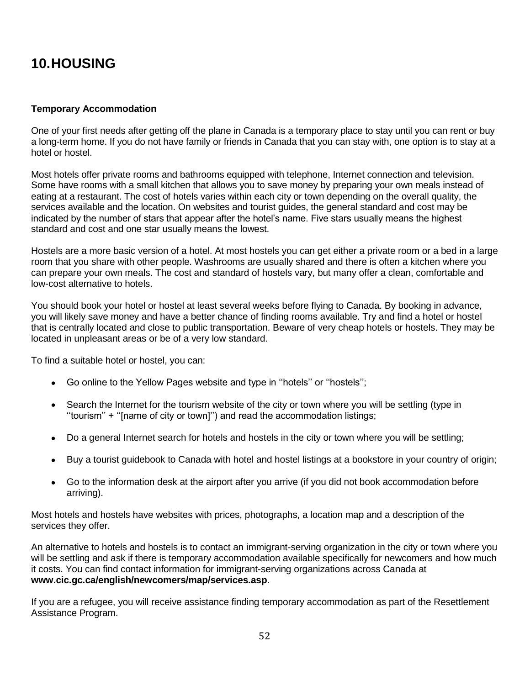## **10.HOUSING**

#### **Temporary Accommodation**

One of your first needs after getting off the plane in Canada is a temporary place to stay until you can rent or buy a long-term home. If you do not have family or friends in Canada that you can stay with, one option is to stay at a hotel or hostel.

Most hotels offer private rooms and bathrooms equipped with telephone, Internet connection and television. Some have rooms with a small kitchen that allows you to save money by preparing your own meals instead of eating at a restaurant. The cost of hotels varies within each city or town depending on the overall quality, the services available and the location. On websites and tourist guides, the general standard and cost may be indicated by the number of stars that appear after the hotel's name. Five stars usually means the highest standard and cost and one star usually means the lowest.

Hostels are a more basic version of a hotel. At most hostels you can get either a private room or a bed in a large room that you share with other people. Washrooms are usually shared and there is often a kitchen where you can prepare your own meals. The cost and standard of hostels vary, but many offer a clean, comfortable and low-cost alternative to hotels.

You should book your hotel or hostel at least several weeks before flying to Canada. By booking in advance, you will likely save money and have a better chance of finding rooms available. Try and find a hotel or hostel that is centrally located and close to public transportation. Beware of very cheap hotels or hostels. They may be located in unpleasant areas or be of a very low standard.

To find a suitable hotel or hostel, you can:

- Go online to the Yellow Pages website and type in ''hotels'' or ''hostels'';
- Search the Internet for the tourism website of the city or town where you will be settling (type in ''tourism'' + ''[name of city or town]'') and read the accommodation listings;
- Do a general Internet search for hotels and hostels in the city or town where you will be settling;
- Buy a tourist guidebook to Canada with hotel and hostel listings at a bookstore in your country of origin;
- Go to the information desk at the airport after you arrive (if you did not book accommodation before arriving).

Most hotels and hostels have websites with prices, photographs, a location map and a description of the services they offer.

An alternative to hotels and hostels is to contact an immigrant-serving organization in the city or town where you will be settling and ask if there is temporary accommodation available specifically for newcomers and how much it costs. You can find contact information for immigrant-serving organizations across Canada at **www.cic.gc.ca/english/newcomers/map/services.asp**.

If you are a refugee, you will receive assistance finding temporary accommodation as part of the Resettlement Assistance Program.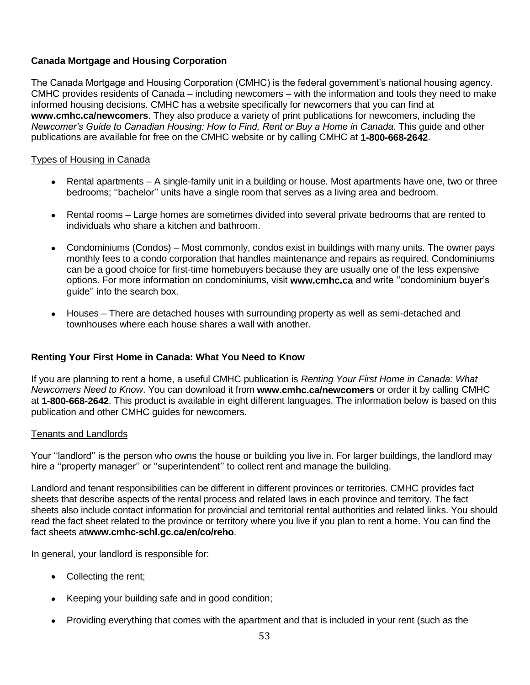## **Canada Mortgage and Housing Corporation**

The Canada Mortgage and Housing Corporation (CMHC) is the federal government's national housing agency. CMHC provides residents of Canada – including newcomers – with the information and tools they need to make informed housing decisions. CMHC has a website specifically for newcomers that you can find at **www.cmhc.ca/newcomers**. They also produce a variety of print publications for newcomers, including the *Newcomer's Guide to Canadian Housing: How to Find, Rent or Buy a Home in Canada*. This guide and other publications are available for free on the CMHC website or by calling CMHC at **1-800-668-2642**.

#### Types of Housing in Canada

- **•** Rental apartments  $A$  single-family unit in a building or house. Most apartments have one, two or three bedrooms; ''bachelor'' units have a single room that serves as a living area and bedroom.
- Rental rooms Large homes are sometimes divided into several private bedrooms that are rented to individuals who share a kitchen and bathroom.
- Condominiums (Condos) Most commonly, condos exist in buildings with many units. The owner pays monthly fees to a condo corporation that handles maintenance and repairs as required. Condominiums can be a good choice for first-time homebuyers because they are usually one of the less expensive options. For more information on condominiums, visit **www.cmhc.ca** and write ''condominium buyer's guide'' into the search box.
- Houses There are detached houses with surrounding property as well as semi-detached and townhouses where each house shares a wall with another.

#### **Renting Your First Home in Canada: What You Need to Know**

If you are planning to rent a home, a useful CMHC publication is *Renting Your First Home in Canada: What Newcomers Need to Know*. You can download it from **www.cmhc.ca/newcomers** or order it by calling CMHC at **1-800-668-2642**. This product is available in eight different languages. The information below is based on this publication and other CMHC guides for newcomers.

#### Tenants and Landlords

Your ''landlord'' is the person who owns the house or building you live in. For larger buildings, the landlord may hire a ''property manager'' or ''superintendent'' to collect rent and manage the building.

Landlord and tenant responsibilities can be different in different provinces or territories. CMHC provides fact sheets that describe aspects of the rental process and related laws in each province and territory. The fact sheets also include contact information for provincial and territorial rental authorities and related links. You should read the fact sheet related to the province or territory where you live if you plan to rent a home. You can find the fact sheets at**www.cmhc-schl.gc.ca/en/co/reho**.

In general, your landlord is responsible for:

- Collecting the rent;
- Keeping your building safe and in good condition;
- Providing everything that comes with the apartment and that is included in your rent (such as the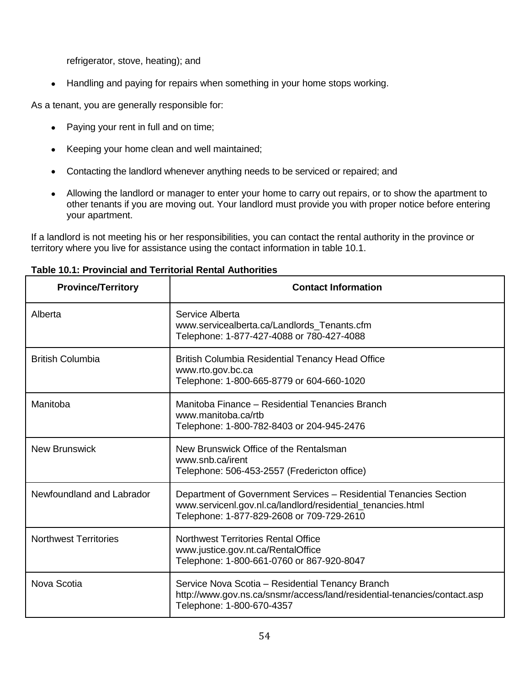refrigerator, stove, heating); and

• Handling and paying for repairs when something in your home stops working.

As a tenant, you are generally responsible for:

- Paying your rent in full and on time;
- Keeping your home clean and well maintained;
- Contacting the landlord whenever anything needs to be serviced or repaired; and
- Allowing the landlord or manager to enter your home to carry out repairs, or to show the apartment to other tenants if you are moving out. Your landlord must provide you with proper notice before entering your apartment.

If a landlord is not meeting his or her responsibilities, you can contact the rental authority in the province or territory where you live for assistance using the contact information in table 10.1.

|  |  |  |  | <b>Table 10.1: Provincial and Territorial Rental Authorities</b> |
|--|--|--|--|------------------------------------------------------------------|
|--|--|--|--|------------------------------------------------------------------|

| <b>Province/Territory</b>    | <b>Contact Information</b>                                                                                                                                                    |
|------------------------------|-------------------------------------------------------------------------------------------------------------------------------------------------------------------------------|
| Alberta                      | Service Alberta<br>www.servicealberta.ca/Landlords Tenants.cfm<br>Telephone: 1-877-427-4088 or 780-427-4088                                                                   |
| <b>British Columbia</b>      | <b>British Columbia Residential Tenancy Head Office</b><br>www.rto.gov.bc.ca<br>Telephone: 1-800-665-8779 or 604-660-1020                                                     |
| Manitoba                     | Manitoba Finance - Residential Tenancies Branch<br>www.manitoba.ca/rtb<br>Telephone: 1-800-782-8403 or 204-945-2476                                                           |
| <b>New Brunswick</b>         | New Brunswick Office of the Rentalsman<br>www.snb.ca/irent<br>Telephone: 506-453-2557 (Fredericton office)                                                                    |
| Newfoundland and Labrador    | Department of Government Services - Residential Tenancies Section<br>www.servicenl.gov.nl.ca/landlord/residential_tenancies.html<br>Telephone: 1-877-829-2608 or 709-729-2610 |
| <b>Northwest Territories</b> | <b>Northwest Territories Rental Office</b><br>www.justice.gov.nt.ca/RentalOffice<br>Telephone: 1-800-661-0760 or 867-920-8047                                                 |
| Nova Scotia                  | Service Nova Scotia - Residential Tenancy Branch<br>http://www.gov.ns.ca/snsmr/access/land/residential-tenancies/contact.asp<br>Telephone: 1-800-670-4357                     |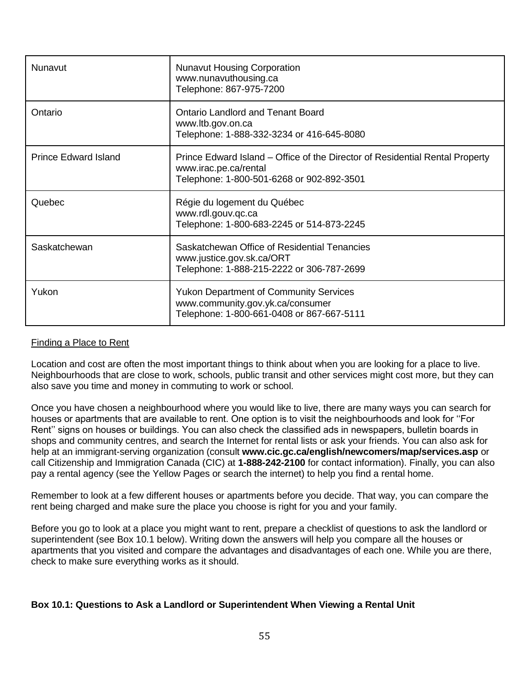| Nunavut                     | <b>Nunavut Housing Corporation</b><br>www.nunavuthousing.ca<br>Telephone: 867-975-7200                                                             |
|-----------------------------|----------------------------------------------------------------------------------------------------------------------------------------------------|
| Ontario                     | <b>Ontario Landlord and Tenant Board</b><br>www.ltb.gov.on.ca<br>Telephone: 1-888-332-3234 or 416-645-8080                                         |
| <b>Prince Edward Island</b> | Prince Edward Island – Office of the Director of Residential Rental Property<br>www.irac.pe.ca/rental<br>Telephone: 1-800-501-6268 or 902-892-3501 |
| Quebec                      | Régie du logement du Québec<br>www.rdl.gouv.gc.ca<br>Telephone: 1-800-683-2245 or 514-873-2245                                                     |
| Saskatchewan                | Saskatchewan Office of Residential Tenancies<br>www.justice.gov.sk.ca/ORT<br>Telephone: 1-888-215-2222 or 306-787-2699                             |
| Yukon                       | <b>Yukon Department of Community Services</b><br>www.community.gov.yk.ca/consumer<br>Telephone: 1-800-661-0408 or 867-667-5111                     |

## Finding a Place to Rent

Location and cost are often the most important things to think about when you are looking for a place to live. Neighbourhoods that are close to work, schools, public transit and other services might cost more, but they can also save you time and money in commuting to work or school.

Once you have chosen a neighbourhood where you would like to live, there are many ways you can search for houses or apartments that are available to rent. One option is to visit the neighbourhoods and look for ''For Rent'' signs on houses or buildings. You can also check the classified ads in newspapers, bulletin boards in shops and community centres, and search the Internet for rental lists or ask your friends. You can also ask for help at an immigrant-serving organization (consult **www.cic.gc.ca/english/newcomers/map/services.asp** or call Citizenship and Immigration Canada (CIC) at **1-888-242-2100** for contact information). Finally, you can also pay a rental agency (see the Yellow Pages or search the internet) to help you find a rental home.

Remember to look at a few different houses or apartments before you decide. That way, you can compare the rent being charged and make sure the place you choose is right for you and your family.

Before you go to look at a place you might want to rent, prepare a checklist of questions to ask the landlord or superintendent (see Box 10.1 below). Writing down the answers will help you compare all the houses or apartments that you visited and compare the advantages and disadvantages of each one. While you are there, check to make sure everything works as it should.

#### **Box 10.1: Questions to Ask a Landlord or Superintendent When Viewing a Rental Unit**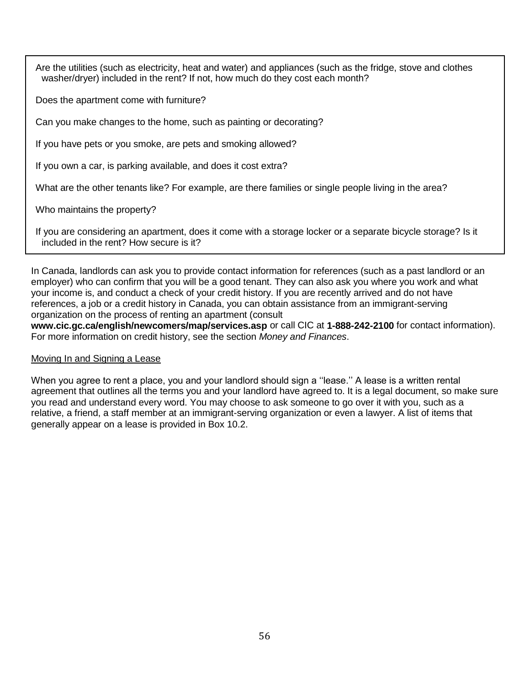Are the utilities (such as electricity, heat and water) and appliances (such as the fridge, stove and clothes washer/dryer) included in the rent? If not, how much do they cost each month?

Does the apartment come with furniture?

Can you make changes to the home, such as painting or decorating?

If you have pets or you smoke, are pets and smoking allowed?

If you own a car, is parking available, and does it cost extra?

What are the other tenants like? For example, are there families or single people living in the area?

Who maintains the property?

If you are considering an apartment, does it come with a storage locker or a separate bicycle storage? Is it included in the rent? How secure is it?

In Canada, landlords can ask you to provide contact information for references (such as a past landlord or an employer) who can confirm that you will be a good tenant. They can also ask you where you work and what your income is, and conduct a check of your credit history. If you are recently arrived and do not have references, a job or a credit history in Canada, you can obtain assistance from an immigrant-serving organization on the process of renting an apartment (consult

**www.cic.gc.ca/english/newcomers/map/services.asp** or call CIC at **1-888-242-2100** for contact information). For more information on credit history, see the section *Money and Finances*.

#### Moving In and Signing a Lease

When you agree to rent a place, you and your landlord should sign a "lease." A lease is a written rental agreement that outlines all the terms you and your landlord have agreed to. It is a legal document, so make sure you read and understand every word. You may choose to ask someone to go over it with you, such as a relative, a friend, a staff member at an immigrant-serving organization or even a lawyer. A list of items that generally appear on a lease is provided in Box 10.2.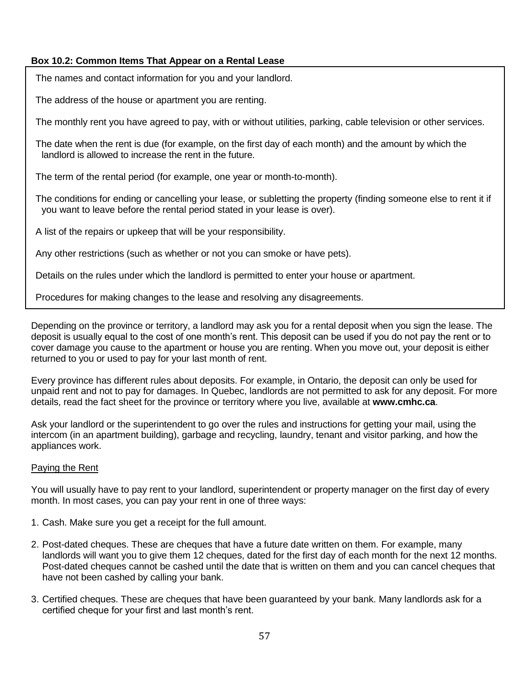## **Box 10.2: Common Items That Appear on a Rental Lease**

The names and contact information for you and your landlord.

The address of the house or apartment you are renting.

The monthly rent you have agreed to pay, with or without utilities, parking, cable television or other services.

The date when the rent is due (for example, on the first day of each month) and the amount by which the landlord is allowed to increase the rent in the future.

The term of the rental period (for example, one year or month-to-month).

The conditions for ending or cancelling your lease, or subletting the property (finding someone else to rent it if you want to leave before the rental period stated in your lease is over).

A list of the repairs or upkeep that will be your responsibility.

Any other restrictions (such as whether or not you can smoke or have pets).

Details on the rules under which the landlord is permitted to enter your house or apartment.

Procedures for making changes to the lease and resolving any disagreements.

Depending on the province or territory, a landlord may ask you for a rental deposit when you sign the lease. The deposit is usually equal to the cost of one month's rent. This deposit can be used if you do not pay the rent or to cover damage you cause to the apartment or house you are renting. When you move out, your deposit is either returned to you or used to pay for your last month of rent.

Every province has different rules about deposits. For example, in Ontario, the deposit can only be used for unpaid rent and not to pay for damages. In Quebec, landlords are not permitted to ask for any deposit. For more details, read the fact sheet for the province or territory where you live, available at **www.cmhc.ca**.

Ask your landlord or the superintendent to go over the rules and instructions for getting your mail, using the intercom (in an apartment building), garbage and recycling, laundry, tenant and visitor parking, and how the appliances work.

#### Paying the Rent

You will usually have to pay rent to your landlord, superintendent or property manager on the first day of every month. In most cases, you can pay your rent in one of three ways:

- 1. Cash. Make sure you get a receipt for the full amount.
- 2. Post-dated cheques. These are cheques that have a future date written on them. For example, many landlords will want you to give them 12 cheques, dated for the first day of each month for the next 12 months. Post-dated cheques cannot be cashed until the date that is written on them and you can cancel cheques that have not been cashed by calling your bank.
- 3. Certified cheques. These are cheques that have been guaranteed by your bank. Many landlords ask for a certified cheque for your first and last month's rent.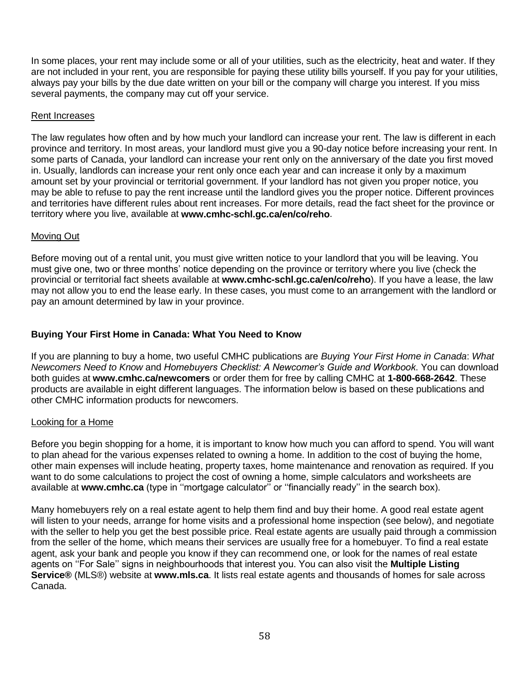In some places, your rent may include some or all of your utilities, such as the electricity, heat and water. If they are not included in your rent, you are responsible for paying these utility bills yourself. If you pay for your utilities, always pay your bills by the due date written on your bill or the company will charge you interest. If you miss several payments, the company may cut off your service.

#### Rent Increases

The law regulates how often and by how much your landlord can increase your rent. The law is different in each province and territory. In most areas, your landlord must give you a 90-day notice before increasing your rent. In some parts of Canada, your landlord can increase your rent only on the anniversary of the date you first moved in. Usually, landlords can increase your rent only once each year and can increase it only by a maximum amount set by your provincial or territorial government. If your landlord has not given you proper notice, you may be able to refuse to pay the rent increase until the landlord gives you the proper notice. Different provinces and territories have different rules about rent increases. For more details, read the fact sheet for the province or territory where you live, available at **www.cmhc-schl.gc.ca/en/co/reho**.

#### Moving Out

Before moving out of a rental unit, you must give written notice to your landlord that you will be leaving. You must give one, two or three months' notice depending on the province or territory where you live (check the provincial or territorial fact sheets available at **www.cmhc-schl.gc.ca/en/co/reho**). If you have a lease, the law may not allow you to end the lease early. In these cases, you must come to an arrangement with the landlord or pay an amount determined by law in your province.

#### **Buying Your First Home in Canada: What You Need to Know**

If you are planning to buy a home, two useful CMHC publications are *Buying Your First Home in Canada*: *What Newcomers Need to Know* and *Homebuyers Checklist: A Newcomer's Guide and Workbook*. You can download both guides at **www.cmhc.ca/newcomers** or order them for free by calling CMHC at **1-800-668-2642**. These products are available in eight different languages. The information below is based on these publications and other CMHC information products for newcomers.

#### Looking for a Home

Before you begin shopping for a home, it is important to know how much you can afford to spend. You will want to plan ahead for the various expenses related to owning a home. In addition to the cost of buying the home, other main expenses will include heating, property taxes, home maintenance and renovation as required. If you want to do some calculations to project the cost of owning a home, simple calculators and worksheets are available at **www.cmhc.ca** (type in ''mortgage calculator'' or ''financially ready'' in the search box).

Many homebuyers rely on a real estate agent to help them find and buy their home. A good real estate agent will listen to your needs, arrange for home visits and a professional home inspection (see below), and negotiate with the seller to help you get the best possible price. Real estate agents are usually paid through a commission from the seller of the home, which means their services are usually free for a homebuyer. To find a real estate agent, ask your bank and people you know if they can recommend one, or look for the names of real estate agents on ''For Sale'' signs in neighbourhoods that interest you. You can also visit the **Multiple Listing Service®** (MLS®) website at **www.mls.ca**. It lists real estate agents and thousands of homes for sale across Canada.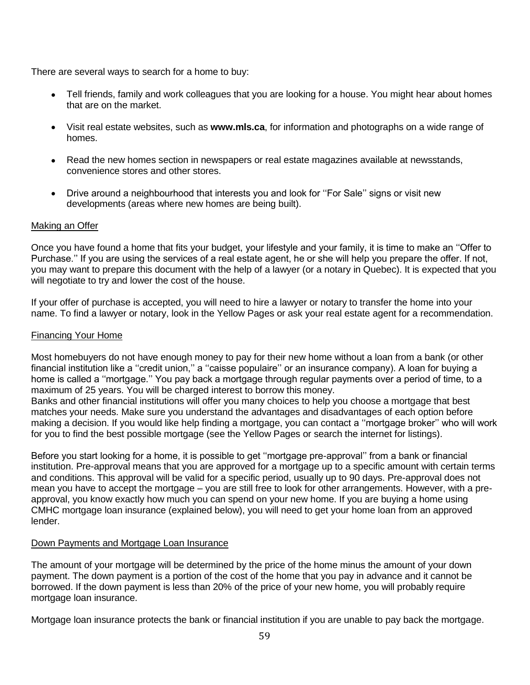There are several ways to search for a home to buy:

- Tell friends, family and work colleagues that you are looking for a house. You might hear about homes that are on the market.
- Visit real estate websites, such as **www.mls.ca**, for information and photographs on a wide range of homes.
- Read the new homes section in newspapers or real estate magazines available at newsstands, convenience stores and other stores.
- Drive around a neighbourhood that interests you and look for "For Sale" signs or visit new developments (areas where new homes are being built).

#### Making an Offer

Once you have found a home that fits your budget, your lifestyle and your family, it is time to make an ''Offer to Purchase.'' If you are using the services of a real estate agent, he or she will help you prepare the offer. If not, you may want to prepare this document with the help of a lawyer (or a notary in Quebec). It is expected that you will negotiate to try and lower the cost of the house.

If your offer of purchase is accepted, you will need to hire a lawyer or notary to transfer the home into your name. To find a lawyer or notary, look in the Yellow Pages or ask your real estate agent for a recommendation.

#### Financing Your Home

Most homebuyers do not have enough money to pay for their new home without a loan from a bank (or other financial institution like a "credit union," a "caisse populaire" or an insurance company). A loan for buying a home is called a "mortgage." You pay back a mortgage through regular payments over a period of time, to a maximum of 25 years. You will be charged interest to borrow this money.

Banks and other financial institutions will offer you many choices to help you choose a mortgage that best matches your needs. Make sure you understand the advantages and disadvantages of each option before making a decision. If you would like help finding a mortgage, you can contact a ''mortgage broker'' who will work for you to find the best possible mortgage (see the Yellow Pages or search the internet for listings).

Before you start looking for a home, it is possible to get ''mortgage pre-approval'' from a bank or financial institution. Pre-approval means that you are approved for a mortgage up to a specific amount with certain terms and conditions. This approval will be valid for a specific period, usually up to 90 days. Pre-approval does not mean you have to accept the mortgage – you are still free to look for other arrangements. However, with a preapproval, you know exactly how much you can spend on your new home. If you are buying a home using CMHC mortgage loan insurance (explained below), you will need to get your home loan from an approved lender.

#### Down Payments and Mortgage Loan Insurance

The amount of your mortgage will be determined by the price of the home minus the amount of your down payment. The down payment is a portion of the cost of the home that you pay in advance and it cannot be borrowed. If the down payment is less than 20% of the price of your new home, you will probably require mortgage loan insurance.

Mortgage loan insurance protects the bank or financial institution if you are unable to pay back the mortgage.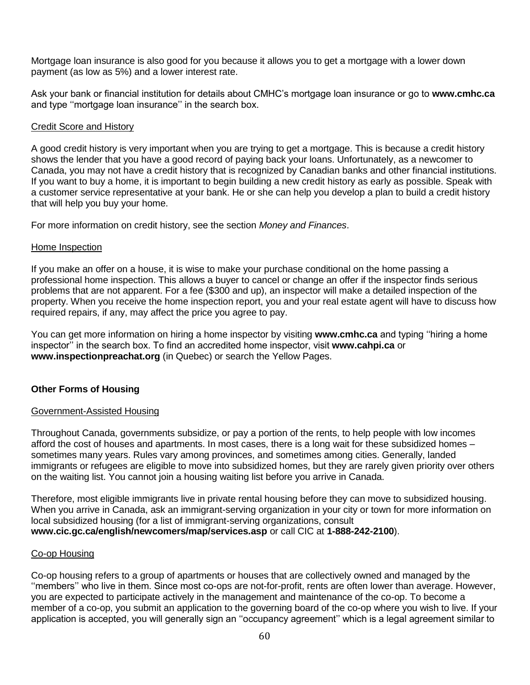Mortgage loan insurance is also good for you because it allows you to get a mortgage with a lower down payment (as low as 5%) and a lower interest rate.

Ask your bank or financial institution for details about CMHC's mortgage loan insurance or go to **www.cmhc.ca** and type ''mortgage loan insurance'' in the search box.

## Credit Score and History

A good credit history is very important when you are trying to get a mortgage. This is because a credit history shows the lender that you have a good record of paying back your loans. Unfortunately, as a newcomer to Canada, you may not have a credit history that is recognized by Canadian banks and other financial institutions. If you want to buy a home, it is important to begin building a new credit history as early as possible. Speak with a customer service representative at your bank. He or she can help you develop a plan to build a credit history that will help you buy your home.

For more information on credit history, see the section *Money and Finances*.

#### Home Inspection

If you make an offer on a house, it is wise to make your purchase conditional on the home passing a professional home inspection. This allows a buyer to cancel or change an offer if the inspector finds serious problems that are not apparent. For a fee (\$300 and up), an inspector will make a detailed inspection of the property. When you receive the home inspection report, you and your real estate agent will have to discuss how required repairs, if any, may affect the price you agree to pay.

You can get more information on hiring a home inspector by visiting **www.cmhc.ca** and typing ''hiring a home inspector'' in the search box. To find an accredited home inspector, visit **www.cahpi.ca** or **www.inspectionpreachat.org** (in Quebec) or search the Yellow Pages.

#### **Other Forms of Housing**

#### Government-Assisted Housing

Throughout Canada, governments subsidize, or pay a portion of the rents, to help people with low incomes afford the cost of houses and apartments. In most cases, there is a long wait for these subsidized homes – sometimes many years. Rules vary among provinces, and sometimes among cities. Generally, landed immigrants or refugees are eligible to move into subsidized homes, but they are rarely given priority over others on the waiting list. You cannot join a housing waiting list before you arrive in Canada.

Therefore, most eligible immigrants live in private rental housing before they can move to subsidized housing. When you arrive in Canada, ask an immigrant-serving organization in your city or town for more information on local subsidized housing (for a list of immigrant-serving organizations, consult **www.cic.gc.ca/english/newcomers/map/services.asp** or call CIC at **1-888-242-2100**).

#### Co-op Housing

Co-op housing refers to a group of apartments or houses that are collectively owned and managed by the ''members'' who live in them. Since most co-ops are not-for-profit, rents are often lower than average. However, you are expected to participate actively in the management and maintenance of the co-op. To become a member of a co-op, you submit an application to the governing board of the co-op where you wish to live. If your application is accepted, you will generally sign an ''occupancy agreement'' which is a legal agreement similar to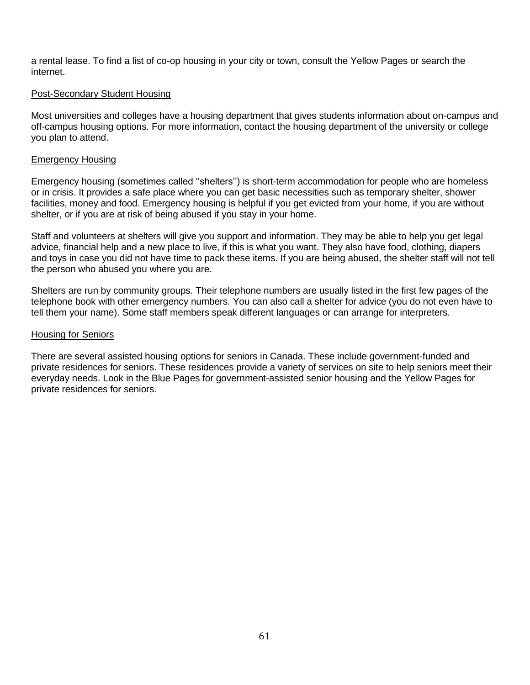a rental lease. To find a list of co-op housing in your city or town, consult the Yellow Pages or search the internet.

#### Post-Secondary Student Housing

Most universities and colleges have a housing department that gives students information about on-campus and off-campus housing options. For more information, contact the housing department of the university or college you plan to attend.

#### Emergency Housing

Emergency housing (sometimes called ''shelters'') is short-term accommodation for people who are homeless or in crisis. It provides a safe place where you can get basic necessities such as temporary shelter, shower facilities, money and food. Emergency housing is helpful if you get evicted from your home, if you are without shelter, or if you are at risk of being abused if you stay in your home.

Staff and volunteers at shelters will give you support and information. They may be able to help you get legal advice, financial help and a new place to live, if this is what you want. They also have food, clothing, diapers and toys in case you did not have time to pack these items. If you are being abused, the shelter staff will not tell the person who abused you where you are.

Shelters are run by community groups. Their telephone numbers are usually listed in the first few pages of the telephone book with other emergency numbers. You can also call a shelter for advice (you do not even have to tell them your name). Some staff members speak different languages or can arrange for interpreters.

#### Housing for Seniors

There are several assisted housing options for seniors in Canada. These include government-funded and private residences for seniors. These residences provide a variety of services on site to help seniors meet their everyday needs. Look in the Blue Pages for government-assisted senior housing and the Yellow Pages for private residences for seniors.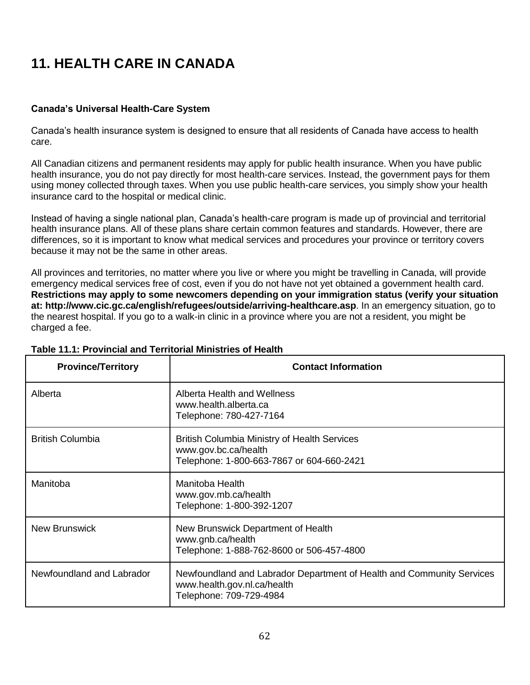# **11. HEALTH CARE IN CANADA**

## **Canada's Universal Health-Care System**

Canada's health insurance system is designed to ensure that all residents of Canada have access to health care.

All Canadian citizens and permanent residents may apply for public health insurance. When you have public health insurance, you do not pay directly for most health-care services. Instead, the government pays for them using money collected through taxes. When you use public health-care services, you simply show your health insurance card to the hospital or medical clinic.

Instead of having a single national plan, Canada's health-care program is made up of provincial and territorial health insurance plans. All of these plans share certain common features and standards. However, there are differences, so it is important to know what medical services and procedures your province or territory covers because it may not be the same in other areas.

All provinces and territories, no matter where you live or where you might be travelling in Canada, will provide emergency medical services free of cost, even if you do not have not yet obtained a government health card. **Restrictions may apply to some newcomers depending on your immigration status (verify your situation at: http://www.cic.gc.ca/english/refugees/outside/arriving-healthcare.asp**. In an emergency situation, go to the nearest hospital. If you go to a walk-in clinic in a province where you are not a resident, you might be charged a fee.

| <b>Province/Territory</b> | <b>Contact Information</b>                                                                                                      |
|---------------------------|---------------------------------------------------------------------------------------------------------------------------------|
| Alberta                   | Alberta Health and Wellness<br>www.health.alberta.ca<br>Telephone: 780-427-7164                                                 |
| <b>British Columbia</b>   | <b>British Columbia Ministry of Health Services</b><br>www.gov.bc.ca/health<br>Telephone: 1-800-663-7867 or 604-660-2421        |
| Manitoba                  | Manitoba Health<br>www.gov.mb.ca/health<br>Telephone: 1-800-392-1207                                                            |
| <b>New Brunswick</b>      | New Brunswick Department of Health<br>www.gnb.ca/health<br>Telephone: 1-888-762-8600 or 506-457-4800                            |
| Newfoundland and Labrador | Newfoundland and Labrador Department of Health and Community Services<br>www.health.gov.nl.ca/health<br>Telephone: 709-729-4984 |

## **Table 11.1: Provincial and Territorial Ministries of Health**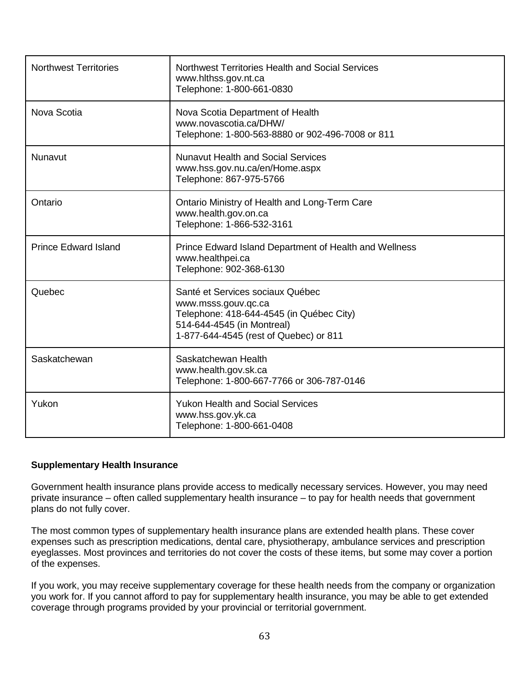| <b>Northwest Territories</b> | Northwest Territories Health and Social Services<br>www.hlthss.gov.nt.ca<br>Telephone: 1-800-661-0830                                                                       |
|------------------------------|-----------------------------------------------------------------------------------------------------------------------------------------------------------------------------|
| Nova Scotia                  | Nova Scotia Department of Health<br>www.novascotia.ca/DHW/<br>Telephone: 1-800-563-8880 or 902-496-7008 or 811                                                              |
| Nunavut                      | <b>Nunavut Health and Social Services</b><br>www.hss.gov.nu.ca/en/Home.aspx<br>Telephone: 867-975-5766                                                                      |
| Ontario                      | Ontario Ministry of Health and Long-Term Care<br>www.health.gov.on.ca<br>Telephone: 1-866-532-3161                                                                          |
| <b>Prince Edward Island</b>  | Prince Edward Island Department of Health and Wellness<br>www.healthpei.ca<br>Telephone: 902-368-6130                                                                       |
| Quebec                       | Santé et Services sociaux Québec<br>www.msss.gouv.qc.ca<br>Telephone: 418-644-4545 (in Québec City)<br>514-644-4545 (in Montreal)<br>1-877-644-4545 (rest of Quebec) or 811 |
| Saskatchewan                 | Saskatchewan Health<br>www.health.gov.sk.ca<br>Telephone: 1-800-667-7766 or 306-787-0146                                                                                    |
| Yukon                        | <b>Yukon Health and Social Services</b><br>www.hss.gov.yk.ca<br>Telephone: 1-800-661-0408                                                                                   |

#### **Supplementary Health Insurance**

Government health insurance plans provide access to medically necessary services. However, you may need private insurance – often called supplementary health insurance – to pay for health needs that government plans do not fully cover.

The most common types of supplementary health insurance plans are extended health plans. These cover expenses such as prescription medications, dental care, physiotherapy, ambulance services and prescription eyeglasses. Most provinces and territories do not cover the costs of these items, but some may cover a portion of the expenses.

If you work, you may receive supplementary coverage for these health needs from the company or organization you work for. If you cannot afford to pay for supplementary health insurance, you may be able to get extended coverage through programs provided by your provincial or territorial government.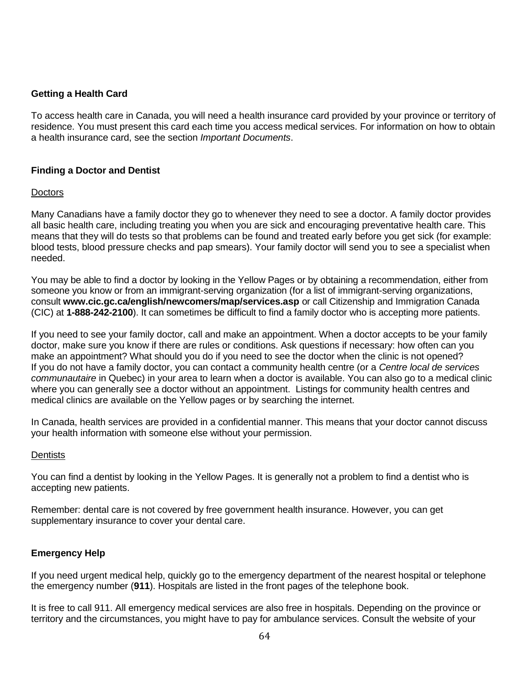#### **Getting a Health Card**

To access health care in Canada, you will need a health insurance card provided by your province or territory of residence. You must present this card each time you access medical services. For information on how to obtain a health insurance card, see the section *Important Documents*.

#### **Finding a Doctor and Dentist**

#### **Doctors**

Many Canadians have a family doctor they go to whenever they need to see a doctor. A family doctor provides all basic health care, including treating you when you are sick and encouraging preventative health care. This means that they will do tests so that problems can be found and treated early before you get sick (for example: blood tests, blood pressure checks and pap smears). Your family doctor will send you to see a specialist when needed.

You may be able to find a doctor by looking in the Yellow Pages or by obtaining a recommendation, either from someone you know or from an immigrant-serving organization (for a list of immigrant-serving organizations, consult **www.cic.gc.ca/english/newcomers/map/services.asp** or call Citizenship and Immigration Canada (CIC) at **1-888-242-2100**). It can sometimes be difficult to find a family doctor who is accepting more patients.

If you need to see your family doctor, call and make an appointment. When a doctor accepts to be your family doctor, make sure you know if there are rules or conditions. Ask questions if necessary: how often can you make an appointment? What should you do if you need to see the doctor when the clinic is not opened? If you do not have a family doctor, you can contact a community health centre (or a *Centre local de services communautaire* in Quebec) in your area to learn when a doctor is available. You can also go to a medical clinic where you can generally see a doctor without an appointment. Listings for community health centres and medical clinics are available on the Yellow pages or by searching the internet.

In Canada, health services are provided in a confidential manner. This means that your doctor cannot discuss your health information with someone else without your permission.

#### **Dentists**

You can find a dentist by looking in the Yellow Pages. It is generally not a problem to find a dentist who is accepting new patients.

Remember: dental care is not covered by free government health insurance. However, you can get supplementary insurance to cover your dental care.

#### **Emergency Help**

If you need urgent medical help, quickly go to the emergency department of the nearest hospital or telephone the emergency number (**911**). Hospitals are listed in the front pages of the telephone book.

It is free to call 911. All emergency medical services are also free in hospitals. Depending on the province or territory and the circumstances, you might have to pay for ambulance services. Consult the website of your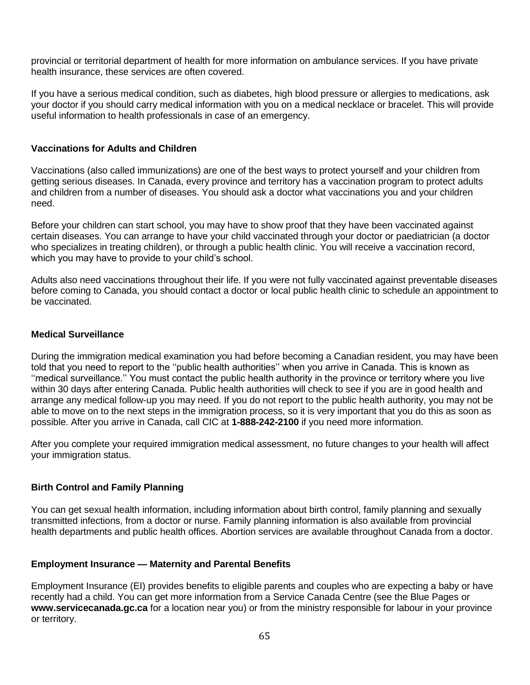provincial or territorial department of health for more information on ambulance services. If you have private health insurance, these services are often covered.

If you have a serious medical condition, such as diabetes, high blood pressure or allergies to medications, ask your doctor if you should carry medical information with you on a medical necklace or bracelet. This will provide useful information to health professionals in case of an emergency.

#### **Vaccinations for Adults and Children**

Vaccinations (also called immunizations) are one of the best ways to protect yourself and your children from getting serious diseases. In Canada, every province and territory has a vaccination program to protect adults and children from a number of diseases. You should ask a doctor what vaccinations you and your children need.

Before your children can start school, you may have to show proof that they have been vaccinated against certain diseases. You can arrange to have your child vaccinated through your doctor or paediatrician (a doctor who specializes in treating children), or through a public health clinic. You will receive a vaccination record, which you may have to provide to your child's school.

Adults also need vaccinations throughout their life. If you were not fully vaccinated against preventable diseases before coming to Canada, you should contact a doctor or local public health clinic to schedule an appointment to be vaccinated.

#### **Medical Surveillance**

During the immigration medical examination you had before becoming a Canadian resident, you may have been told that you need to report to the ''public health authorities'' when you arrive in Canada. This is known as ''medical surveillance.'' You must contact the public health authority in the province or territory where you live within 30 days after entering Canada. Public health authorities will check to see if you are in good health and arrange any medical follow-up you may need. If you do not report to the public health authority, you may not be able to move on to the next steps in the immigration process, so it is very important that you do this as soon as possible. After you arrive in Canada, call CIC at **1-888-242-2100** if you need more information.

After you complete your required immigration medical assessment, no future changes to your health will affect your immigration status.

#### **Birth Control and Family Planning**

You can get sexual health information, including information about birth control, family planning and sexually transmitted infections, from a doctor or nurse. Family planning information is also available from provincial health departments and public health offices. Abortion services are available throughout Canada from a doctor.

#### **Employment Insurance — Maternity and Parental Benefits**

Employment Insurance (EI) provides benefits to eligible parents and couples who are expecting a baby or have recently had a child. You can get more information from a Service Canada Centre (see the Blue Pages or **www.servicecanada.gc.ca** for a location near you) or from the ministry responsible for labour in your province or territory.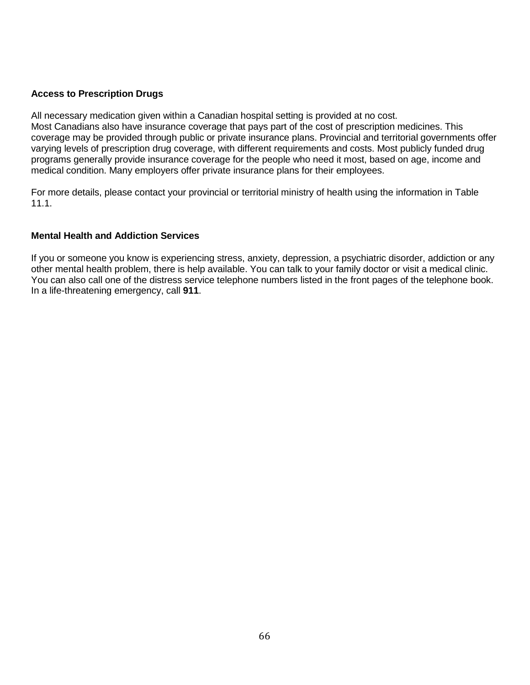#### **Access to Prescription Drugs**

All necessary medication given within a Canadian hospital setting is provided at no cost. Most Canadians also have insurance coverage that pays part of the cost of prescription medicines. This coverage may be provided through public or private insurance plans. Provincial and territorial governments offer varying levels of prescription drug coverage, with different requirements and costs. Most publicly funded drug programs generally provide insurance coverage for the people who need it most, based on age, income and medical condition. Many employers offer private insurance plans for their employees.

For more details, please contact your provincial or territorial ministry of health using the information in Table 11.1.

#### **Mental Health and Addiction Services**

If you or someone you know is experiencing stress, anxiety, depression, a psychiatric disorder, addiction or any other mental health problem, there is help available. You can talk to your family doctor or visit a medical clinic. You can also call one of the distress service telephone numbers listed in the front pages of the telephone book. In a life-threatening emergency, call **911**.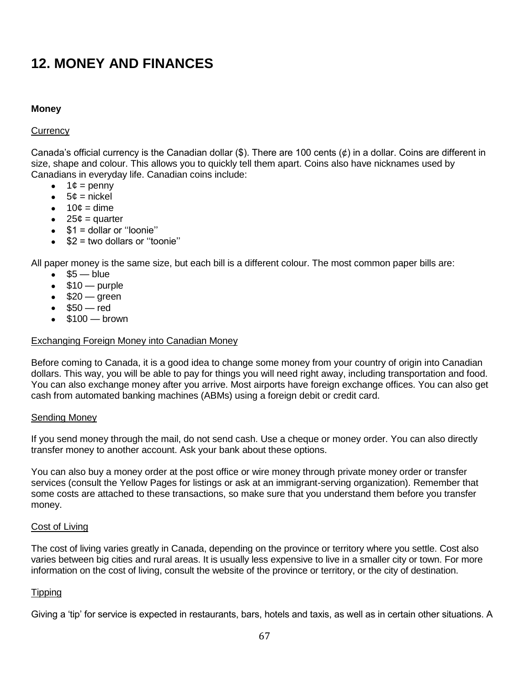## **12. MONEY AND FINANCES**

#### **Money**

#### **Currency**

Canada's official currency is the Canadian dollar  $(\$)$ . There are 100 cents  $(\phi)$  in a dollar. Coins are different in size, shape and colour. This allows you to quickly tell them apart. Coins also have nicknames used by Canadians in everyday life. Canadian coins include:

- $\bullet$  1¢ = penny
- $5¢ = nickel$
- $\bullet$  10 $\mathfrak{c}$  = dime
- $\bullet$  25¢ = quarter
- $$1 =$  dollar or "loonie"
- $$2$  = two dollars or "toonie"

All paper money is the same size, but each bill is a different colour. The most common paper bills are:

- $\bullet$  \$5 blue
- $\bullet$  \$10 purple
- $\bullet$  \$20 green
- $•$  \$50 red
- $\bullet$  \$100 brown

#### Exchanging Foreign Money into Canadian Money

Before coming to Canada, it is a good idea to change some money from your country of origin into Canadian dollars. This way, you will be able to pay for things you will need right away, including transportation and food. You can also exchange money after you arrive. Most airports have foreign exchange offices. You can also get cash from automated banking machines (ABMs) using a foreign debit or credit card.

#### Sending Money

If you send money through the mail, do not send cash. Use a cheque or money order. You can also directly transfer money to another account. Ask your bank about these options.

You can also buy a money order at the post office or wire money through private money order or transfer services (consult the Yellow Pages for listings or ask at an immigrant-serving organization). Remember that some costs are attached to these transactions, so make sure that you understand them before you transfer money.

#### Cost of Living

The cost of living varies greatly in Canada, depending on the province or territory where you settle. Cost also varies between big cities and rural areas. It is usually less expensive to live in a smaller city or town. For more information on the cost of living, consult the website of the province or territory, or the city of destination.

#### **Tipping**

Giving a 'tip' for service is expected in restaurants, bars, hotels and taxis, as well as in certain other situations. A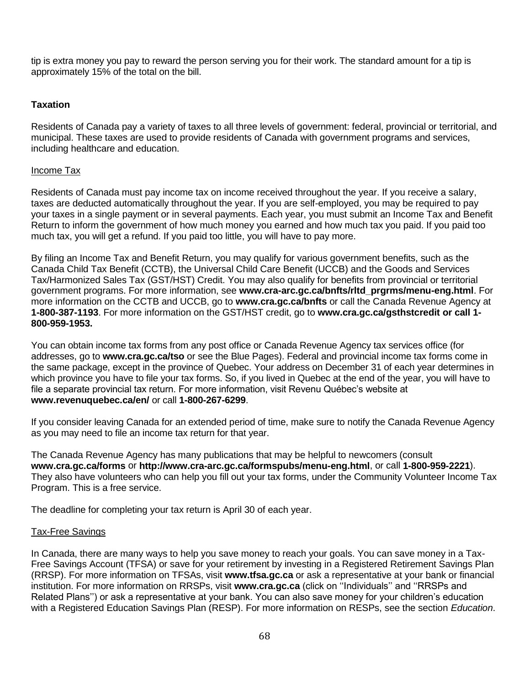tip is extra money you pay to reward the person serving you for their work. The standard amount for a tip is approximately 15% of the total on the bill.

## **Taxation**

Residents of Canada pay a variety of taxes to all three levels of government: federal, provincial or territorial, and municipal. These taxes are used to provide residents of Canada with government programs and services, including healthcare and education.

## Income Tax

Residents of Canada must pay income tax on income received throughout the year. If you receive a salary, taxes are deducted automatically throughout the year. If you are self-employed, you may be required to pay your taxes in a single payment or in several payments. Each year, you must submit an Income Tax and Benefit Return to inform the government of how much money you earned and how much tax you paid. If you paid too much tax, you will get a refund. If you paid too little, you will have to pay more.

By filing an Income Tax and Benefit Return, you may qualify for various government benefits, such as the Canada Child Tax Benefit (CCTB), the Universal Child Care Benefit (UCCB) and the Goods and Services Tax/Harmonized Sales Tax (GST/HST) Credit. You may also qualify for benefits from provincial or territorial government programs. For more information, see **www.cra-arc.gc.ca/bnfts/rltd\_prgrms/menu-eng.html**. For more information on the CCTB and UCCB, go to **www.cra.gc.ca/bnfts** or call the Canada Revenue Agency at **1-800-387-1193**. For more information on the GST/HST credit, go to **[www.cra.gc.ca/gsthstcredit](http://www.cra.gc.ca/gsthstcredit%20or%20call%201-800-959-1953) or call 1- [800-959-1953.](http://www.cra.gc.ca/gsthstcredit%20or%20call%201-800-959-1953)**

You can obtain income tax forms from any post office or Canada Revenue Agency tax services office (for addresses, go to **[www.cra.gc.ca/tso](http://www.cra-arc.gc.ca/cntct/tso-bsf-eng.html)** or see the Blue Pages). Federal and provincial income tax forms come in the same package, except in the province of Quebec. Your address on December 31 of each year determines in which province you have to file your tax forms. So, if you lived in Quebec at the end of the year, you will have to file a separate provincial tax return. For more information, visit Revenu Québec's website at **www.revenuquebec.ca/en/** or call **1-800-267-6299**.

If you consider leaving Canada for an extended period of time, make sure to notify the Canada Revenue Agency as you may need to file an income tax return for that year.

The Canada Revenue Agency has many publications that may be helpful to newcomers (consult **www.cra.gc.ca/forms** or **http://www.cra-arc.gc.ca/formspubs/menu-eng.html**, or call **1-800-959-2221**). They also have volunteers who can help you fill out your tax forms, under the Community Volunteer Income Tax Program. This is a free service.

The deadline for completing your tax return is April 30 of each year.

#### Tax-Free Savings

In Canada, there are many ways to help you save money to reach your goals. You can save money in a Tax-Free Savings Account (TFSA) or save for your retirement by investing in a Registered Retirement Savings Plan (RRSP). For more information on TFSAs, visit **www.tfsa.gc.ca** or ask a representative at your bank or financial institution. For more information on RRSPs, visit **www.cra.gc.ca** (click on ''Individuals'' and ''RRSPs and Related Plans'') or ask a representative at your bank. You can also save money for your children's education with a Registered Education Savings Plan (RESP). For more information on RESPs, see the section *Education*.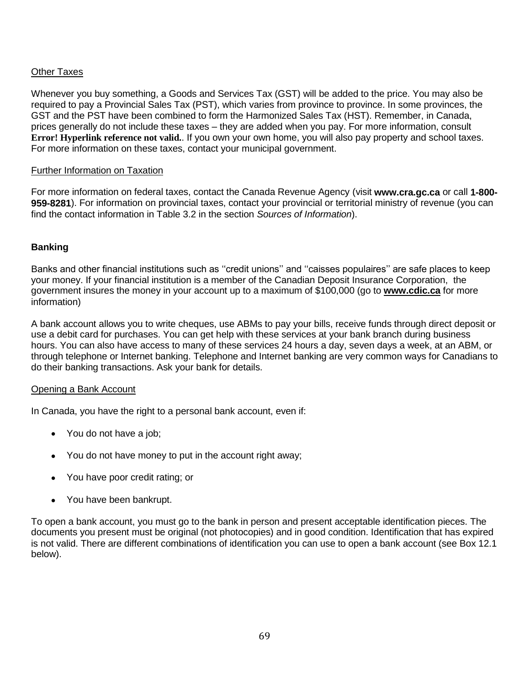## Other Taxes

Whenever you buy something, a Goods and Services Tax (GST) will be added to the price. You may also be required to pay a Provincial Sales Tax (PST), which varies from province to province. In some provinces, the GST and the PST have been combined to form the Harmonized Sales Tax (HST). Remember, in Canada, prices generally do not include these taxes – they are added when you pay. For more information, consult **Error! Hyperlink reference not valid.**. If you own your own home, you will also pay property and school taxes. For more information on these taxes, contact your municipal government.

#### Further Information on Taxation

For more information on federal taxes, contact the Canada Revenue Agency (visit **www.cra.gc.ca** or call **1-800- 959-8281**). For information on provincial taxes, contact your provincial or territorial ministry of revenue (you can find the contact information in Table 3.2 in the section *Sources of Information*).

#### **Banking**

Banks and other financial institutions such as ''credit unions'' and ''caisses populaires'' are safe places to keep your money. If your financial institution is a member of the Canadian Deposit Insurance Corporation, the government insures the money in your account up to a maximum of \$100,000 (go to **[www.cdic.ca](http://www.cdic.ca/)** for more information)

A bank account allows you to write cheques, use ABMs to pay your bills, receive funds through direct deposit or use a debit card for purchases. You can get help with these services at your bank branch during business hours. You can also have access to many of these services 24 hours a day, seven days a week, at an ABM, or through telephone or Internet banking. Telephone and Internet banking are very common ways for Canadians to do their banking transactions. Ask your bank for details.

#### Opening a Bank Account

In Canada, you have the right to a personal bank account, even if:

- You do not have a job;
- You do not have money to put in the account right away;
- You have poor credit rating; or
- You have been bankrupt.

To open a bank account, you must go to the bank in person and present acceptable identification pieces. The documents you present must be original (not photocopies) and in good condition. Identification that has expired is not valid. There are different combinations of identification you can use to open a bank account (see Box 12.1 below).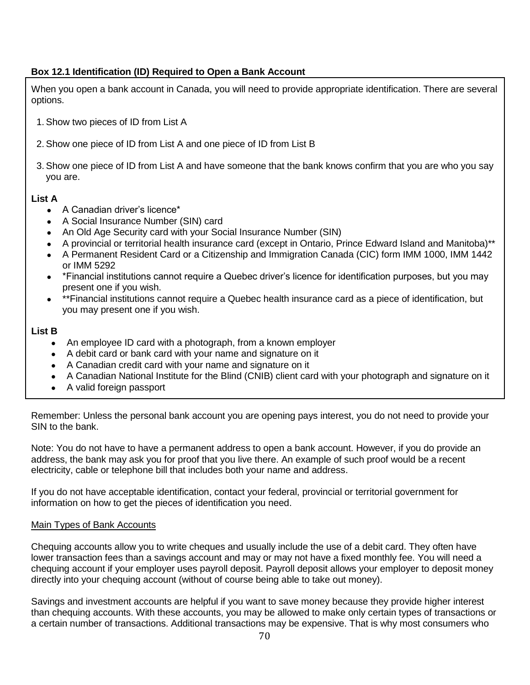## **Box 12.1 Identification (ID) Required to Open a Bank Account**

When you open a bank account in Canada, you will need to provide appropriate identification. There are several options.

- 1. Show two pieces of ID from List A
- 2. Show one piece of ID from List A and one piece of ID from List B
- 3. Show one piece of ID from List A and have someone that the bank knows confirm that you are who you say you are.

#### **List A**

- A Canadian driver's licence\*
- A Social Insurance Number (SIN) card
- An Old Age Security card with your Social Insurance Number (SIN)
- A provincial or territorial health insurance card (except in Ontario, Prince Edward Island and Manitoba)\*\*
- A Permanent Resident Card or a Citizenship and Immigration Canada (CIC) form IMM 1000, IMM 1442 or IMM 5292
- \*Financial institutions cannot require a Quebec driver's licence for identification purposes, but you may present one if you wish.
- \*\*Financial institutions cannot require a Quebec health insurance card as a piece of identification, but you may present one if you wish.

#### **List B**

- An employee ID card with a photograph, from a known employer
- A debit card or bank card with your name and signature on it
- A Canadian credit card with your name and signature on it
- A Canadian National Institute for the Blind (CNIB) client card with your photograph and signature on it
- A valid foreign passport

Remember: Unless the personal bank account you are opening pays interest, you do not need to provide your SIN to the bank.

Note: You do not have to have a permanent address to open a bank account. However, if you do provide an address, the bank may ask you for proof that you live there. An example of such proof would be a recent electricity, cable or telephone bill that includes both your name and address.

If you do not have acceptable identification, contact your federal, provincial or territorial government for information on how to get the pieces of identification you need.

#### Main Types of Bank Accounts

Chequing accounts allow you to write cheques and usually include the use of a debit card. They often have lower transaction fees than a savings account and may or may not have a fixed monthly fee. You will need a chequing account if your employer uses payroll deposit. Payroll deposit allows your employer to deposit money directly into your chequing account (without of course being able to take out money).

Savings and investment accounts are helpful if you want to save money because they provide higher interest than chequing accounts. With these accounts, you may be allowed to make only certain types of transactions or a certain number of transactions. Additional transactions may be expensive. That is why most consumers who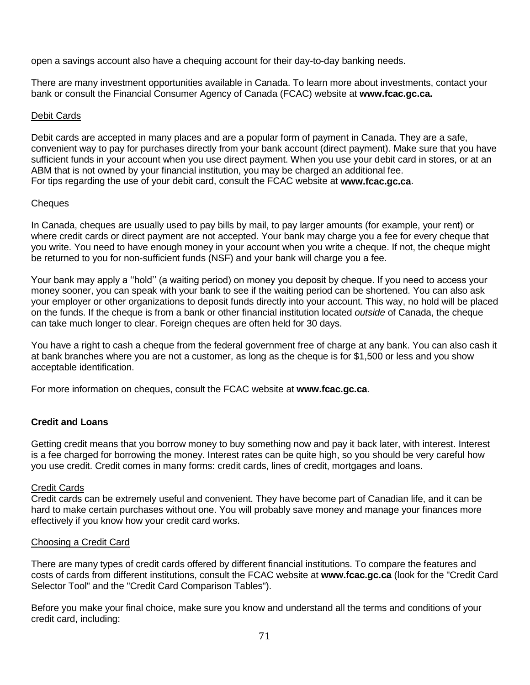open a savings account also have a chequing account for their day-to-day banking needs.

There are many investment opportunities available in Canada. To learn more about investments, contact your bank or consult the Financial Consumer Agency of Canada (FCAC) website at **www.fcac.gc.ca.**

#### Debit Cards

Debit cards are accepted in many places and are a popular form of payment in Canada. They are a safe, convenient way to pay for purchases directly from your bank account (direct payment). Make sure that you have sufficient funds in your account when you use direct payment. When you use your debit card in stores, or at an ABM that is not owned by your financial institution, you may be charged an additional fee. For tips regarding the use of your debit card, consult the FCAC website at **www.fcac.gc.ca**.

#### **Cheques**

In Canada, cheques are usually used to pay bills by mail, to pay larger amounts (for example, your rent) or where credit cards or direct payment are not accepted. Your bank may charge you a fee for every cheque that you write. You need to have enough money in your account when you write a cheque. If not, the cheque might be returned to you for non-sufficient funds (NSF) and your bank will charge you a fee.

Your bank may apply a ''hold'' (a waiting period) on money you deposit by cheque. If you need to access your money sooner, you can speak with your bank to see if the waiting period can be shortened. You can also ask your employer or other organizations to deposit funds directly into your account. This way, no hold will be placed on the funds. If the cheque is from a bank or other financial institution located *outside* of Canada, the cheque can take much longer to clear. Foreign cheques are often held for 30 days.

You have a right to cash a cheque from the federal government free of charge at any bank. You can also cash it at bank branches where you are not a customer, as long as the cheque is for \$1,500 or less and you show acceptable identification.

For more information on cheques, consult the FCAC website at **www.fcac.gc.ca**.

#### **Credit and Loans**

Getting credit means that you borrow money to buy something now and pay it back later, with interest. Interest is a fee charged for borrowing the money. Interest rates can be quite high, so you should be very careful how you use credit. Credit comes in many forms: credit cards, lines of credit, mortgages and loans.

#### Credit Cards

Credit cards can be extremely useful and convenient. They have become part of Canadian life, and it can be hard to make certain purchases without one. You will probably save money and manage your finances more effectively if you know how your credit card works.

#### Choosing a Credit Card

There are many types of credit cards offered by different financial institutions. To compare the features and costs of cards from different institutions, consult the FCAC website at **www.fcac.gc.ca** (look for the "Credit Card Selector Tool" and the "Credit Card Comparison Tables").

Before you make your final choice, make sure you know and understand all the terms and conditions of your credit card, including: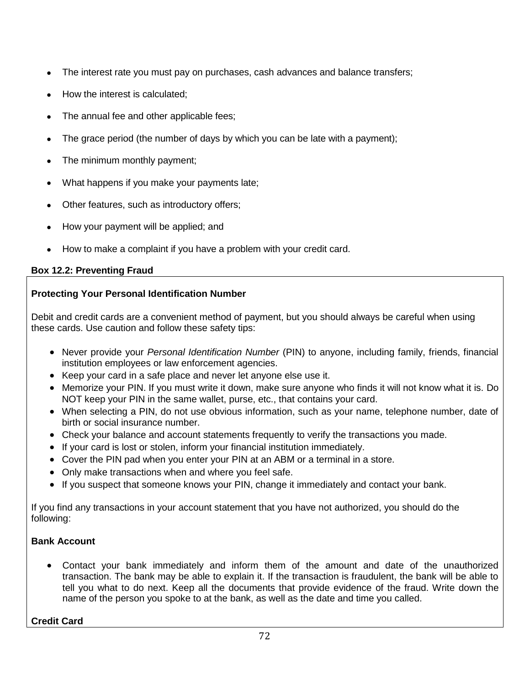- The interest rate you must pay on purchases, cash advances and balance transfers;
- How the interest is calculated;
- The annual fee and other applicable fees;
- The grace period (the number of days by which you can be late with a payment);
- The minimum monthly payment;
- What happens if you make your payments late;
- Other features, such as introductory offers;
- How your payment will be applied; and
- How to make a complaint if you have a problem with your credit card.

## **Box 12.2: Preventing Fraud**

## **Protecting Your Personal Identification Number**

Debit and credit cards are a convenient method of payment, but you should always be careful when using these cards. Use caution and follow these safety tips:

- Never provide your *Personal Identification Number* (PIN) to anyone, including family, friends, financial institution employees or law enforcement agencies.
- Keep your card in a safe place and never let anyone else use it.
- Memorize your PIN. If you must write it down, make sure anyone who finds it will not know what it is. Do NOT keep your PIN in the same wallet, purse, etc., that contains your card.
- When selecting a PIN, do not use obvious information, such as your name, telephone number, date of birth or social insurance number.
- Check your balance and account statements frequently to verify the transactions you made.
- If your card is lost or stolen, inform your financial institution immediately.
- Cover the PIN pad when you enter your PIN at an ABM or a terminal in a store.
- Only make transactions when and where you feel safe.
- If you suspect that someone knows your PIN, change it immediately and contact your bank.

If you find any transactions in your account statement that you have not authorized, you should do the following:

## **Bank Account**

 Contact your bank immediately and inform them of the amount and date of the unauthorized transaction. The bank may be able to explain it. If the transaction is fraudulent, the bank will be able to tell you what to do next. Keep all the documents that provide evidence of the fraud. Write down the name of the person you spoke to at the bank, as well as the date and time you called.

#### **Credit Card**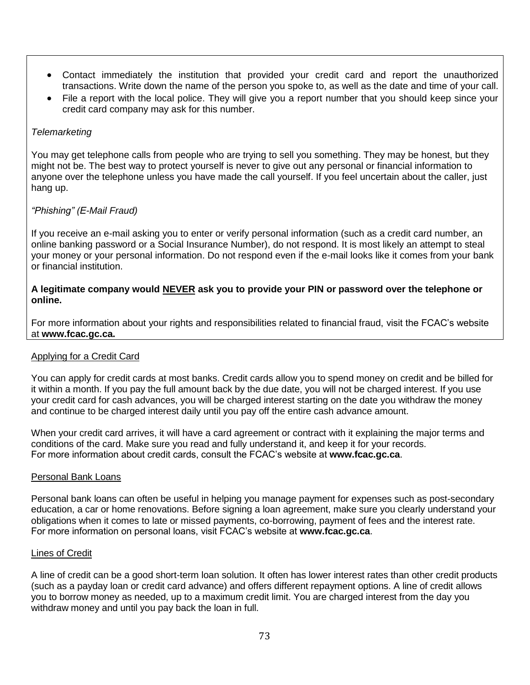- Contact immediately the institution that provided your credit card and report the unauthorized transactions. Write down the name of the person you spoke to, as well as the date and time of your call.
- File a report with the local police. They will give you a report number that you should keep since your credit card company may ask for this number.

## *Telemarketing*

You may get telephone calls from people who are trying to sell you something. They may be honest, but they might not be. The best way to protect yourself is never to give out any personal or financial information to anyone over the telephone unless you have made the call yourself. If you feel uncertain about the caller, just hang up.

## *"Phishing" (E-Mail Fraud)*

If you receive an e-mail asking you to enter or verify personal information (such as a credit card number, an online banking password or a Social Insurance Number), do not respond. It is most likely an attempt to steal your money or your personal information. Do not respond even if the e-mail looks like it comes from your bank or financial institution.

#### **A legitimate company would NEVER ask you to provide your PIN or password over the telephone or online.**

For more information about your rights and responsibilities related to financial fraud, visit the FCAC's website at **[www.fcac.gc.ca.](http://www.fcac.gc.ca./)**

## Applying for a Credit Card

You can apply for credit cards at most banks. Credit cards allow you to spend money on credit and be billed for it within a month. If you pay the full amount back by the due date, you will not be charged interest. If you use your credit card for cash advances, you will be charged interest starting on the date you withdraw the money and continue to be charged interest daily until you pay off the entire cash advance amount.

When your credit card arrives, it will have a card agreement or contract with it explaining the major terms and conditions of the card. Make sure you read and fully understand it, and keep it for your records. For more information about credit cards, consult the FCAC's website at **www.fcac.gc.ca**.

#### Personal Bank Loans

Personal bank loans can often be useful in helping you manage payment for expenses such as post-secondary education, a car or home renovations. Before signing a loan agreement, make sure you clearly understand your obligations when it comes to late or missed payments, co-borrowing, payment of fees and the interest rate. For more information on personal loans, visit FCAC's website at **www.fcac.gc.ca**.

#### Lines of Credit

A line of credit can be a good short-term loan solution. It often has lower interest rates than other credit products (such as a payday loan or credit card advance) and offers different repayment options. A line of credit allows you to borrow money as needed, up to a maximum credit limit. You are charged interest from the day you withdraw money and until you pay back the loan in full.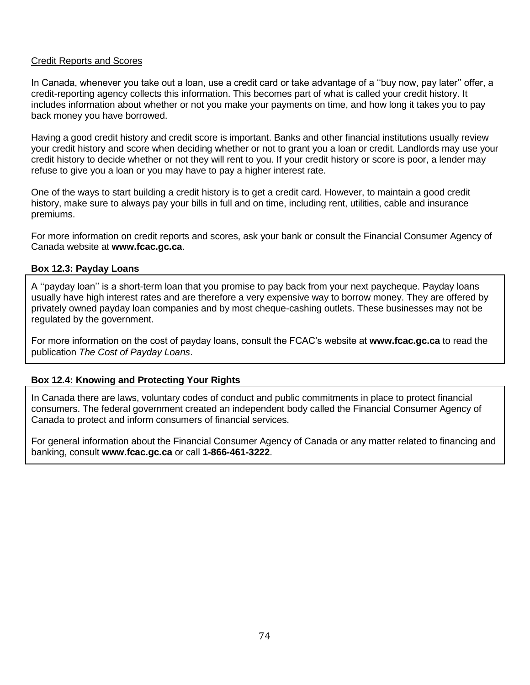## Credit Reports and Scores

In Canada, whenever you take out a loan, use a credit card or take advantage of a ''buy now, pay later'' offer, a credit-reporting agency collects this information. This becomes part of what is called your credit history. It includes information about whether or not you make your payments on time, and how long it takes you to pay back money you have borrowed.

Having a good credit history and credit score is important. Banks and other financial institutions usually review your credit history and score when deciding whether or not to grant you a loan or credit. Landlords may use your credit history to decide whether or not they will rent to you. If your credit history or score is poor, a lender may refuse to give you a loan or you may have to pay a higher interest rate.

One of the ways to start building a credit history is to get a credit card. However, to maintain a good credit history, make sure to always pay your bills in full and on time, including rent, utilities, cable and insurance premiums.

For more information on credit reports and scores, ask your bank or consult the Financial Consumer Agency of Canada website at **www.fcac.gc.ca**.

## **Box 12.3: Payday Loans**

A ''payday loan'' is a short-term loan that you promise to pay back from your next paycheque. Payday loans usually have high interest rates and are therefore a very expensive way to borrow money. They are offered by privately owned payday loan companies and by most cheque-cashing outlets. These businesses may not be regulated by the government.

For more information on the cost of payday loans, consult the FCAC's website at **www.fcac.gc.ca** to read the publication *The Cost of Payday Loans*.

# **Box 12.4: Knowing and Protecting Your Rights**

In Canada there are laws, voluntary codes of conduct and public commitments in place to protect financial consumers. The federal government created an independent body called the Financial Consumer Agency of Canada to protect and inform consumers of financial services.

For general information about the Financial Consumer Agency of Canada or any matter related to financing and banking, consult **www.fcac.gc.ca** or call **1-866-461-3222**.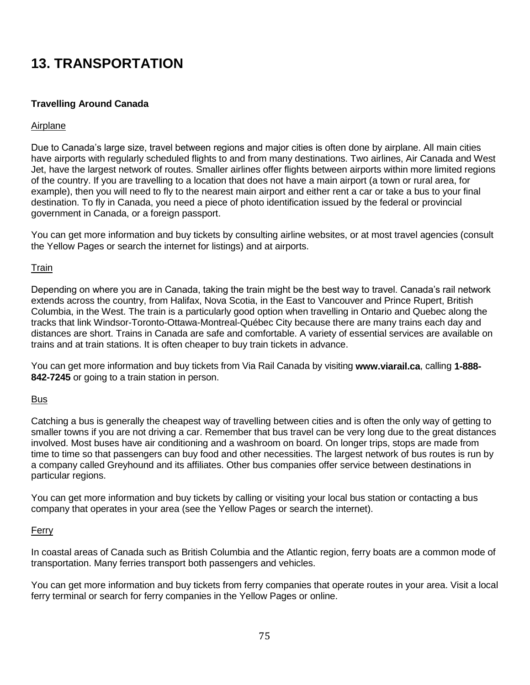# **13. TRANSPORTATION**

# **Travelling Around Canada**

#### Airplane

Due to Canada's large size, travel between regions and major cities is often done by airplane. All main cities have airports with regularly scheduled flights to and from many destinations. Two airlines, Air Canada and West Jet, have the largest network of routes. Smaller airlines offer flights between airports within more limited regions of the country. If you are travelling to a location that does not have a main airport (a town or rural area, for example), then you will need to fly to the nearest main airport and either rent a car or take a bus to your final destination. To fly in Canada, you need a piece of photo identification issued by the federal or provincial government in Canada, or a foreign passport.

You can get more information and buy tickets by consulting airline websites, or at most travel agencies (consult the Yellow Pages or search the internet for listings) and at airports.

#### **Train**

Depending on where you are in Canada, taking the train might be the best way to travel. Canada's rail network extends across the country, from Halifax, Nova Scotia, in the East to Vancouver and Prince Rupert, British Columbia, in the West. The train is a particularly good option when travelling in Ontario and Quebec along the tracks that link Windsor-Toronto-Ottawa-Montreal-Québec City because there are many trains each day and distances are short. Trains in Canada are safe and comfortable. A variety of essential services are available on trains and at train stations. It is often cheaper to buy train tickets in advance.

You can get more information and buy tickets from Via Rail Canada by visiting **www.viarail.ca**, calling **1-888- 842-7245** or going to a train station in person.

#### Bus

Catching a bus is generally the cheapest way of travelling between cities and is often the only way of getting to smaller towns if you are not driving a car. Remember that bus travel can be very long due to the great distances involved. Most buses have air conditioning and a washroom on board. On longer trips, stops are made from time to time so that passengers can buy food and other necessities. The largest network of bus routes is run by a company called Greyhound and its affiliates. Other bus companies offer service between destinations in particular regions.

You can get more information and buy tickets by calling or visiting your local bus station or contacting a bus company that operates in your area (see the Yellow Pages or search the internet).

#### Ferry

In coastal areas of Canada such as British Columbia and the Atlantic region, ferry boats are a common mode of transportation. Many ferries transport both passengers and vehicles.

You can get more information and buy tickets from ferry companies that operate routes in your area. Visit a local ferry terminal or search for ferry companies in the Yellow Pages or online.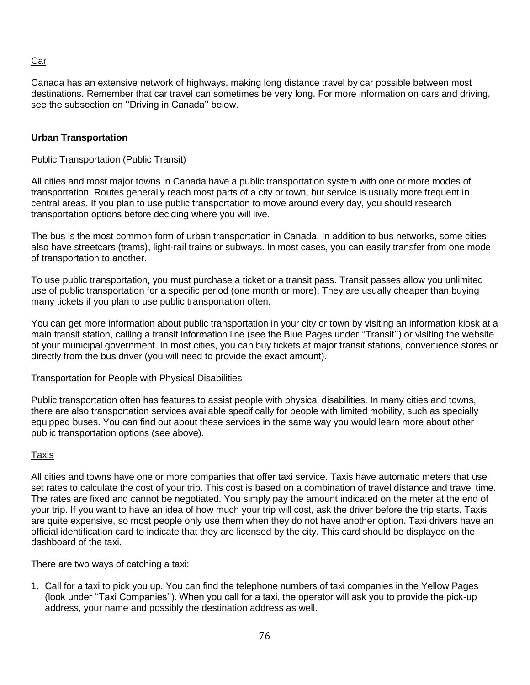## Car

Canada has an extensive network of highways, making long distance travel by car possible between most destinations. Remember that car travel can sometimes be very long. For more information on cars and driving, see the subsection on ''Driving in Canada'' below.

## **Urban Transportation**

## Public Transportation (Public Transit)

All cities and most major towns in Canada have a public transportation system with one or more modes of transportation. Routes generally reach most parts of a city or town, but service is usually more frequent in central areas. If you plan to use public transportation to move around every day, you should research transportation options before deciding where you will live.

The bus is the most common form of urban transportation in Canada. In addition to bus networks, some cities also have streetcars (trams), light-rail trains or subways. In most cases, you can easily transfer from one mode of transportation to another.

To use public transportation, you must purchase a ticket or a transit pass. Transit passes allow you unlimited use of public transportation for a specific period (one month or more). They are usually cheaper than buying many tickets if you plan to use public transportation often.

You can get more information about public transportation in your city or town by visiting an information kiosk at a main transit station, calling a transit information line (see the Blue Pages under ''Transit'') or visiting the website of your municipal government. In most cities, you can buy tickets at major transit stations, convenience stores or directly from the bus driver (you will need to provide the exact amount).

## Transportation for People with Physical Disabilities

Public transportation often has features to assist people with physical disabilities. In many cities and towns, there are also transportation services available specifically for people with limited mobility, such as specially equipped buses. You can find out about these services in the same way you would learn more about other public transportation options (see above).

## **Taxis**

All cities and towns have one or more companies that offer taxi service. Taxis have automatic meters that use set rates to calculate the cost of your trip. This cost is based on a combination of travel distance and travel time. The rates are fixed and cannot be negotiated. You simply pay the amount indicated on the meter at the end of your trip. If you want to have an idea of how much your trip will cost, ask the driver before the trip starts. Taxis are quite expensive, so most people only use them when they do not have another option. Taxi drivers have an official identification card to indicate that they are licensed by the city. This card should be displayed on the dashboard of the taxi.

There are two ways of catching a taxi:

1. Call for a taxi to pick you up. You can find the telephone numbers of taxi companies in the Yellow Pages (look under ''Taxi Companies''). When you call for a taxi, the operator will ask you to provide the pick-up address, your name and possibly the destination address as well.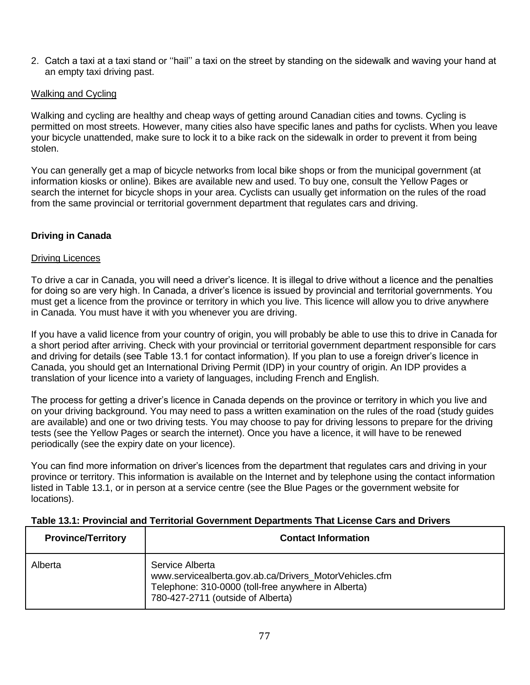2. Catch a taxi at a taxi stand or ''hail'' a taxi on the street by standing on the sidewalk and waving your hand at an empty taxi driving past.

## Walking and Cycling

Walking and cycling are healthy and cheap ways of getting around Canadian cities and towns. Cycling is permitted on most streets. However, many cities also have specific lanes and paths for cyclists. When you leave your bicycle unattended, make sure to lock it to a bike rack on the sidewalk in order to prevent it from being stolen.

You can generally get a map of bicycle networks from local bike shops or from the municipal government (at information kiosks or online). Bikes are available new and used. To buy one, consult the Yellow Pages or search the internet for bicycle shops in your area. Cyclists can usually get information on the rules of the road from the same provincial or territorial government department that regulates cars and driving.

# **Driving in Canada**

## Driving Licences

To drive a car in Canada, you will need a driver's licence. It is illegal to drive without a licence and the penalties for doing so are very high. In Canada, a driver's licence is issued by provincial and territorial governments. You must get a licence from the province or territory in which you live. This licence will allow you to drive anywhere in Canada. You must have it with you whenever you are driving.

If you have a valid licence from your country of origin, you will probably be able to use this to drive in Canada for a short period after arriving. Check with your provincial or territorial government department responsible for cars and driving for details (see Table 13.1 for contact information). If you plan to use a foreign driver's licence in Canada, you should get an International Driving Permit (IDP) in your country of origin. An IDP provides a translation of your licence into a variety of languages, including French and English.

The process for getting a driver's licence in Canada depends on the province or territory in which you live and on your driving background. You may need to pass a written examination on the rules of the road (study guides are available) and one or two driving tests. You may choose to pay for driving lessons to prepare for the driving tests (see the Yellow Pages or search the internet). Once you have a licence, it will have to be renewed periodically (see the expiry date on your licence).

You can find more information on driver's licences from the department that regulates cars and driving in your province or territory. This information is available on the Internet and by telephone using the contact information listed in Table 13.1, or in person at a service centre (see the Blue Pages or the government website for locations).

## **Table 13.1: Provincial and Territorial Government Departments That License Cars and Drivers**

| <b>Province/Territory</b> | <b>Contact Information</b>                                                                                                                                            |
|---------------------------|-----------------------------------------------------------------------------------------------------------------------------------------------------------------------|
| Alberta                   | Service Alberta<br>www.servicealberta.gov.ab.ca/Drivers_MotorVehicles.cfm<br>Telephone: 310-0000 (toll-free anywhere in Alberta)<br>780-427-2711 (outside of Alberta) |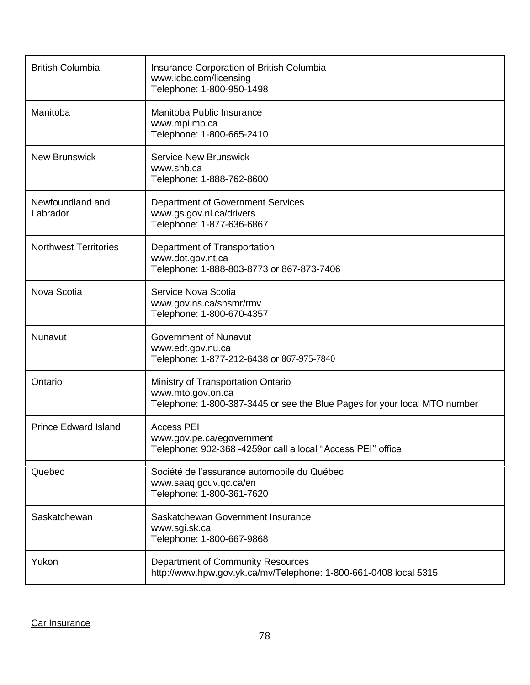| <b>British Columbia</b>      | Insurance Corporation of British Columbia<br>www.icbc.com/licensing<br>Telephone: 1-800-950-1498                                     |
|------------------------------|--------------------------------------------------------------------------------------------------------------------------------------|
| Manitoba                     | Manitoba Public Insurance<br>www.mpi.mb.ca<br>Telephone: 1-800-665-2410                                                              |
| <b>New Brunswick</b>         | <b>Service New Brunswick</b><br>www.snb.ca<br>Telephone: 1-888-762-8600                                                              |
| Newfoundland and<br>Labrador | Department of Government Services<br>www.gs.gov.nl.ca/drivers<br>Telephone: 1-877-636-6867                                           |
| <b>Northwest Territories</b> | Department of Transportation<br>www.dot.gov.nt.ca<br>Telephone: 1-888-803-8773 or 867-873-7406                                       |
| Nova Scotia                  | Service Nova Scotia<br>www.gov.ns.ca/snsmr/rmv<br>Telephone: 1-800-670-4357                                                          |
| Nunavut                      | <b>Government of Nunavut</b><br>www.edt.gov.nu.ca<br>Telephone: 1-877-212-6438 or 867-975-7840                                       |
| Ontario                      | Ministry of Transportation Ontario<br>www.mto.gov.on.ca<br>Telephone: 1-800-387-3445 or see the Blue Pages for your local MTO number |
| <b>Prince Edward Island</b>  | <b>Access PEI</b><br>www.gov.pe.ca/egovernment<br>Telephone: 902-368 -4259or call a local "Access PEI" office                        |
| Quebec                       | Société de l'assurance automobile du Québec<br>www.saaq.gouv.qc.ca/en<br>Telephone: 1-800-361-7620                                   |
| Saskatchewan                 | Saskatchewan Government Insurance<br>www.sgi.sk.ca<br>Telephone: 1-800-667-9868                                                      |
| Yukon                        | Department of Community Resources<br>http://www.hpw.gov.yk.ca/mv/Telephone: 1-800-661-0408 local 5315                                |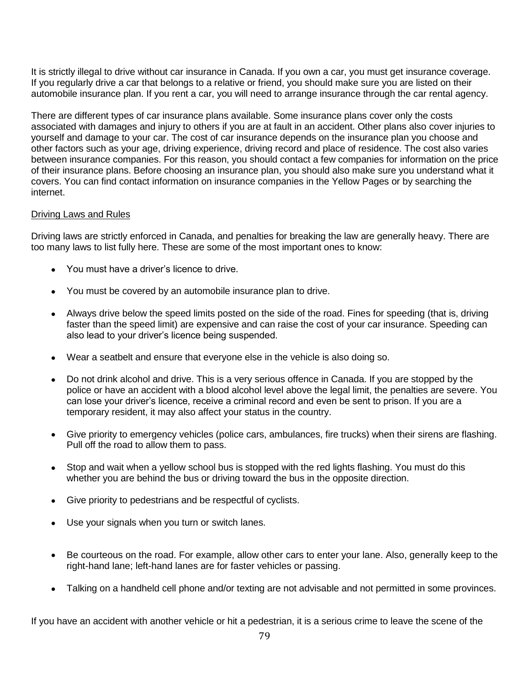It is strictly illegal to drive without car insurance in Canada. If you own a car, you must get insurance coverage. If you regularly drive a car that belongs to a relative or friend, you should make sure you are listed on their automobile insurance plan. If you rent a car, you will need to arrange insurance through the car rental agency.

There are different types of car insurance plans available. Some insurance plans cover only the costs associated with damages and injury to others if you are at fault in an accident. Other plans also cover injuries to yourself and damage to your car. The cost of car insurance depends on the insurance plan you choose and other factors such as your age, driving experience, driving record and place of residence. The cost also varies between insurance companies. For this reason, you should contact a few companies for information on the price of their insurance plans. Before choosing an insurance plan, you should also make sure you understand what it covers. You can find contact information on insurance companies in the Yellow Pages or by searching the internet.

#### Driving Laws and Rules

Driving laws are strictly enforced in Canada, and penalties for breaking the law are generally heavy. There are too many laws to list fully here. These are some of the most important ones to know:

- You must have a driver's licence to drive.
- You must be covered by an automobile insurance plan to drive.
- Always drive below the speed limits posted on the side of the road. Fines for speeding (that is, driving faster than the speed limit) are expensive and can raise the cost of your car insurance. Speeding can also lead to your driver's licence being suspended.
- Wear a seatbelt and ensure that everyone else in the vehicle is also doing so.
- Do not drink alcohol and drive. This is a very serious offence in Canada. If you are stopped by the police or have an accident with a blood alcohol level above the legal limit, the penalties are severe. You can lose your driver's licence, receive a criminal record and even be sent to prison. If you are a temporary resident, it may also affect your status in the country.
- Give priority to emergency vehicles (police cars, ambulances, fire trucks) when their sirens are flashing. Pull off the road to allow them to pass.
- Stop and wait when a yellow school bus is stopped with the red lights flashing. You must do this whether you are behind the bus or driving toward the bus in the opposite direction.
- Give priority to pedestrians and be respectful of cyclists.
- Use your signals when you turn or switch lanes.
- Be courteous on the road. For example, allow other cars to enter your lane. Also, generally keep to the right-hand lane; left-hand lanes are for faster vehicles or passing.
- Talking on a handheld cell phone and/or texting are not advisable and not permitted in some provinces.

If you have an accident with another vehicle or hit a pedestrian, it is a serious crime to leave the scene of the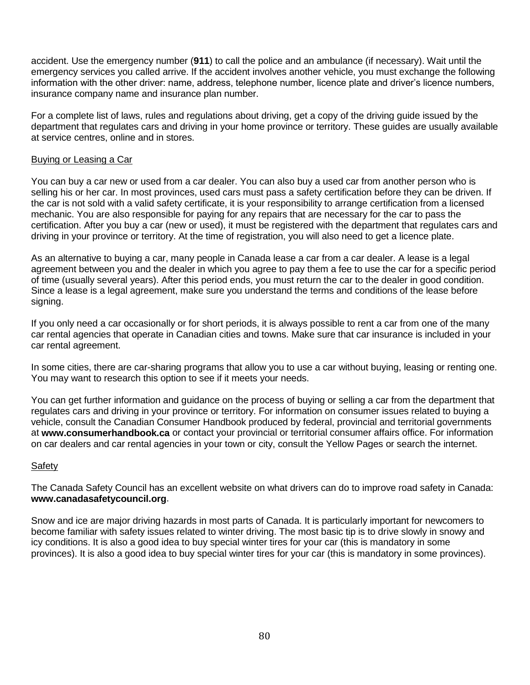accident. Use the emergency number (**911**) to call the police and an ambulance (if necessary). Wait until the emergency services you called arrive. If the accident involves another vehicle, you must exchange the following information with the other driver: name, address, telephone number, licence plate and driver's licence numbers, insurance company name and insurance plan number.

For a complete list of laws, rules and regulations about driving, get a copy of the driving guide issued by the department that regulates cars and driving in your home province or territory. These guides are usually available at service centres, online and in stores.

## Buying or Leasing a Car

You can buy a car new or used from a car dealer. You can also buy a used car from another person who is selling his or her car. In most provinces, used cars must pass a safety certification before they can be driven. If the car is not sold with a valid safety certificate, it is your responsibility to arrange certification from a licensed mechanic. You are also responsible for paying for any repairs that are necessary for the car to pass the certification. After you buy a car (new or used), it must be registered with the department that regulates cars and driving in your province or territory. At the time of registration, you will also need to get a licence plate.

As an alternative to buying a car, many people in Canada lease a car from a car dealer. A lease is a legal agreement between you and the dealer in which you agree to pay them a fee to use the car for a specific period of time (usually several years). After this period ends, you must return the car to the dealer in good condition. Since a lease is a legal agreement, make sure you understand the terms and conditions of the lease before signing.

If you only need a car occasionally or for short periods, it is always possible to rent a car from one of the many car rental agencies that operate in Canadian cities and towns. Make sure that car insurance is included in your car rental agreement.

In some cities, there are car-sharing programs that allow you to use a car without buying, leasing or renting one. You may want to research this option to see if it meets your needs.

You can get further information and guidance on the process of buying or selling a car from the department that regulates cars and driving in your province or territory. For information on consumer issues related to buying a vehicle, consult the Canadian Consumer Handbook produced by federal, provincial and territorial governments at **[www.consumerhandbook.ca](http://www.consumerhandbook.ca/)** or contact your provincial or territorial consumer affairs office. For information on car dealers and car rental agencies in your town or city, consult the Yellow Pages or search the internet.

## **Safety**

The Canada Safety Council has an excellent website on what drivers can do to improve road safety in Canada: **www.canadasafetycouncil.org**.

Snow and ice are major driving hazards in most parts of Canada. It is particularly important for newcomers to become familiar with safety issues related to winter driving. The most basic tip is to drive slowly in snowy and icy conditions. It is also a good idea to buy special winter tires for your car (this is mandatory in some provinces). It is also a good idea to buy special winter tires for your car (this is mandatory in some provinces).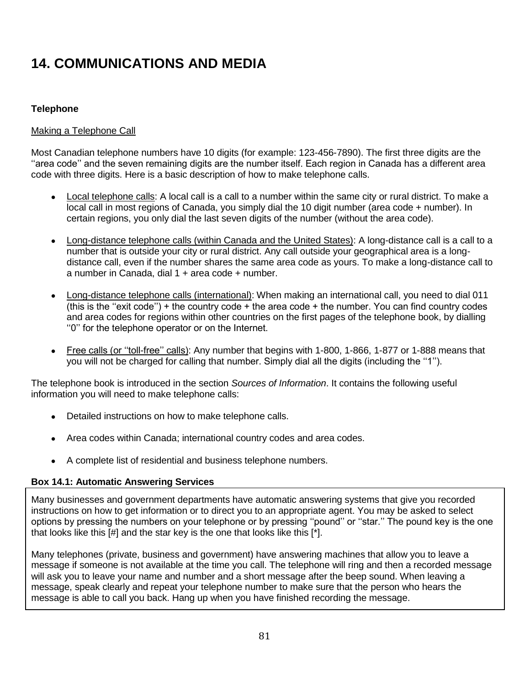# **14. COMMUNICATIONS AND MEDIA**

## **Telephone**

## Making a Telephone Call

Most Canadian telephone numbers have 10 digits (for example: 123-456-7890). The first three digits are the ''area code'' and the seven remaining digits are the number itself. Each region in Canada has a different area code with three digits. Here is a basic description of how to make telephone calls.

- Local telephone calls: A local call is a call to a number within the same city or rural district. To make a local call in most regions of Canada, you simply dial the 10 digit number (area code + number). In certain regions, you only dial the last seven digits of the number (without the area code).
- Long-distance telephone calls (within Canada and the United States): A long-distance call is a call to a number that is outside your city or rural district. Any call outside your geographical area is a longdistance call, even if the number shares the same area code as yours. To make a long-distance call to a number in Canada, dial  $1 +$  area code  $+$  number.
- Long-distance telephone calls (international): When making an international call, you need to dial 011 (this is the ''exit code'') + the country code + the area code + the number. You can find country codes and area codes for regions within other countries on the first pages of the telephone book, by dialling ''0'' for the telephone operator or on the Internet.
- Free calls (or "toll-free" calls): Any number that begins with 1-800, 1-866, 1-877 or 1-888 means that you will not be charged for calling that number. Simply dial all the digits (including the ''1'').

The telephone book is introduced in the section *Sources of Information*. It contains the following useful information you will need to make telephone calls:

- Detailed instructions on how to make telephone calls.
- Area codes within Canada; international country codes and area codes.
- A complete list of residential and business telephone numbers.

## **Box 14.1: Automatic Answering Services**

Many businesses and government departments have automatic answering systems that give you recorded instructions on how to get information or to direct you to an appropriate agent. You may be asked to select options by pressing the numbers on your telephone or by pressing ''pound'' or ''star.'' The pound key is the one that looks like this [#] and the star key is the one that looks like this [\*].

Many telephones (private, business and government) have answering machines that allow you to leave a message if someone is not available at the time you call. The telephone will ring and then a recorded message will ask you to leave your name and number and a short message after the beep sound. When leaving a message, speak clearly and repeat your telephone number to make sure that the person who hears the message is able to call you back. Hang up when you have finished recording the message.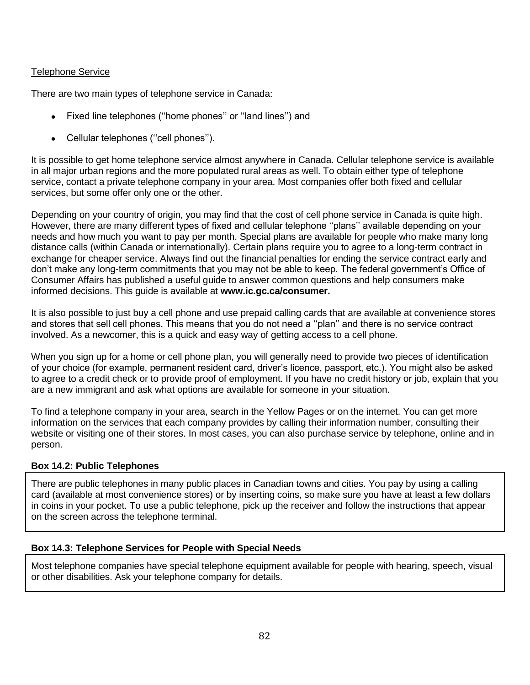## Telephone Service

There are two main types of telephone service in Canada:

- Fixed line telephones (''home phones'' or ''land lines'') and
- Cellular telephones (''cell phones'').

It is possible to get home telephone service almost anywhere in Canada. Cellular telephone service is available in all major urban regions and the more populated rural areas as well. To obtain either type of telephone service, contact a private telephone company in your area. Most companies offer both fixed and cellular services, but some offer only one or the other.

Depending on your country of origin, you may find that the cost of cell phone service in Canada is quite high. However, there are many different types of fixed and cellular telephone ''plans'' available depending on your needs and how much you want to pay per month. Special plans are available for people who make many long distance calls (within Canada or internationally). Certain plans require you to agree to a long-term contract in exchange for cheaper service. Always find out the financial penalties for ending the service contract early and don't make any long-term commitments that you may not be able to keep. The federal government's Office of Consumer Affairs has published a useful guide to answer common questions and help consumers make informed decisions. This guide is available at **[www.ic.gc.ca/consumer.](http://www.ic.gc.ca/consumer)**

It is also possible to just buy a cell phone and use prepaid calling cards that are available at convenience stores and stores that sell cell phones. This means that you do not need a ''plan'' and there is no service contract involved. As a newcomer, this is a quick and easy way of getting access to a cell phone.

When you sign up for a home or cell phone plan, you will generally need to provide two pieces of identification of your choice (for example, permanent resident card, driver's licence, passport, etc.). You might also be asked to agree to a credit check or to provide proof of employment. If you have no credit history or job, explain that you are a new immigrant and ask what options are available for someone in your situation.

To find a telephone company in your area, search in the Yellow Pages or on the internet. You can get more information on the services that each company provides by calling their information number, consulting their website or visiting one of their stores. In most cases, you can also purchase service by telephone, online and in person.

## **Box 14.2: Public Telephones**

There are public telephones in many public places in Canadian towns and cities. You pay by using a calling card (available at most convenience stores) or by inserting coins, so make sure you have at least a few dollars in coins in your pocket. To use a public telephone, pick up the receiver and follow the instructions that appear on the screen across the telephone terminal.

## **Box 14.3: Telephone Services for People with Special Needs**

Most telephone companies have special telephone equipment available for people with hearing, speech, visual or other disabilities. Ask your telephone company for details.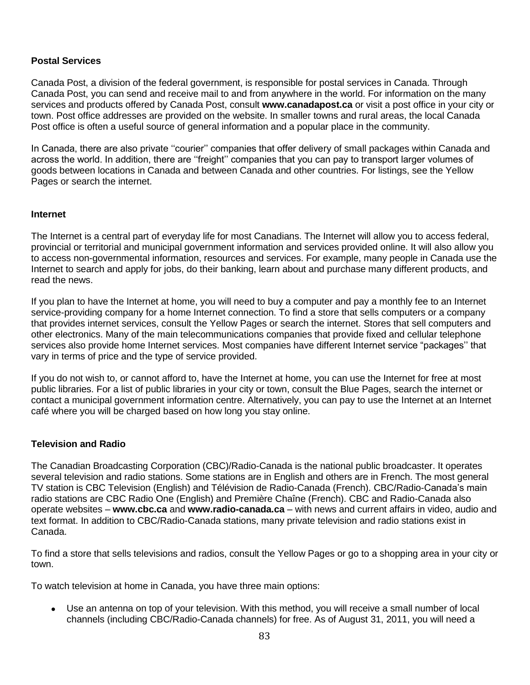#### **Postal Services**

Canada Post, a division of the federal government, is responsible for postal services in Canada. Through Canada Post, you can send and receive mail to and from anywhere in the world. For information on the many services and products offered by Canada Post, consult **www.canadapost.ca** or visit a post office in your city or town. Post office addresses are provided on the website. In smaller towns and rural areas, the local Canada Post office is often a useful source of general information and a popular place in the community.

In Canada, there are also private ''courier'' companies that offer delivery of small packages within Canada and across the world. In addition, there are ''freight'' companies that you can pay to transport larger volumes of goods between locations in Canada and between Canada and other countries. For listings, see the Yellow Pages or search the internet.

#### **Internet**

The Internet is a central part of everyday life for most Canadians. The Internet will allow you to access federal, provincial or territorial and municipal government information and services provided online. It will also allow you to access non-governmental information, resources and services. For example, many people in Canada use the Internet to search and apply for jobs, do their banking, learn about and purchase many different products, and read the news.

If you plan to have the Internet at home, you will need to buy a computer and pay a monthly fee to an Internet service-providing company for a home Internet connection. To find a store that sells computers or a company that provides internet services, consult the Yellow Pages or search the internet. Stores that sell computers and other electronics. Many of the main telecommunications companies that provide fixed and cellular telephone services also provide home Internet services. Most companies have different Internet service "packages'' that vary in terms of price and the type of service provided.

If you do not wish to, or cannot afford to, have the Internet at home, you can use the Internet for free at most public libraries. For a list of public libraries in your city or town, consult the Blue Pages, search the internet or contact a municipal government information centre. Alternatively, you can pay to use the Internet at an Internet café where you will be charged based on how long you stay online.

#### **Television and Radio**

The Canadian Broadcasting Corporation (CBC)/Radio-Canada is the national public broadcaster. It operates several television and radio stations. Some stations are in English and others are in French. The most general TV station is CBC Television (English) and Télévision de Radio-Canada (French). CBC/Radio-Canada's main radio stations are CBC Radio One (English) and Première Chaîne (French). CBC and Radio-Canada also operate websites – **www.cbc.ca** and **www.radio-canada.ca** – with news and current affairs in video, audio and text format. In addition to CBC/Radio-Canada stations, many private television and radio stations exist in Canada.

To find a store that sells televisions and radios, consult the Yellow Pages or go to a shopping area in your city or town.

To watch television at home in Canada, you have three main options:

 Use an antenna on top of your television. With this method, you will receive a small number of local channels (including CBC/Radio-Canada channels) for free. As of August 31, 2011, you will need a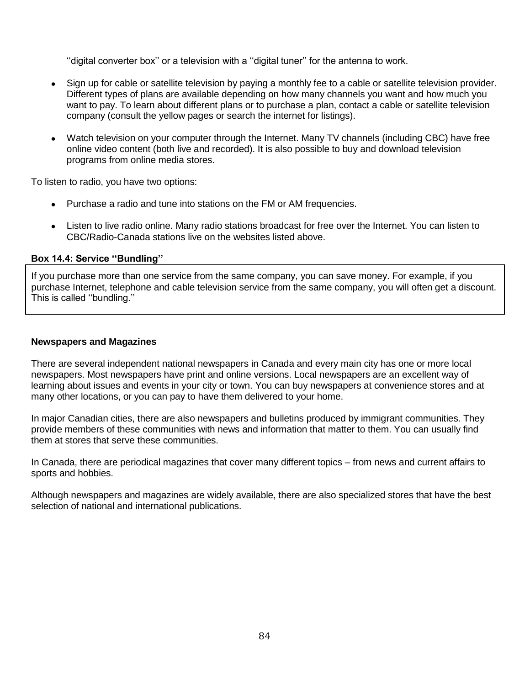''digital converter box'' or a television with a ''digital tuner'' for the antenna to work.

- Sign up for cable or satellite television by paying a monthly fee to a cable or satellite television provider. Different types of plans are available depending on how many channels you want and how much you want to pay. To learn about different plans or to purchase a plan, contact a cable or satellite television company (consult the yellow pages or search the internet for listings).
- Watch television on your computer through the Internet. Many TV channels (including CBC) have free online video content (both live and recorded). It is also possible to buy and download television programs from online media stores.

To listen to radio, you have two options:

- Purchase a radio and tune into stations on the FM or AM frequencies.
- Listen to live radio online. Many radio stations broadcast for free over the Internet. You can listen to CBC/Radio-Canada stations live on the websites listed above.

## **Box 14.4: Service ''Bundling''**

If you purchase more than one service from the same company, you can save money. For example, if you purchase Internet, telephone and cable television service from the same company, you will often get a discount. This is called ''bundling.''

#### **Newspapers and Magazines**

There are several independent national newspapers in Canada and every main city has one or more local newspapers. Most newspapers have print and online versions. Local newspapers are an excellent way of learning about issues and events in your city or town. You can buy newspapers at convenience stores and at many other locations, or you can pay to have them delivered to your home.

In major Canadian cities, there are also newspapers and bulletins produced by immigrant communities. They provide members of these communities with news and information that matter to them. You can usually find them at stores that serve these communities.

In Canada, there are periodical magazines that cover many different topics – from news and current affairs to sports and hobbies.

Although newspapers and magazines are widely available, there are also specialized stores that have the best selection of national and international publications.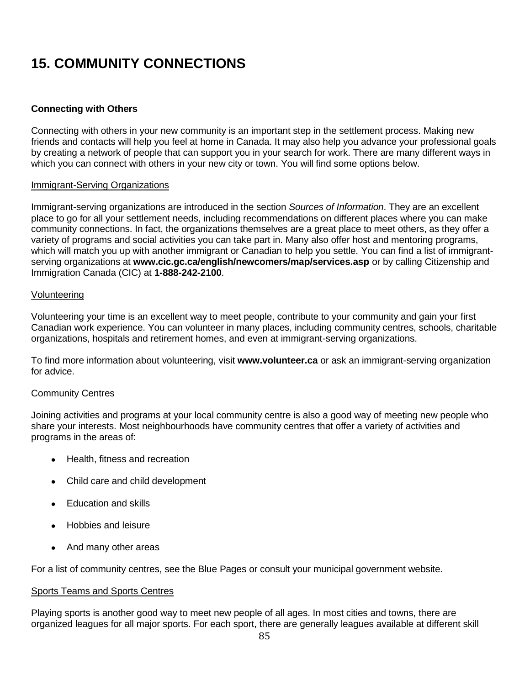# **15. COMMUNITY CONNECTIONS**

## **Connecting with Others**

Connecting with others in your new community is an important step in the settlement process. Making new friends and contacts will help you feel at home in Canada. It may also help you advance your professional goals by creating a network of people that can support you in your search for work. There are many different ways in which you can connect with others in your new city or town. You will find some options below.

#### Immigrant-Serving Organizations

Immigrant-serving organizations are introduced in the section *Sources of Information*. They are an excellent place to go for all your settlement needs, including recommendations on different places where you can make community connections. In fact, the organizations themselves are a great place to meet others, as they offer a variety of programs and social activities you can take part in. Many also offer host and mentoring programs, which will match you up with another immigrant or Canadian to help you settle. You can find a list of immigrantserving organizations at **www.cic.gc.ca/english/newcomers/map/services.asp** or by calling Citizenship and Immigration Canada (CIC) at **1-888-242-2100**.

#### Volunteering

Volunteering your time is an excellent way to meet people, contribute to your community and gain your first Canadian work experience. You can volunteer in many places, including community centres, schools, charitable organizations, hospitals and retirement homes, and even at immigrant-serving organizations.

To find more information about volunteering, visit **www.volunteer.ca** or ask an immigrant-serving organization for advice.

#### Community Centres

Joining activities and programs at your local community centre is also a good way of meeting new people who share your interests. Most neighbourhoods have community centres that offer a variety of activities and programs in the areas of:

- Health, fitness and recreation
- Child care and child development
- Education and skills
- Hobbies and leisure
- And many other areas

For a list of community centres, see the Blue Pages or consult your municipal government website.

#### Sports Teams and Sports Centres

Playing sports is another good way to meet new people of all ages. In most cities and towns, there are organized leagues for all major sports. For each sport, there are generally leagues available at different skill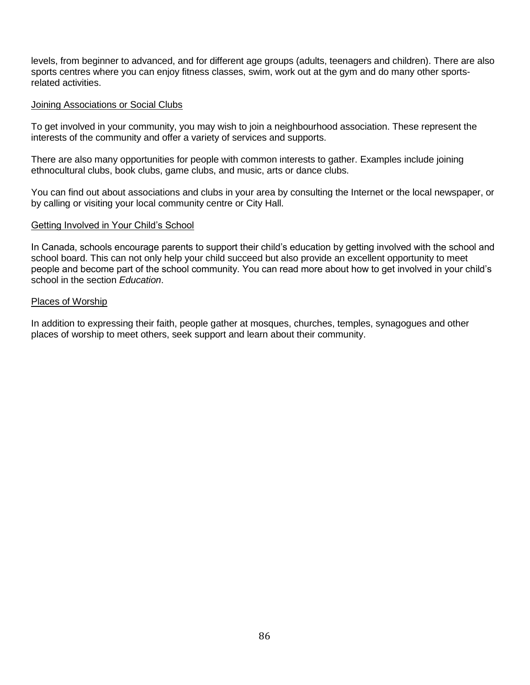levels, from beginner to advanced, and for different age groups (adults, teenagers and children). There are also sports centres where you can enjoy fitness classes, swim, work out at the gym and do many other sportsrelated activities.

#### Joining Associations or Social Clubs

To get involved in your community, you may wish to join a neighbourhood association. These represent the interests of the community and offer a variety of services and supports.

There are also many opportunities for people with common interests to gather. Examples include joining ethnocultural clubs, book clubs, game clubs, and music, arts or dance clubs.

You can find out about associations and clubs in your area by consulting the Internet or the local newspaper, or by calling or visiting your local community centre or City Hall.

## Getting Involved in Your Child's School

In Canada, schools encourage parents to support their child's education by getting involved with the school and school board. This can not only help your child succeed but also provide an excellent opportunity to meet people and become part of the school community. You can read more about how to get involved in your child's school in the section *Education*.

#### Places of Worship

In addition to expressing their faith, people gather at mosques, churches, temples, synagogues and other places of worship to meet others, seek support and learn about their community.